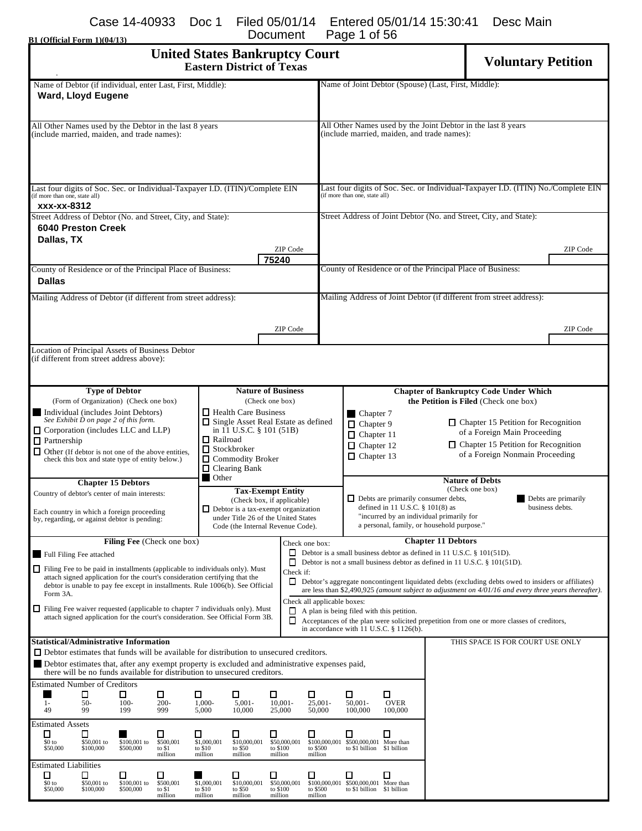Case 14-40933 Doc 1 Filed 05/01/14 Entered 05/01/14 15:30:41 Desc Main

| Case 14-40933 DOC 1 Filed 05/01/14<br>Document                                                                             | ENTERED US/01/14 15.30.41 Desc Main<br>Page 1 of 56                                                                |
|----------------------------------------------------------------------------------------------------------------------------|--------------------------------------------------------------------------------------------------------------------|
| <b>B1 (Official Form 1)(04/13)</b><br><b>United States Bankruptcy Court</b>                                                |                                                                                                                    |
| <b>Eastern District of Texas</b>                                                                                           | <b>Voluntary Petition</b>                                                                                          |
| Name of Debtor (if individual, enter Last, First, Middle):<br><b>Ward, Lloyd Eugene</b>                                    | Name of Joint Debtor (Spouse) (Last, First, Middle):                                                               |
| All Other Names used by the Debtor in the last 8 years<br>(include married, maiden, and trade names):                      | All Other Names used by the Joint Debtor in the last 8 years<br>(include married, maiden, and trade names):        |
| Last four digits of Soc. Sec. or Individual-Taxpayer I.D. (ITIN)/Complete EIN (if more than one, state all)<br>xxx-xx-8312 | Last four digits of Soc. Sec. or Individual-Taxpayer I.D. (ITIN) No./Complete EIN<br>(if more than one, state all) |
| Street Address of Debtor (No. and Street, City, and State):<br>6040 Preston Creek<br>Dallas, TX<br>ZIP Code<br>75240       | Street Address of Joint Debtor (No. and Street, City, and State):<br>ZIP Code                                      |
| County of Residence or of the Principal Place of Business:<br><b>Dallas</b>                                                | County of Residence or of the Principal Place of Business:                                                         |
| Mailing Address of Debtor (if different from street address):                                                              | Mailing Address of Joint Debtor (if different from street address):                                                |
| ZIP Code                                                                                                                   | ZIP Code                                                                                                           |

| Location of Principal Assets of Business Debtor<br>(if different from street address above):                                                                                                                                                                                                                                                                                                                                                                                                        |                                                                                                                                                                                                                                                                                                                                                                                                                           |                                                                      |                                                                                              |                                                                                                                                                                                                                                                                                                                                                                                                                                                                                                  |
|-----------------------------------------------------------------------------------------------------------------------------------------------------------------------------------------------------------------------------------------------------------------------------------------------------------------------------------------------------------------------------------------------------------------------------------------------------------------------------------------------------|---------------------------------------------------------------------------------------------------------------------------------------------------------------------------------------------------------------------------------------------------------------------------------------------------------------------------------------------------------------------------------------------------------------------------|----------------------------------------------------------------------|----------------------------------------------------------------------------------------------|--------------------------------------------------------------------------------------------------------------------------------------------------------------------------------------------------------------------------------------------------------------------------------------------------------------------------------------------------------------------------------------------------------------------------------------------------------------------------------------------------|
| <b>Type of Debtor</b><br>(Form of Organization) (Check one box)<br>Individual (includes Joint Debtors)<br>See Exhibit D on page 2 of this form.<br>Corporation (includes LLC and LLP)<br>$\Box$ Partnership<br>$\Box$ Other (If debtor is not one of the above entities.<br>check this box and state type of entity below.)                                                                                                                                                                         | <b>Nature of Business</b><br>(Check one box)<br>$\Box$ Health Care Business<br>Single Asset Real Estate as defined<br>in $11$ U.S.C. $§$ 101 (51B)<br>Railroad<br>$\Box$<br>□<br>Stockbroker<br><b>Commodity Broker</b><br>□<br>Clearing Bank<br>□                                                                                                                                                                        |                                                                      | Chapter 7<br>$\Box$ Chapter 9<br>$\Box$ Chapter 11<br>$\Box$ Chapter 12<br>$\Box$ Chapter 13 | <b>Chapter of Bankruptcy Code Under Which</b><br>the Petition is Filed (Check one box)<br>$\Box$ Chapter 15 Petition for Recognition<br>of a Foreign Main Proceeding<br>$\Box$ Chapter 15 Petition for Recognition<br>of a Foreign Nonmain Proceeding                                                                                                                                                                                                                                            |
| <b>Chapter 15 Debtors</b><br>Country of debtor's center of main interests:<br>Each country in which a foreign proceeding<br>by, regarding, or against debtor is pending:                                                                                                                                                                                                                                                                                                                            | <b>Other</b><br><b>Nature of Debts</b><br>(Check one box)<br><b>Tax-Exempt Entity</b><br>$\Box$ Debts are primarily consumer debts,<br>(Check box, if applicable)<br>defined in 11 U.S.C. § 101(8) as<br>$\Box$ Debtor is a tax-exempt organization<br>"incurred by an individual primarily for<br>under Title 26 of the United States<br>a personal, family, or household purpose."<br>Code (the Internal Revenue Code). |                                                                      |                                                                                              |                                                                                                                                                                                                                                                                                                                                                                                                                                                                                                  |
| Filing Fee (Check one box)<br>Full Filing Fee attached<br>$\Box$ Filing Fee to be paid in installments (applicable to individuals only). Must<br>attach signed application for the court's consideration certifying that the<br>debtor is unable to pay fee except in installments. Rule 1006(b). See Official<br>Form 3A.<br>$\Box$ Filing Fee waiver requested (applicable to chapter 7 individuals only). Must<br>attach signed application for the court's consideration. See Official Form 3B. |                                                                                                                                                                                                                                                                                                                                                                                                                           | Check one box:<br>0<br>Check if:<br>Check all applicable boxes:<br>□ | $\Box$ A plan is being filed with this petition.<br>in accordance with 11 U.S.C. § 1126(b).  | <b>Chapter 11 Debtors</b><br>Debtor is a small business debtor as defined in 11 U.S.C. $\S$ 101(51D).<br>Debtor is not a small business debtor as defined in 11 U.S.C. § 101(51D).<br>Debtor's aggregate noncontingent liquidated debts (excluding debts owed to insiders or affiliates)<br>are less than \$2,490,925 (amount subject to adjustment on $4/01/16$ and every three years thereafter).<br>Acceptances of the plan were solicited prepetition from one or more classes of creditors, |
| Statistical/Administrative Information<br>$\Box$ Debtor estimates that funds will be available for distribution to unsecured creditors.<br>Debtor estimates that, after any exempt property is excluded and administrative expenses paid,<br>there will be no funds available for distribution to unsecured creditors.<br><b>Estimated Number of Creditors</b><br>П<br>П<br>П<br>п<br>$50-$<br>$200 -$<br>$100 -$<br>$1 -$<br>49<br>99<br>199<br>999<br><b>Estimated Assets</b>                     | $\Box$<br>П<br>$5.001 -$<br>1.000-<br>10,000<br>5,000                                                                                                                                                                                                                                                                                                                                                                     | П<br>$10.001 -$<br>$25.001 -$<br>50,000<br>25,000                    | п<br>п<br>$50.001 -$<br><b>OVER</b><br>100,000<br>100,000                                    | THIS SPACE IS FOR COURT USE ONLY                                                                                                                                                                                                                                                                                                                                                                                                                                                                 |
| □<br>П<br>П<br>□<br>\$0 to<br>\$500,001<br>\$50,001 to<br>\$100,001 to<br>\$50,000<br>\$100,000<br>\$500,000<br>to $$1$<br>million                                                                                                                                                                                                                                                                                                                                                                  | □<br>□<br>\$1,000,001<br>\$10,000,001<br>to \$10<br>to \$50<br>million<br>million                                                                                                                                                                                                                                                                                                                                         | □<br>\$50,000,001<br>to \$500<br>to \$100<br>million<br>million      | П<br>$\Box$<br>\$100,000,001 \$500,000,001 More than<br>to \$1 billion \$1 billion           |                                                                                                                                                                                                                                                                                                                                                                                                                                                                                                  |

\$0 to \$50,001 to \$100,001 to \$500,001 \$1,000,001 \$10,000,001 \$50,000,001 \$100,000,001 \$500,000,001 More than \$50,000 \$100,000 \$500,000 to \$1 to \$10 to \$50 to \$100 to \$500 to \$1 billion \$1 billion million million million million million

 $\Box$ 

Estimated Liabilities<br>  $\prod_{\substack{\$0 \text{ to} \\ \$ 50,001}}$   $\prod_{\substack{\$50,001 \text{ to} \\ \$ 100,000}}$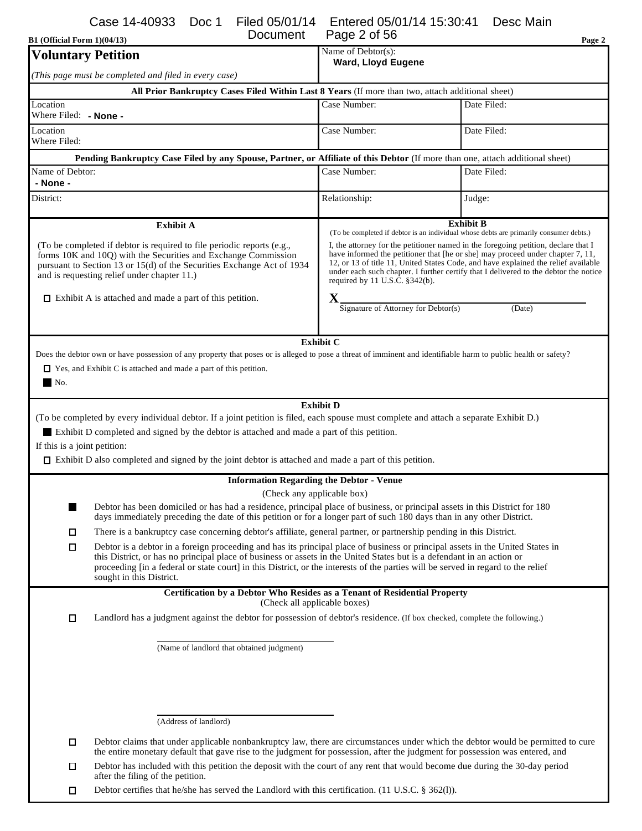|  | Case 14-40933 Doc 1 Filed 05/01/14 Entered 05/01/14 15:30:41 Desc Main |  |
|--|------------------------------------------------------------------------|--|
|  | <b>B B 0</b> . <b><i>f PA</i></b>                                      |  |

| <b>B1 (Official Form 1)(04/13)</b>  | Document                                                                                                                                                                                                                                                                                                                                                                                                                                                                                                                                                                                                                                                                                                                                                                                                                                                                                                                                                     | Page 2 of 56                                                                                                                 | Page 2                                                                                                                                                                                                                                                                                                                                                                                                                                                                     |  |  |  |  |
|-------------------------------------|--------------------------------------------------------------------------------------------------------------------------------------------------------------------------------------------------------------------------------------------------------------------------------------------------------------------------------------------------------------------------------------------------------------------------------------------------------------------------------------------------------------------------------------------------------------------------------------------------------------------------------------------------------------------------------------------------------------------------------------------------------------------------------------------------------------------------------------------------------------------------------------------------------------------------------------------------------------|------------------------------------------------------------------------------------------------------------------------------|----------------------------------------------------------------------------------------------------------------------------------------------------------------------------------------------------------------------------------------------------------------------------------------------------------------------------------------------------------------------------------------------------------------------------------------------------------------------------|--|--|--|--|
|                                     | <b>Voluntary Petition</b>                                                                                                                                                                                                                                                                                                                                                                                                                                                                                                                                                                                                                                                                                                                                                                                                                                                                                                                                    | Name of $Debtor(s)$ :<br><b>Ward, Lloyd Eugene</b>                                                                           |                                                                                                                                                                                                                                                                                                                                                                                                                                                                            |  |  |  |  |
|                                     | (This page must be completed and filed in every case)                                                                                                                                                                                                                                                                                                                                                                                                                                                                                                                                                                                                                                                                                                                                                                                                                                                                                                        |                                                                                                                              |                                                                                                                                                                                                                                                                                                                                                                                                                                                                            |  |  |  |  |
|                                     | All Prior Bankruptcy Cases Filed Within Last 8 Years (If more than two, attach additional sheet)                                                                                                                                                                                                                                                                                                                                                                                                                                                                                                                                                                                                                                                                                                                                                                                                                                                             |                                                                                                                              |                                                                                                                                                                                                                                                                                                                                                                                                                                                                            |  |  |  |  |
| Location<br>Where Filed: - None -   |                                                                                                                                                                                                                                                                                                                                                                                                                                                                                                                                                                                                                                                                                                                                                                                                                                                                                                                                                              | Case Number:                                                                                                                 | Date Filed:                                                                                                                                                                                                                                                                                                                                                                                                                                                                |  |  |  |  |
| Location<br>Where Filed:            | Case Number:<br>Date Filed:                                                                                                                                                                                                                                                                                                                                                                                                                                                                                                                                                                                                                                                                                                                                                                                                                                                                                                                                  |                                                                                                                              |                                                                                                                                                                                                                                                                                                                                                                                                                                                                            |  |  |  |  |
|                                     | Pending Bankruptcy Case Filed by any Spouse, Partner, or Affiliate of this Debtor (If more than one, attach additional sheet)                                                                                                                                                                                                                                                                                                                                                                                                                                                                                                                                                                                                                                                                                                                                                                                                                                |                                                                                                                              |                                                                                                                                                                                                                                                                                                                                                                                                                                                                            |  |  |  |  |
| Name of Debtor:<br>- None -         |                                                                                                                                                                                                                                                                                                                                                                                                                                                                                                                                                                                                                                                                                                                                                                                                                                                                                                                                                              | Case Number:                                                                                                                 | Date Filed:                                                                                                                                                                                                                                                                                                                                                                                                                                                                |  |  |  |  |
| District:                           |                                                                                                                                                                                                                                                                                                                                                                                                                                                                                                                                                                                                                                                                                                                                                                                                                                                                                                                                                              | Relationship:                                                                                                                | Judge:                                                                                                                                                                                                                                                                                                                                                                                                                                                                     |  |  |  |  |
| No.<br>If this is a joint petition: | <b>Exhibit A</b><br>(To be completed if debtor is required to file periodic reports (e.g.,<br>forms 10K and 10Q) with the Securities and Exchange Commission<br>pursuant to Section 13 or 15(d) of the Securities Exchange Act of 1934<br>and is requesting relief under chapter 11.)<br>$\Box$ Exhibit A is attached and made a part of this petition.<br>Does the debtor own or have possession of any property that poses or is alleged to pose a threat of imminent and identifiable harm to public health or safety?<br>$\Box$ Yes, and Exhibit C is attached and made a part of this petition.<br>(To be completed by every individual debtor. If a joint petition is filed, each spouse must complete and attach a separate Exhibit D.)<br>Exhibit D completed and signed by the debtor is attached and made a part of this petition.<br>$\Box$ Exhibit D also completed and signed by the joint debtor is attached and made a part of this petition. | required by 11 U.S.C. §342(b).<br>$\mathbf X$<br>Signature of Attorney for Debtor(s)<br><b>Exhibit C</b><br><b>Exhibit D</b> | <b>Exhibit B</b><br>(To be completed if debtor is an individual whose debts are primarily consumer debts.)<br>I, the attorney for the petitioner named in the foregoing petition, declare that I<br>have informed the petitioner that [he or she] may proceed under chapter 7, 11,<br>12, or 13 of title 11, United States Code, and have explained the relief available<br>under each such chapter. I further certify that I delivered to the debtor the notice<br>(Date) |  |  |  |  |
|                                     | <b>Information Regarding the Debtor - Venue</b>                                                                                                                                                                                                                                                                                                                                                                                                                                                                                                                                                                                                                                                                                                                                                                                                                                                                                                              |                                                                                                                              |                                                                                                                                                                                                                                                                                                                                                                                                                                                                            |  |  |  |  |
| s.                                  | (Check any applicable box)<br>Debtor has been domiciled or has had a residence, principal place of business, or principal assets in this District for 180<br>days immediately preceding the date of this petition or for a longer part of such 180 days than in any other District.                                                                                                                                                                                                                                                                                                                                                                                                                                                                                                                                                                                                                                                                          |                                                                                                                              |                                                                                                                                                                                                                                                                                                                                                                                                                                                                            |  |  |  |  |
| □                                   | There is a bankruptcy case concerning debtor's affiliate, general partner, or partnership pending in this District.                                                                                                                                                                                                                                                                                                                                                                                                                                                                                                                                                                                                                                                                                                                                                                                                                                          |                                                                                                                              |                                                                                                                                                                                                                                                                                                                                                                                                                                                                            |  |  |  |  |
| П                                   | Debtor is a debtor in a foreign proceeding and has its principal place of business or principal assets in the United States in<br>this District, or has no principal place of business or assets in the United States but is a defendant in an action or<br>proceeding [in a federal or state court] in this District, or the interests of the parties will be served in regard to the relief<br>sought in this District.                                                                                                                                                                                                                                                                                                                                                                                                                                                                                                                                    |                                                                                                                              |                                                                                                                                                                                                                                                                                                                                                                                                                                                                            |  |  |  |  |
|                                     | Certification by a Debtor Who Resides as a Tenant of Residential Property<br>(Check all applicable boxes)                                                                                                                                                                                                                                                                                                                                                                                                                                                                                                                                                                                                                                                                                                                                                                                                                                                    |                                                                                                                              |                                                                                                                                                                                                                                                                                                                                                                                                                                                                            |  |  |  |  |
| □                                   | Landlord has a judgment against the debtor for possession of debtor's residence. (If box checked, complete the following.)                                                                                                                                                                                                                                                                                                                                                                                                                                                                                                                                                                                                                                                                                                                                                                                                                                   |                                                                                                                              |                                                                                                                                                                                                                                                                                                                                                                                                                                                                            |  |  |  |  |
|                                     | (Name of landlord that obtained judgment)<br>(Address of landlord)                                                                                                                                                                                                                                                                                                                                                                                                                                                                                                                                                                                                                                                                                                                                                                                                                                                                                           |                                                                                                                              |                                                                                                                                                                                                                                                                                                                                                                                                                                                                            |  |  |  |  |
| □                                   | Debtor claims that under applicable nonbankruptcy law, there are circumstances under which the debtor would be permitted to cure<br>the entire monetary default that gave rise to the judgment for possession, after the judgment for possession was entered, and                                                                                                                                                                                                                                                                                                                                                                                                                                                                                                                                                                                                                                                                                            |                                                                                                                              |                                                                                                                                                                                                                                                                                                                                                                                                                                                                            |  |  |  |  |
| П                                   | Debtor has included with this petition the deposit with the court of any rent that would become due during the 30-day period<br>after the filing of the petition.                                                                                                                                                                                                                                                                                                                                                                                                                                                                                                                                                                                                                                                                                                                                                                                            |                                                                                                                              |                                                                                                                                                                                                                                                                                                                                                                                                                                                                            |  |  |  |  |

 $\Box$ Debtor certifies that he/she has served the Landlord with this certification. (11 U.S.C. § 362(l)).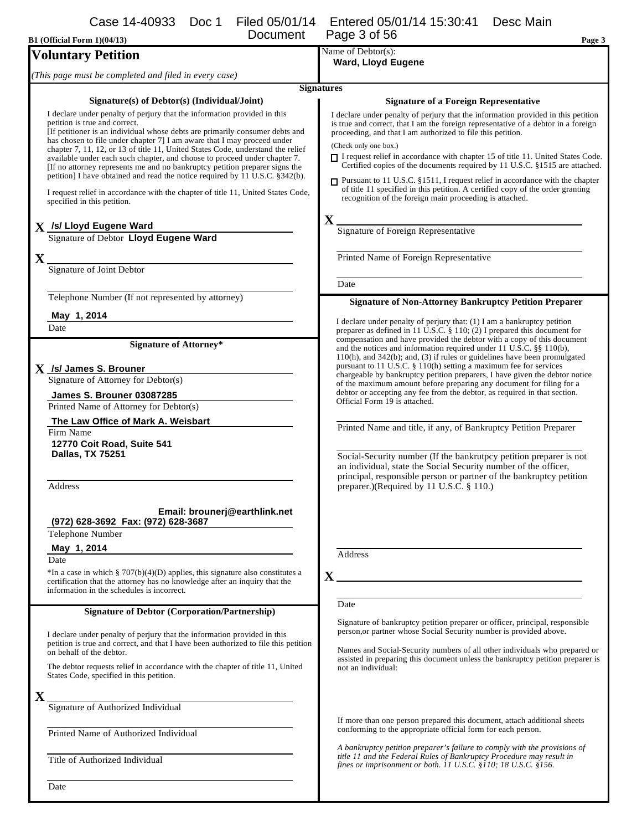| Case 14-40933<br>Filo<br>Doc 1 |
|--------------------------------|
|--------------------------------|

| CASE I4-40999<br>LUU L<br><b>FIIGU USIULI4</b><br><b>Document</b>                                                                                                                                                                                                                                                                                                                                                                                                                                                                                                                                                                                                                                                     | ETTER US/UL/14 13.30.41 DESC MIGHT<br>Page 3 of 56                                                                                                                                                                                                                                                                                                                                                                                                                                                                                                                                                                                                                                                                                                       |
|-----------------------------------------------------------------------------------------------------------------------------------------------------------------------------------------------------------------------------------------------------------------------------------------------------------------------------------------------------------------------------------------------------------------------------------------------------------------------------------------------------------------------------------------------------------------------------------------------------------------------------------------------------------------------------------------------------------------------|----------------------------------------------------------------------------------------------------------------------------------------------------------------------------------------------------------------------------------------------------------------------------------------------------------------------------------------------------------------------------------------------------------------------------------------------------------------------------------------------------------------------------------------------------------------------------------------------------------------------------------------------------------------------------------------------------------------------------------------------------------|
| B1 (Official Form $1(04/13)$ )                                                                                                                                                                                                                                                                                                                                                                                                                                                                                                                                                                                                                                                                                        | Page 3<br>Name of Debtor(s):                                                                                                                                                                                                                                                                                                                                                                                                                                                                                                                                                                                                                                                                                                                             |
| <b>Voluntary Petition</b>                                                                                                                                                                                                                                                                                                                                                                                                                                                                                                                                                                                                                                                                                             | <b>Ward, Lloyd Eugene</b>                                                                                                                                                                                                                                                                                                                                                                                                                                                                                                                                                                                                                                                                                                                                |
| (This page must be completed and filed in every case)                                                                                                                                                                                                                                                                                                                                                                                                                                                                                                                                                                                                                                                                 |                                                                                                                                                                                                                                                                                                                                                                                                                                                                                                                                                                                                                                                                                                                                                          |
|                                                                                                                                                                                                                                                                                                                                                                                                                                                                                                                                                                                                                                                                                                                       | <b>Signatures</b>                                                                                                                                                                                                                                                                                                                                                                                                                                                                                                                                                                                                                                                                                                                                        |
| Signature(s) of Debtor(s) (Individual/Joint)                                                                                                                                                                                                                                                                                                                                                                                                                                                                                                                                                                                                                                                                          | <b>Signature of a Foreign Representative</b>                                                                                                                                                                                                                                                                                                                                                                                                                                                                                                                                                                                                                                                                                                             |
| I declare under penalty of perjury that the information provided in this<br>petition is true and correct.<br>[If petitioner is an individual whose debts are primarily consumer debts and<br>has chosen to file under chapter 7] I am aware that I may proceed under<br>chapter 7, 11, 12, or 13 of title 11, United States Code, understand the relief<br>available under each such chapter, and choose to proceed under chapter 7.<br>If no attorney represents me and no bankruptcy petition preparer signs the<br>petition] I have obtained and read the notice required by 11 U.S.C. §342(b).<br>I request relief in accordance with the chapter of title 11, United States Code,<br>specified in this petition. | I declare under penalty of perjury that the information provided in this petition<br>is true and correct, that I am the foreign representative of a debtor in a foreign<br>proceeding, and that I am authorized to file this petition.<br>(Check only one box.)<br>$\Box$ I request relief in accordance with chapter 15 of title 11. United States Code.<br>Certified copies of the documents required by 11 U.S.C. §1515 are attached.<br>$\Box$ Pursuant to 11 U.S.C. §1511, I request relief in accordance with the chapter<br>of title 11 specified in this petition. A certified copy of the order granting<br>recognition of the foreign main proceeding is attached.                                                                             |
| X /s/ Lloyd Eugene Ward                                                                                                                                                                                                                                                                                                                                                                                                                                                                                                                                                                                                                                                                                               | Signature of Foreign Representative<br>$\overline{\mathbf{X}}$                                                                                                                                                                                                                                                                                                                                                                                                                                                                                                                                                                                                                                                                                           |
| Signature of Debtor Lloyd Eugene Ward                                                                                                                                                                                                                                                                                                                                                                                                                                                                                                                                                                                                                                                                                 |                                                                                                                                                                                                                                                                                                                                                                                                                                                                                                                                                                                                                                                                                                                                                          |
|                                                                                                                                                                                                                                                                                                                                                                                                                                                                                                                                                                                                                                                                                                                       | Printed Name of Foreign Representative                                                                                                                                                                                                                                                                                                                                                                                                                                                                                                                                                                                                                                                                                                                   |
| $\mathbf X$<br>Signature of Joint Debtor                                                                                                                                                                                                                                                                                                                                                                                                                                                                                                                                                                                                                                                                              |                                                                                                                                                                                                                                                                                                                                                                                                                                                                                                                                                                                                                                                                                                                                                          |
|                                                                                                                                                                                                                                                                                                                                                                                                                                                                                                                                                                                                                                                                                                                       | Date                                                                                                                                                                                                                                                                                                                                                                                                                                                                                                                                                                                                                                                                                                                                                     |
| Telephone Number (If not represented by attorney)                                                                                                                                                                                                                                                                                                                                                                                                                                                                                                                                                                                                                                                                     | <b>Signature of Non-Attorney Bankruptcy Petition Preparer</b>                                                                                                                                                                                                                                                                                                                                                                                                                                                                                                                                                                                                                                                                                            |
| May 1, 2014                                                                                                                                                                                                                                                                                                                                                                                                                                                                                                                                                                                                                                                                                                           |                                                                                                                                                                                                                                                                                                                                                                                                                                                                                                                                                                                                                                                                                                                                                          |
| Date                                                                                                                                                                                                                                                                                                                                                                                                                                                                                                                                                                                                                                                                                                                  | I declare under penalty of perjury that: (1) I am a bankruptcy petition<br>preparer as defined in 11 U.S.C. § 110; (2) I prepared this document for                                                                                                                                                                                                                                                                                                                                                                                                                                                                                                                                                                                                      |
| <b>Signature of Attorney*</b>                                                                                                                                                                                                                                                                                                                                                                                                                                                                                                                                                                                                                                                                                         | compensation and have provided the debtor with a copy of this document<br>and the notices and information required under 11 U.S.C. §§ 110(b),                                                                                                                                                                                                                                                                                                                                                                                                                                                                                                                                                                                                            |
| X /s/ James S. Brouner<br>Signature of Attorney for Debtor(s)<br><b>James S. Brouner 03087285</b><br>Printed Name of Attorney for Debtor(s)<br>The Law Office of Mark A. Weisbart<br>Firm Name<br>12770 Coit Road, Suite 541<br><b>Dallas, TX 75251</b><br>Address                                                                                                                                                                                                                                                                                                                                                                                                                                                    | $110(h)$ , and $342(b)$ ; and, (3) if rules or guidelines have been promulgated<br>pursuant to 11 U.S.C. § 110(h) setting a maximum fee for services<br>chargeable by bankruptcy petition preparers, I have given the debtor notice<br>of the maximum amount before preparing any document for filing for a<br>debtor or accepting any fee from the debtor, as required in that section.<br>Official Form 19 is attached.<br>Printed Name and title, if any, of Bankruptcy Petition Preparer<br>Social-Security number (If the bankrutpcy petition preparer is not<br>an individual, state the Social Security number of the officer,<br>principal, responsible person or partner of the bankruptcy petition<br>preparer.)(Required by 11 U.S.C. § 110.) |
| Email: brounerj@earthlink.net<br>(972) 628-3692 Fax: (972) 628-3687<br>Telephone Number<br>May 1, 2014                                                                                                                                                                                                                                                                                                                                                                                                                                                                                                                                                                                                                |                                                                                                                                                                                                                                                                                                                                                                                                                                                                                                                                                                                                                                                                                                                                                          |
| Date                                                                                                                                                                                                                                                                                                                                                                                                                                                                                                                                                                                                                                                                                                                  | Address                                                                                                                                                                                                                                                                                                                                                                                                                                                                                                                                                                                                                                                                                                                                                  |
| *In a case in which $\S$ 707(b)(4)(D) applies, this signature also constitutes a<br>certification that the attorney has no knowledge after an inquiry that the<br>information in the schedules is incorrect.                                                                                                                                                                                                                                                                                                                                                                                                                                                                                                          | <u> 1980 - Johann Barn, mars eta bainar eta baina eta baina eta baina eta baina eta baina eta baina eta baina e</u><br>$\mathbf{X}$                                                                                                                                                                                                                                                                                                                                                                                                                                                                                                                                                                                                                      |
| <b>Signature of Debtor (Corporation/Partnership)</b>                                                                                                                                                                                                                                                                                                                                                                                                                                                                                                                                                                                                                                                                  | Date                                                                                                                                                                                                                                                                                                                                                                                                                                                                                                                                                                                                                                                                                                                                                     |
| I declare under penalty of perjury that the information provided in this<br>petition is true and correct, and that I have been authorized to file this petition<br>on behalf of the debtor.<br>The debtor requests relief in accordance with the chapter of title 11, United<br>States Code, specified in this petition.                                                                                                                                                                                                                                                                                                                                                                                              | Signature of bankruptcy petition preparer or officer, principal, responsible<br>person, or partner whose Social Security number is provided above.<br>Names and Social-Security numbers of all other individuals who prepared or<br>assisted in preparing this document unless the bankruptcy petition preparer is<br>not an individual:                                                                                                                                                                                                                                                                                                                                                                                                                 |
| $\mathbf X$<br>Signature of Authorized Individual                                                                                                                                                                                                                                                                                                                                                                                                                                                                                                                                                                                                                                                                     | If more than one person prepared this document, attach additional sheets<br>conforming to the appropriate official form for each person.                                                                                                                                                                                                                                                                                                                                                                                                                                                                                                                                                                                                                 |
| Printed Name of Authorized Individual                                                                                                                                                                                                                                                                                                                                                                                                                                                                                                                                                                                                                                                                                 |                                                                                                                                                                                                                                                                                                                                                                                                                                                                                                                                                                                                                                                                                                                                                          |
| Title of Authorized Individual                                                                                                                                                                                                                                                                                                                                                                                                                                                                                                                                                                                                                                                                                        | A bankruptcy petition preparer's failure to comply with the provisions of<br>title 11 and the Federal Rules of Bankruptcy Procedure may result in<br>fines or imprisonment or both. 11 U.S.C. §110; 18 U.S.C. §156.                                                                                                                                                                                                                                                                                                                                                                                                                                                                                                                                      |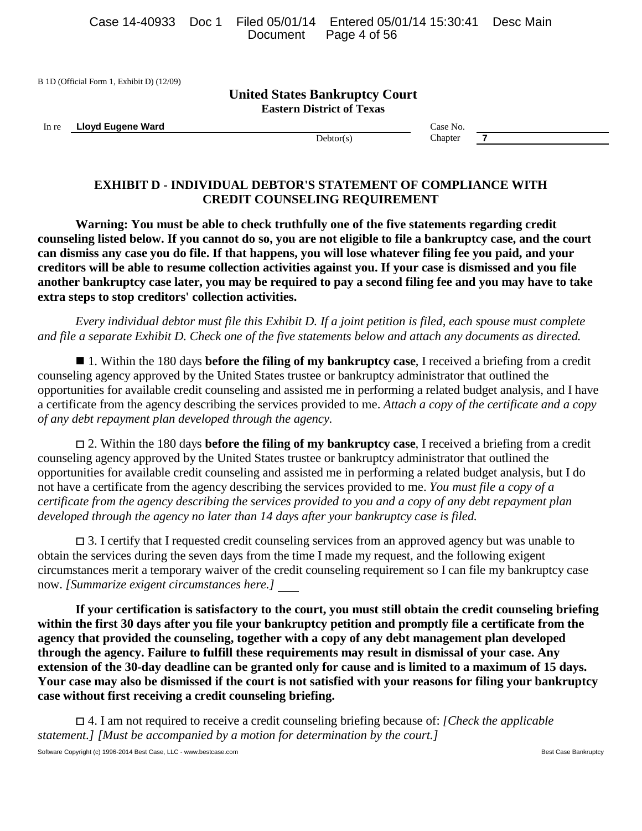|  | Case 14-40933 Doc 1 Filed 05/01/14 Entered 05/01/14 15:30:41 Desc Main |  |
|--|------------------------------------------------------------------------|--|
|  | Document Page 4 of 56                                                  |  |

B 1D (Official Form 1, Exhibit D) (12/09)

### **United States Bankruptcy Court Eastern District of Texas**

In re **Lloyd Eugene Ward Case No. Case No. Case No. Case No. Case No. Case No.** 

Debtor(s) Chapter **7** 

### **EXHIBIT D - INDIVIDUAL DEBTOR'S STATEMENT OF COMPLIANCE WITH CREDIT COUNSELING REQUIREMENT**

**Warning: You must be able to check truthfully one of the five statements regarding credit counseling listed below. If you cannot do so, you are not eligible to file a bankruptcy case, and the court can dismiss any case you do file. If that happens, you will lose whatever filing fee you paid, and your creditors will be able to resume collection activities against you. If your case is dismissed and you file another bankruptcy case later, you may be required to pay a second filing fee and you may have to take extra steps to stop creditors' collection activities.**

*Every individual debtor must file this Exhibit D. If a joint petition is filed, each spouse must complete and file a separate Exhibit D. Check one of the five statements below and attach any documents as directed.*

 1. Within the 180 days **before the filing of my bankruptcy case**, I received a briefing from a credit counseling agency approved by the United States trustee or bankruptcy administrator that outlined the opportunities for available credit counseling and assisted me in performing a related budget analysis, and I have a certificate from the agency describing the services provided to me. *Attach a copy of the certificate and a copy of any debt repayment plan developed through the agency.*

 2. Within the 180 days **before the filing of my bankruptcy case**, I received a briefing from a credit counseling agency approved by the United States trustee or bankruptcy administrator that outlined the opportunities for available credit counseling and assisted me in performing a related budget analysis, but I do not have a certificate from the agency describing the services provided to me. *You must file a copy of a certificate from the agency describing the services provided to you and a copy of any debt repayment plan developed through the agency no later than 14 days after your bankruptcy case is filed.*

 $\Box$  3. I certify that I requested credit counseling services from an approved agency but was unable to obtain the services during the seven days from the time I made my request, and the following exigent circumstances merit a temporary waiver of the credit counseling requirement so I can file my bankruptcy case now. *[Summarize exigent circumstances here.]*

**If your certification is satisfactory to the court, you must still obtain the credit counseling briefing within the first 30 days after you file your bankruptcy petition and promptly file a certificate from the agency that provided the counseling, together with a copy of any debt management plan developed through the agency. Failure to fulfill these requirements may result in dismissal of your case. Any extension of the 30-day deadline can be granted only for cause and is limited to a maximum of 15 days. Your case may also be dismissed if the court is not satisfied with your reasons for filing your bankruptcy case without first receiving a credit counseling briefing.**

 4. I am not required to receive a credit counseling briefing because of: *[Check the applicable statement.] [Must be accompanied by a motion for determination by the court.]* Software Copyright (c) 1996-2014 Best Case, LLC - www.bestcase.com <br>
Best Case Bankruptcy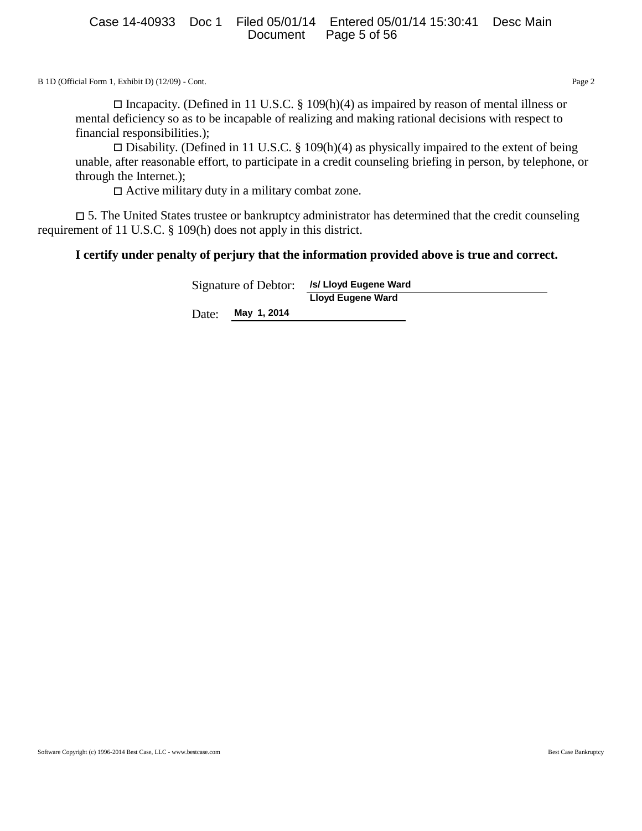B 1D (Official Form 1, Exhibit D) (12/09) - Cont. Page 2

 $\Box$  Incapacity. (Defined in 11 U.S.C. § 109(h)(4) as impaired by reason of mental illness or mental deficiency so as to be incapable of realizing and making rational decisions with respect to financial responsibilities.);

 $\Box$  Disability. (Defined in 11 U.S.C. § 109(h)(4) as physically impaired to the extent of being unable, after reasonable effort, to participate in a credit counseling briefing in person, by telephone, or through the Internet.);

 $\Box$  Active military duty in a military combat zone.

 $\Box$  5. The United States trustee or bankruptcy administrator has determined that the credit counseling requirement of 11 U.S.C. § 109(h) does not apply in this district.

### **I certify under penalty of perjury that the information provided above is true and correct.**

Signature of Debtor: **/s/ Lloyd Eugene Ward Lloyd Eugene Ward** Date: **May 1, 2014**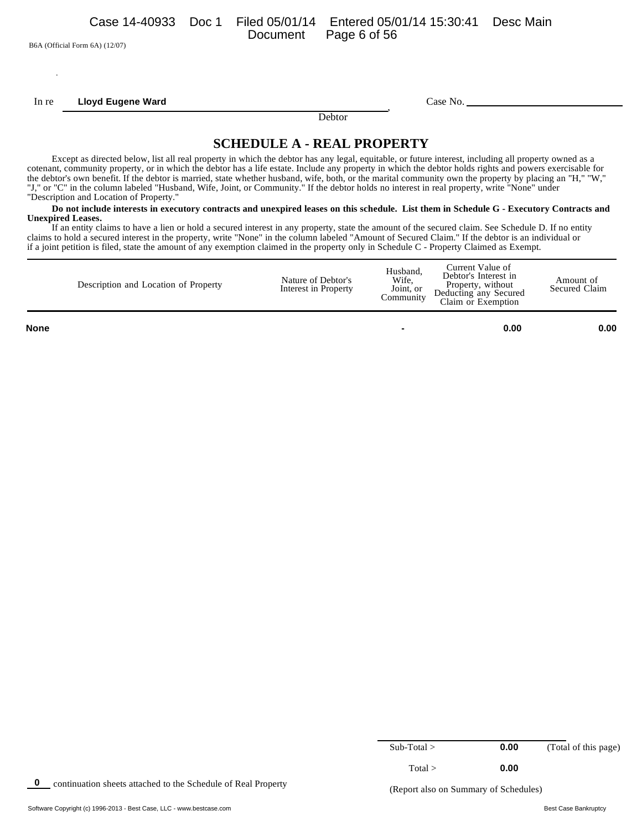Case 14-40933 Doc 1 Filed 05/01/14 Entered 05/01/14 15:30:41 Desc Main Page 6 of 56

,

B6A (Official Form 6A) (12/07)

In re **Lloyd Eugene Ward Case No. 2008 Case No. 2008 Case No. 2008 Case No. 2008** 

**Debtor** 

## **SCHEDULE A - REAL PROPERTY**

Except as directed below, list all real property in which the debtor has any legal, equitable, or future interest, including all property owned as a cotenant, community property, or in which the debtor has a life estate. Include any property in which the debtor holds rights and powers exercisable for the debtor's own benefit. If the debtor is married, state whether husband, wife, both, or the marital community own the property by placing an "H," "W," "J," or "C" in the column labeled "Husband, Wife, Joint, or Community." If the debtor holds no interest in real property, write "None" under "Description and Location of Property."

**Do not include interests in executory contracts and unexpired leases on this schedule. List them in Schedule G - Executory Contracts and Unexpired Leases.**

If an entity claims to have a lien or hold a secured interest in any property, state the amount of the secured claim. See Schedule D. If no entity claims to hold a secured interest in the property, write "None" in the column labeled "Amount of Secured Claim." If the debtor is an individual or if a joint petition is filed, state the amount of any exemption claimed in the property only in Schedule C - Property Claimed as Exempt.

| None |                                      |                                            | $\overline{\phantom{0}}$                    | 0.00                                                                                                         | 0.00                       |  |
|------|--------------------------------------|--------------------------------------------|---------------------------------------------|--------------------------------------------------------------------------------------------------------------|----------------------------|--|
|      | Description and Location of Property | Nature of Debtor's<br>Interest in Property | Husband,<br>Wife,<br>Joint, or<br>Community | Current Value of<br>Debtor's Interest in<br>Property, without<br>Deducting any Secured<br>Claim or Exemption | Amount of<br>Secured Claim |  |

| $Sub-Total >$ | 0.00 | (Total of this page) |
|---------------|------|----------------------|
|               |      |                      |

continuation sheets attached to the Schedule of Real Property **0**

(Report also on Summary of Schedules)

Total >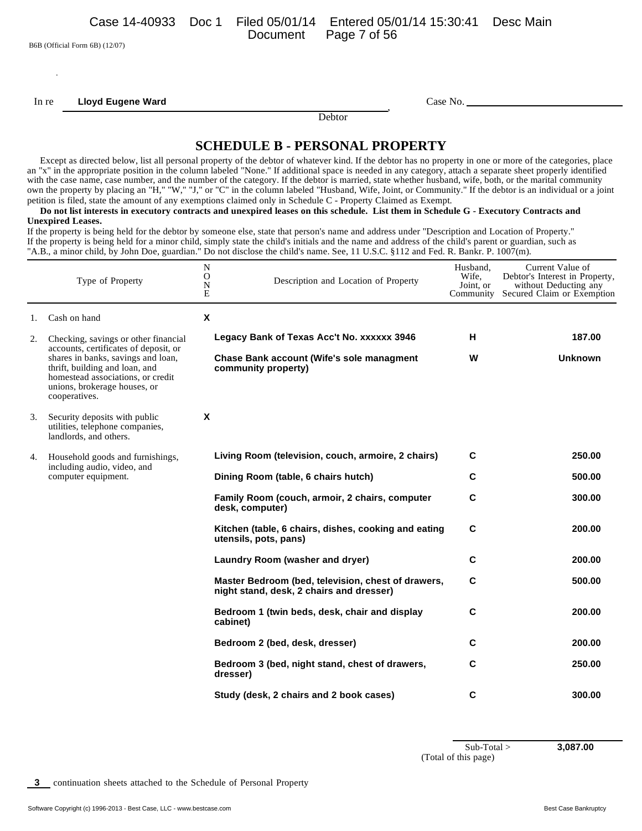Case 14-40933 Doc 1 Filed 05/01/14 Entered 05/01/14 15:30:41 Desc Main Page 7 of 56

,

B6B (Official Form 6B) (12/07)

In re

#### **Lloyd Eugene Ward** Case No. 2008 **Case No. 2008** Case No. 2008 Case No. 2008

**Debtor** 

### **SCHEDULE B - PERSONAL PROPERTY**

Except as directed below, list all personal property of the debtor of whatever kind. If the debtor has no property in one or more of the categories, place an "x" in the appropriate position in the column labeled "None." If additional space is needed in any category, attach a separate sheet properly identified with the case name, case number, and the number of the category. If the debtor is married, state whether husband, wife, both, or the marital community own the property by placing an "H," "W," "J," or "C" in the column labeled "Husband, Wife, Joint, or Community." If the debtor is an individual or a joint petition is filed, state the amount of any exemptions claimed only in Schedule C - Property Claimed as Exempt.

**Do not list interests in executory contracts and unexpired leases on this schedule. List them in Schedule G - Executory Contracts and Unexpired Leases.**

If the property is being held for the debtor by someone else, state that person's name and address under "Description and Location of Property." If the property is being held for a minor child, simply state the child's initials and the name and address of the child's parent or guardian, such as "A.B., a minor child, by John Doe, guardian." Do not disclose the child's name. See, 11 U.S.C. §112 and Fed. R. Bankr. P. 1007(m).

|                                                                                                                                                                                                     | Type of Property                                                                           | N<br>O<br>N<br>Е                         | Description and Location of Property                                          | Husband,<br>Wife,<br>Joint, or | Current Value of<br>Debtor's Interest in Property,<br>without Deducting any<br>Community Secured Claim or Exemption |
|-----------------------------------------------------------------------------------------------------------------------------------------------------------------------------------------------------|--------------------------------------------------------------------------------------------|------------------------------------------|-------------------------------------------------------------------------------|--------------------------------|---------------------------------------------------------------------------------------------------------------------|
| 1.                                                                                                                                                                                                  | Cash on hand                                                                               | $\boldsymbol{\mathsf{x}}$                |                                                                               |                                |                                                                                                                     |
| 2.                                                                                                                                                                                                  | Checking, savings or other financial                                                       |                                          | Legacy Bank of Texas Acc't No. xxxxxx 3946                                    | н                              | 187.00                                                                                                              |
| accounts, certificates of deposit, or<br>shares in banks, savings and loan,<br>thrift, building and loan, and<br>homestead associations, or credit<br>unions, brokerage houses, or<br>cooperatives. |                                                                                            |                                          | <b>Chase Bank account (Wife's sole managment</b><br>community property)       | W                              | <b>Unknown</b>                                                                                                      |
| 3.                                                                                                                                                                                                  | Security deposits with public<br>utilities, telephone companies,<br>landlords, and others. | X                                        |                                                                               |                                |                                                                                                                     |
| 4.                                                                                                                                                                                                  | Household goods and furnishings,                                                           |                                          | Living Room (television, couch, armoire, 2 chairs)                            | C                              | 250.00                                                                                                              |
|                                                                                                                                                                                                     | including audio, video, and<br>computer equipment.                                         |                                          | Dining Room (table, 6 chairs hutch)                                           | С                              | 500.00                                                                                                              |
|                                                                                                                                                                                                     |                                                                                            |                                          | Family Room (couch, armoir, 2 chairs, computer<br>desk, computer)             | C                              | 300.00                                                                                                              |
|                                                                                                                                                                                                     |                                                                                            |                                          | Kitchen (table, 6 chairs, dishes, cooking and eating<br>utensils, pots, pans) | С                              | 200.00                                                                                                              |
|                                                                                                                                                                                                     |                                                                                            |                                          | Laundry Room (washer and dryer)                                               | C                              | 200.00                                                                                                              |
|                                                                                                                                                                                                     |                                                                                            | night stand, desk, 2 chairs and dresser) | Master Bedroom (bed, television, chest of drawers,                            | С                              | 500.00                                                                                                              |
|                                                                                                                                                                                                     |                                                                                            |                                          | Bedroom 1 (twin beds, desk, chair and display<br>cabinet)                     | C                              | 200.00                                                                                                              |
|                                                                                                                                                                                                     |                                                                                            |                                          | Bedroom 2 (bed, desk, dresser)                                                | C                              | 200.00                                                                                                              |
|                                                                                                                                                                                                     |                                                                                            |                                          | Bedroom 3 (bed, night stand, chest of drawers,<br>dresser)                    | С                              | 250.00                                                                                                              |
|                                                                                                                                                                                                     |                                                                                            |                                          | Study (desk, 2 chairs and 2 book cases)                                       | С                              | 300.00                                                                                                              |

Sub-Total > (Total of this page)

**3,087.00**

3 continuation sheets attached to the Schedule of Personal Property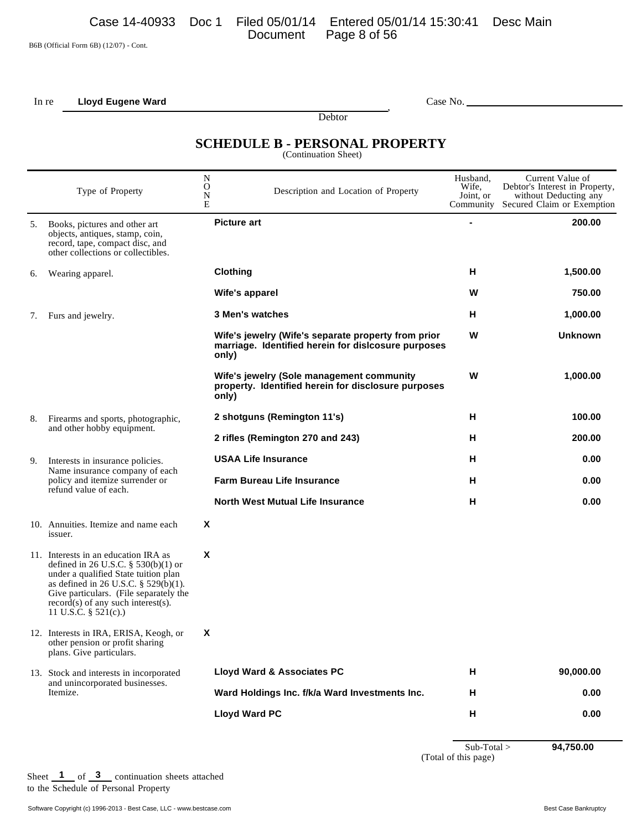B6B (Official Form 6B) (12/07) - Cont.

In re

Lloyd Eugene Ward **Case No.** 2008. Case No. 2008. Case No. 2008. Case No. 2008. Case No. 2008. Case No. 2008. Case No. 2008. Case No. 2008. Case No. 2008. Case No. 2008. Case No. 2008. Case No. 2008. Case No. 2008. Case No

### **SCHEDULE B - PERSONAL PROPERTY**

Debtor

(Continuation Sheet)

|    | Type of Property                                                                                                                                                                                                                                                                        | $\mathbf N$<br>$\mathbf{O}$<br>$\mathbf N$<br>E | Description and Location of Property                                                                                | Husband,<br>Wife,<br>Joint, or<br>Community | Current Value of<br>Debtor's Interest in Property,<br>without Deducting any<br>Secured Claim or Exemption |
|----|-----------------------------------------------------------------------------------------------------------------------------------------------------------------------------------------------------------------------------------------------------------------------------------------|-------------------------------------------------|---------------------------------------------------------------------------------------------------------------------|---------------------------------------------|-----------------------------------------------------------------------------------------------------------|
| 5. | Books, pictures and other art<br>objects, antiques, stamp, coin,<br>record, tape, compact disc, and<br>other collections or collectibles.                                                                                                                                               |                                                 | <b>Picture art</b>                                                                                                  | $\blacksquare$                              | 200.00                                                                                                    |
| 6. | Wearing apparel.                                                                                                                                                                                                                                                                        |                                                 | <b>Clothing</b>                                                                                                     | н                                           | 1,500.00                                                                                                  |
|    |                                                                                                                                                                                                                                                                                         |                                                 | Wife's apparel                                                                                                      | W                                           | 750.00                                                                                                    |
| 7. | Furs and jewelry.                                                                                                                                                                                                                                                                       |                                                 | 3 Men's watches                                                                                                     | н                                           | 1,000.00                                                                                                  |
|    |                                                                                                                                                                                                                                                                                         |                                                 | Wife's jewelry (Wife's separate property from prior<br>marriage. Identified herein for dislcosure purposes<br>only) | W                                           | <b>Unknown</b>                                                                                            |
|    |                                                                                                                                                                                                                                                                                         |                                                 | Wife's jewelry (Sole management community<br>property. Identified herein for disclosure purposes<br>only)           | W                                           | 1,000.00                                                                                                  |
| 8. | Firearms and sports, photographic,                                                                                                                                                                                                                                                      |                                                 | 2 shotguns (Remington 11's)                                                                                         | н                                           | 100.00                                                                                                    |
|    | and other hobby equipment.                                                                                                                                                                                                                                                              |                                                 | 2 rifles (Remington 270 and 243)                                                                                    | н                                           | 200.00                                                                                                    |
| 9. | Interests in insurance policies.                                                                                                                                                                                                                                                        |                                                 | <b>USAA Life Insurance</b>                                                                                          | н                                           | 0.00                                                                                                      |
|    | Name insurance company of each<br>policy and itemize surrender or<br>refund value of each.                                                                                                                                                                                              |                                                 | <b>Farm Bureau Life Insurance</b>                                                                                   | н                                           | 0.00                                                                                                      |
|    |                                                                                                                                                                                                                                                                                         |                                                 | <b>North West Mutual Life Insurance</b>                                                                             | н                                           | 0.00                                                                                                      |
|    | 10. Annuities. Itemize and name each<br>issuer.                                                                                                                                                                                                                                         | X                                               |                                                                                                                     |                                             |                                                                                                           |
|    | 11. Interests in an education IRA as<br>defined in 26 U.S.C. § $530(b)(1)$ or<br>under a qualified State tuition plan<br>as defined in 26 U.S.C. $\S$ 529( $\bar{b}$ )(1).<br>Give particulars. (File separately the<br>$record(s)$ of any such interest(s).<br>11 U.S.C. $\S$ 521(c).) | X                                               |                                                                                                                     |                                             |                                                                                                           |
|    | 12. Interests in IRA, ERISA, Keogh, or<br>other pension or profit sharing<br>plans. Give particulars.                                                                                                                                                                                   | X                                               |                                                                                                                     |                                             |                                                                                                           |
|    | 13. Stock and interests in incorporated                                                                                                                                                                                                                                                 |                                                 | <b>Lloyd Ward &amp; Associates PC</b>                                                                               | н                                           | 90,000.00                                                                                                 |
|    | and unincorporated businesses.<br>Itemize.                                                                                                                                                                                                                                              |                                                 | Ward Holdings Inc. f/k/a Ward Investments Inc.                                                                      | н                                           | 0.00                                                                                                      |
|    |                                                                                                                                                                                                                                                                                         |                                                 | <b>Lloyd Ward PC</b>                                                                                                | н                                           | 0.00                                                                                                      |
|    |                                                                                                                                                                                                                                                                                         |                                                 |                                                                                                                     |                                             |                                                                                                           |

Sheet  $\frac{1}{\sqrt{3}}$  of  $\frac{3}{\sqrt{3}}$  continuation sheets attached to the Schedule of Personal Property

Sub-Total > (Total of this page)

**94,750.00**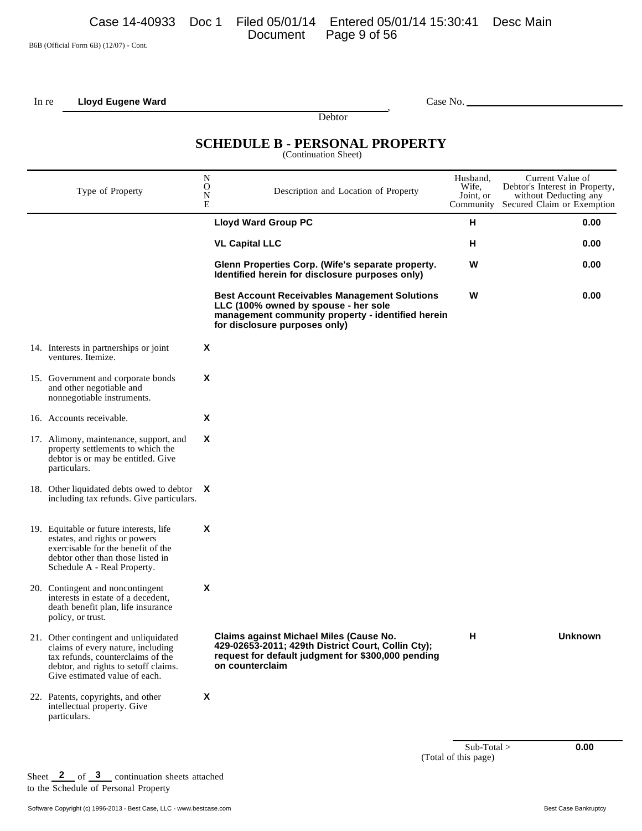B6B (Official Form 6B) (12/07) - Cont.

| Debtor<br><b>SCHEDULE B - PERSONAL PROPERTY</b><br>(Continuation Sheet)<br>N<br>Husband,<br>$\mathbf{O}$<br>Wife,<br>Type of Property<br>Description and Location of Property<br>$\mathbf N$<br>Joint, or<br>E<br><b>Lloyd Ward Group PC</b><br>н<br><b>VL Capital LLC</b><br>н<br>W<br>Glenn Properties Corp. (Wife's separate property.<br>Identified herein for disclosure purposes only)<br><b>Best Account Receivables Management Solutions</b><br>W<br>LLC (100% owned by spouse - her sole<br>management community property - identified herein<br>for disclosure purposes only)<br>X<br>14. Interests in partnerships or joint<br>ventures. Itemize.<br>X<br>15. Government and corporate bonds<br>and other negotiable and<br>nonnegotiable instruments.<br>16. Accounts receivable.<br>X<br>X<br>17. Alimony, maintenance, support, and<br>property settlements to which the<br>debtor is or may be entitled. Give<br>particulars.<br>18. Other liquidated debts owed to debtor X<br>including tax refunds. Give particulars.<br>X<br>19. Equitable or future interests, life<br>estates, and rights or powers<br>exercisable for the benefit of the<br>debtor other than those listed in<br>Schedule A - Real Property.<br>X<br>20. Contingent and noncontingent<br>interests in estate of a decedent,<br>death benefit plan, life insurance<br>policy, or trust.<br>н<br>Claims against Michael Miles (Cause No.<br>21. Other contingent and unliquidated<br>429-02653-2011; 429th District Court, Collin Cty);<br>claims of every nature, including<br>request for default judgment for \$300,000 pending<br>tax refunds, counterclaims of the<br>on counterclaim<br>debtor, and rights to setoff claims.<br>Give estimated value of each.<br>22. Patents, copyrights, and other<br>X<br>intellectual property. Give<br>particulars. | In re | <b>Lloyd Eugene Ward</b> |  | Case No. |                                                                                                                     |
|---------------------------------------------------------------------------------------------------------------------------------------------------------------------------------------------------------------------------------------------------------------------------------------------------------------------------------------------------------------------------------------------------------------------------------------------------------------------------------------------------------------------------------------------------------------------------------------------------------------------------------------------------------------------------------------------------------------------------------------------------------------------------------------------------------------------------------------------------------------------------------------------------------------------------------------------------------------------------------------------------------------------------------------------------------------------------------------------------------------------------------------------------------------------------------------------------------------------------------------------------------------------------------------------------------------------------------------------------------------------------------------------------------------------------------------------------------------------------------------------------------------------------------------------------------------------------------------------------------------------------------------------------------------------------------------------------------------------------------------------------------------------------------------------------------------------------------------------------|-------|--------------------------|--|----------|---------------------------------------------------------------------------------------------------------------------|
|                                                                                                                                                                                                                                                                                                                                                                                                                                                                                                                                                                                                                                                                                                                                                                                                                                                                                                                                                                                                                                                                                                                                                                                                                                                                                                                                                                                                                                                                                                                                                                                                                                                                                                                                                                                                                                                   |       |                          |  |          |                                                                                                                     |
|                                                                                                                                                                                                                                                                                                                                                                                                                                                                                                                                                                                                                                                                                                                                                                                                                                                                                                                                                                                                                                                                                                                                                                                                                                                                                                                                                                                                                                                                                                                                                                                                                                                                                                                                                                                                                                                   |       |                          |  |          |                                                                                                                     |
|                                                                                                                                                                                                                                                                                                                                                                                                                                                                                                                                                                                                                                                                                                                                                                                                                                                                                                                                                                                                                                                                                                                                                                                                                                                                                                                                                                                                                                                                                                                                                                                                                                                                                                                                                                                                                                                   |       |                          |  |          | Current Value of<br>Debtor's Interest in Property,<br>without Deducting any<br>Community Secured Claim or Exemption |
|                                                                                                                                                                                                                                                                                                                                                                                                                                                                                                                                                                                                                                                                                                                                                                                                                                                                                                                                                                                                                                                                                                                                                                                                                                                                                                                                                                                                                                                                                                                                                                                                                                                                                                                                                                                                                                                   |       |                          |  |          | 0.00                                                                                                                |
|                                                                                                                                                                                                                                                                                                                                                                                                                                                                                                                                                                                                                                                                                                                                                                                                                                                                                                                                                                                                                                                                                                                                                                                                                                                                                                                                                                                                                                                                                                                                                                                                                                                                                                                                                                                                                                                   |       |                          |  |          | 0.00                                                                                                                |
|                                                                                                                                                                                                                                                                                                                                                                                                                                                                                                                                                                                                                                                                                                                                                                                                                                                                                                                                                                                                                                                                                                                                                                                                                                                                                                                                                                                                                                                                                                                                                                                                                                                                                                                                                                                                                                                   |       |                          |  |          | 0.00                                                                                                                |
|                                                                                                                                                                                                                                                                                                                                                                                                                                                                                                                                                                                                                                                                                                                                                                                                                                                                                                                                                                                                                                                                                                                                                                                                                                                                                                                                                                                                                                                                                                                                                                                                                                                                                                                                                                                                                                                   |       |                          |  |          | 0.00                                                                                                                |
|                                                                                                                                                                                                                                                                                                                                                                                                                                                                                                                                                                                                                                                                                                                                                                                                                                                                                                                                                                                                                                                                                                                                                                                                                                                                                                                                                                                                                                                                                                                                                                                                                                                                                                                                                                                                                                                   |       |                          |  |          |                                                                                                                     |
|                                                                                                                                                                                                                                                                                                                                                                                                                                                                                                                                                                                                                                                                                                                                                                                                                                                                                                                                                                                                                                                                                                                                                                                                                                                                                                                                                                                                                                                                                                                                                                                                                                                                                                                                                                                                                                                   |       |                          |  |          |                                                                                                                     |
|                                                                                                                                                                                                                                                                                                                                                                                                                                                                                                                                                                                                                                                                                                                                                                                                                                                                                                                                                                                                                                                                                                                                                                                                                                                                                                                                                                                                                                                                                                                                                                                                                                                                                                                                                                                                                                                   |       |                          |  |          |                                                                                                                     |
|                                                                                                                                                                                                                                                                                                                                                                                                                                                                                                                                                                                                                                                                                                                                                                                                                                                                                                                                                                                                                                                                                                                                                                                                                                                                                                                                                                                                                                                                                                                                                                                                                                                                                                                                                                                                                                                   |       |                          |  |          |                                                                                                                     |
|                                                                                                                                                                                                                                                                                                                                                                                                                                                                                                                                                                                                                                                                                                                                                                                                                                                                                                                                                                                                                                                                                                                                                                                                                                                                                                                                                                                                                                                                                                                                                                                                                                                                                                                                                                                                                                                   |       |                          |  |          |                                                                                                                     |
|                                                                                                                                                                                                                                                                                                                                                                                                                                                                                                                                                                                                                                                                                                                                                                                                                                                                                                                                                                                                                                                                                                                                                                                                                                                                                                                                                                                                                                                                                                                                                                                                                                                                                                                                                                                                                                                   |       |                          |  |          |                                                                                                                     |
|                                                                                                                                                                                                                                                                                                                                                                                                                                                                                                                                                                                                                                                                                                                                                                                                                                                                                                                                                                                                                                                                                                                                                                                                                                                                                                                                                                                                                                                                                                                                                                                                                                                                                                                                                                                                                                                   |       |                          |  |          |                                                                                                                     |
|                                                                                                                                                                                                                                                                                                                                                                                                                                                                                                                                                                                                                                                                                                                                                                                                                                                                                                                                                                                                                                                                                                                                                                                                                                                                                                                                                                                                                                                                                                                                                                                                                                                                                                                                                                                                                                                   |       |                          |  |          | <b>Unknown</b>                                                                                                      |
|                                                                                                                                                                                                                                                                                                                                                                                                                                                                                                                                                                                                                                                                                                                                                                                                                                                                                                                                                                                                                                                                                                                                                                                                                                                                                                                                                                                                                                                                                                                                                                                                                                                                                                                                                                                                                                                   |       |                          |  |          |                                                                                                                     |
| $Sub-Total$                                                                                                                                                                                                                                                                                                                                                                                                                                                                                                                                                                                                                                                                                                                                                                                                                                                                                                                                                                                                                                                                                                                                                                                                                                                                                                                                                                                                                                                                                                                                                                                                                                                                                                                                                                                                                                       |       |                          |  |          | 0.00                                                                                                                |

Sheet  $\frac{2}{5}$  of  $\frac{3}{5}$  continuation sheets attached to the Schedule of Personal Property **2 3**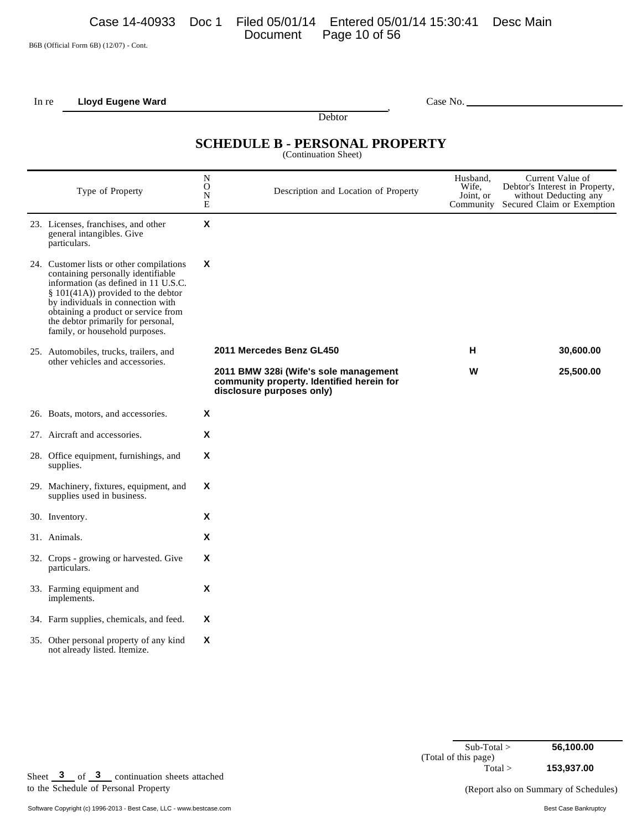B6B (Official Form 6B) (12/07) - Cont.

| In re | <b>Lloyd Eugene Ward</b>                                                                                                                                                                                                                                                                                            |                             |                                                                                                                 | Case No.                                    |                                                                                                           |
|-------|---------------------------------------------------------------------------------------------------------------------------------------------------------------------------------------------------------------------------------------------------------------------------------------------------------------------|-----------------------------|-----------------------------------------------------------------------------------------------------------------|---------------------------------------------|-----------------------------------------------------------------------------------------------------------|
|       |                                                                                                                                                                                                                                                                                                                     |                             | Debtor                                                                                                          |                                             |                                                                                                           |
|       |                                                                                                                                                                                                                                                                                                                     |                             | <b>SCHEDULE B - PERSONAL PROPERTY</b><br>(Continuation Sheet)                                                   |                                             |                                                                                                           |
|       | Type of Property                                                                                                                                                                                                                                                                                                    | N<br>$\mathbf{O}$<br>N<br>Ε | Description and Location of Property                                                                            | Husband,<br>Wife,<br>Joint, or<br>Community | Current Value of<br>Debtor's Interest in Property,<br>without Deducting any<br>Secured Claim or Exemption |
|       | 23. Licenses, franchises, and other<br>general intangibles. Give<br>particulars.                                                                                                                                                                                                                                    | X                           |                                                                                                                 |                                             |                                                                                                           |
|       | 24. Customer lists or other compilations<br>containing personally identifiable<br>information (as defined in 11 U.S.C.<br>§ $101(41A)$ ) provided to the debtor<br>by individuals in connection with<br>obtaining a product or service from<br>the debtor primarily for personal,<br>family, or household purposes. | X                           |                                                                                                                 |                                             |                                                                                                           |
|       | 25. Automobiles, trucks, trailers, and                                                                                                                                                                                                                                                                              |                             | 2011 Mercedes Benz GL450                                                                                        | н                                           | 30,600.00                                                                                                 |
|       | other vehicles and accessories.                                                                                                                                                                                                                                                                                     |                             | 2011 BMW 328i (Wife's sole management<br>community property. Identified herein for<br>disclosure purposes only) | w                                           | 25,500.00                                                                                                 |
|       | 26. Boats, motors, and accessories.                                                                                                                                                                                                                                                                                 | X                           |                                                                                                                 |                                             |                                                                                                           |
|       | 27. Aircraft and accessories.                                                                                                                                                                                                                                                                                       | X                           |                                                                                                                 |                                             |                                                                                                           |
|       | 28. Office equipment, furnishings, and<br>supplies.                                                                                                                                                                                                                                                                 | X                           |                                                                                                                 |                                             |                                                                                                           |
|       | 29. Machinery, fixtures, equipment, and<br>supplies used in business.                                                                                                                                                                                                                                               | X                           |                                                                                                                 |                                             |                                                                                                           |
|       | 30. Inventory.                                                                                                                                                                                                                                                                                                      | X                           |                                                                                                                 |                                             |                                                                                                           |
|       | 31. Animals.                                                                                                                                                                                                                                                                                                        | X                           |                                                                                                                 |                                             |                                                                                                           |
|       | 32. Crops - growing or harvested. Give<br>particulars.                                                                                                                                                                                                                                                              | X.                          |                                                                                                                 |                                             |                                                                                                           |
|       | 33. Farming equipment and<br>implements.                                                                                                                                                                                                                                                                            | $\pmb{\mathsf{X}}$          |                                                                                                                 |                                             |                                                                                                           |
|       | 34. Farm supplies, chemicals, and feed.                                                                                                                                                                                                                                                                             | X                           |                                                                                                                 |                                             |                                                                                                           |
|       | 35. Other personal property of any kind<br>not already listed. Itemize.                                                                                                                                                                                                                                             | $\pmb{\mathsf{X}}$          |                                                                                                                 |                                             |                                                                                                           |

**56,100.00**

**153,937.00**

(Report also on Summary of Schedules)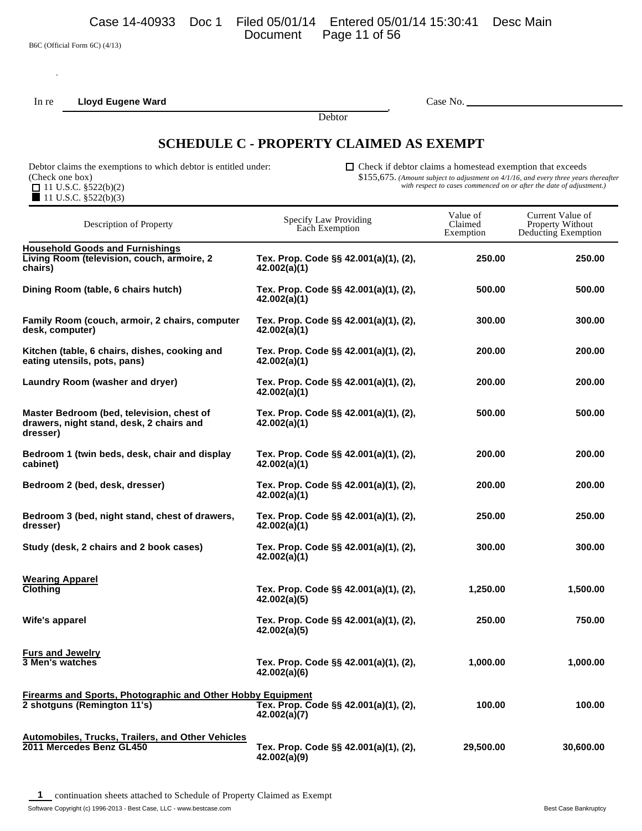Case 14-40933 Doc 1 Filed 05/01/14 Entered 05/01/14 15:30:41 Desc Main<br>Document Page 11 of 56 Page 11 of 56

B6C (Official Form 6C) (4/13)

In re

 $\ddot{\phantom{}}$ 

**Lloyd Eugene Ward Case No. Case No. Case No. Case No. Case No. Case No. Case No. Case No. Case No.** 

**Debtor** 

,

### **SCHEDULE C - PROPERTY CLAIMED AS EXEMPT**

Debtor claims the exemptions to which debtor is entitled under:  $\Box$  Check if debtor claims a homestead exemption that exceeds

(Check one box)<br>
\$155,675. *(Amount subject to adjustment on 4/1/16, and every three years thereafter*<br>
T 11 II S C 8522(b)(2) *with respect to cases commenced on or after the date of adjustment.*)

Current Value of

Value of

|  | $\Box$ 11 0.5.C. $9322(0)(2)$ |
|--|-------------------------------|
|  | 11 U.S.C. $\S522(b)(3)$       |

| Description of Property                                                                           | Specify Law Providing<br>Each Exemption               | Value of<br>Claimed<br>Exemption | Current Value of<br><b>Property Without</b><br>Deducting Exemption |
|---------------------------------------------------------------------------------------------------|-------------------------------------------------------|----------------------------------|--------------------------------------------------------------------|
| <b>Household Goods and Furnishings</b><br>Living Room (television, couch, armoire, 2<br>chairs)   | Tex. Prop. Code §§ 42.001(a)(1), (2),<br>42.002(a)(1) | 250.00                           | 250.00                                                             |
| Dining Room (table, 6 chairs hutch)                                                               | Tex. Prop. Code §§ 42.001(a)(1), (2),<br>42.002(a)(1) | 500.00                           | 500.00                                                             |
| Family Room (couch, armoir, 2 chairs, computer<br>desk, computer)                                 | Tex. Prop. Code §§ 42.001(a)(1), (2),<br>42.002(a)(1) | 300.00                           | 300.00                                                             |
| Kitchen (table, 6 chairs, dishes, cooking and<br>eating utensils, pots, pans)                     | Tex. Prop. Code §§ 42.001(a)(1), (2),<br>42.002(a)(1) | 200.00                           | 200.00                                                             |
| Laundry Room (washer and dryer)                                                                   | Tex. Prop. Code §§ 42.001(a)(1), (2),<br>42.002(a)(1) | 200.00                           | 200.00                                                             |
| Master Bedroom (bed, television, chest of<br>drawers, night stand, desk, 2 chairs and<br>dresser) | Tex. Prop. Code §§ 42.001(a)(1), (2),<br>42.002(a)(1) | 500.00                           | 500.00                                                             |
| Bedroom 1 (twin beds, desk, chair and display<br>cabinet)                                         | Tex. Prop. Code §§ 42.001(a)(1), (2),<br>42.002(a)(1) | 200.00                           | 200.00                                                             |
| Bedroom 2 (bed, desk, dresser)                                                                    | Tex. Prop. Code §§ 42.001(a)(1), (2),<br>42.002(a)(1) | 200.00                           | 200.00                                                             |
| Bedroom 3 (bed, night stand, chest of drawers,<br>dresser)                                        | Tex. Prop. Code §§ 42.001(a)(1), (2),<br>42.002(a)(1) | 250.00                           | 250.00                                                             |
| Study (desk, 2 chairs and 2 book cases)                                                           | Tex. Prop. Code §§ 42.001(a)(1), (2),<br>42.002(a)(1) | 300.00                           | 300.00                                                             |
| <b>Wearing Apparel</b><br><b>Clothing</b>                                                         | Tex. Prop. Code §§ 42.001(a)(1), (2),<br>42.002(a)(5) | 1,250.00                         | 1,500.00                                                           |
| Wife's apparel                                                                                    | Tex. Prop. Code §§ 42.001(a)(1), (2),<br>42.002(a)(5) | 250.00                           | 750.00                                                             |
| <b>Furs and Jewelry</b><br><b>3 Men's watches</b>                                                 | Tex. Prop. Code §§ 42.001(a)(1), (2),<br>42.002(a)(6) | 1,000.00                         | 1.000.00                                                           |
| <b>Firearms and Sports, Photographic and Other Hobby Equipment</b><br>2 shotguns (Remington 11's) | Tex. Prop. Code §§ 42.001(a)(1), (2),<br>42.002(a)(7) | 100.00                           | 100.00                                                             |
| Automobiles, Trucks, Trailers, and Other Vehicles<br>2011 Mercedes Benz GL450                     | Tex. Prop. Code §§ 42.001(a)(1), (2),<br>42.002(a)(9) | 29,500.00                        | 30,600.00                                                          |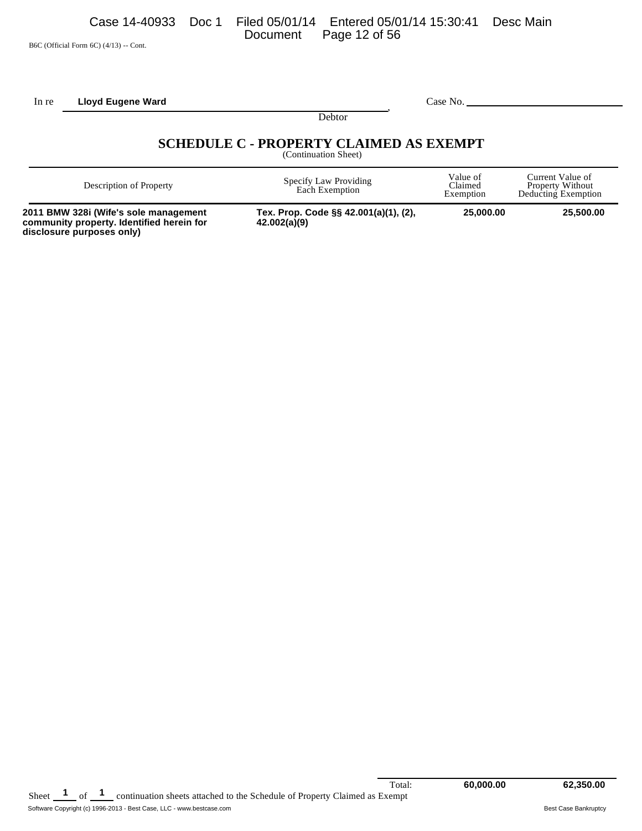B6C (Official Form 6C) (4/13) -- Cont.

In re **Lloyd Eugene Ward Case No. Case No. Case No. Case No. Case No. Case No. Case No. Case No. Case No.** 

### Debtor

### **SCHEDULE C - PROPERTY CLAIMED AS EXEMPT**

(Continuation Sheet)

| Description of Property                                                                                         | Specify Law Providing<br>Each Exemption               | Value of<br>Claimed<br>Exemption | Current Value of<br><b>Property Without</b><br>Deducting Exemption |
|-----------------------------------------------------------------------------------------------------------------|-------------------------------------------------------|----------------------------------|--------------------------------------------------------------------|
| 2011 BMW 328i (Wife's sole management<br>community property. Identified herein for<br>disclosure purposes only) | Tex. Prop. Code §§ 42.001(a)(1), (2),<br>42.002(a)(9) | 25,000,00                        | 25,500.00                                                          |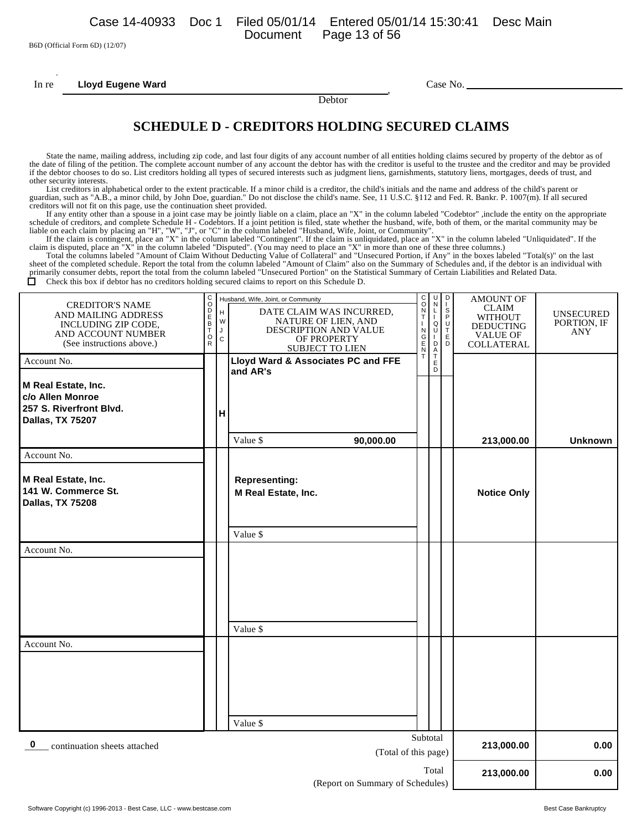B6D (Official Form 6D) (12/07)

In re

#### **Lloyd Eugene Ward Case No. Case No. Case No. Case No. Case No. Case No.**

Debtor

### **SCHEDULE D - CREDITORS HOLDING SECURED CLAIMS**

State the name, mailing address, including zip code, and last four digits of any account number of all entities holding claims secured by property of the debtor as of the date of filing of the petition. The complete accoun if the debtor chooses to do so. List creditors holding all types of secured interests such as judgment liens, garnishments, statutory liens, mortgages, deeds of trust, and other security interests.

List creditors in alphabetical order to the extent practicable. If a minor child is a creditor, the child's initials and the name and address of the child's parent or guardian, such as "A.B., a minor child, by John Doe, gu creditors will not fit on this page, use the continuation sheet provided.

If any entity other than a spouse in a joint case may be jointly liable on a claim, place an "X" in the column labeled "Codebtor", include the entity on the appropriate schedule of creditors, and complete Schedule H - Code  $\Box$ 

Check this box if debtor has no creditors holding secured claims to report on this Schedule D.

| <b>CREDITOR'S NAME</b><br>AND MAILING ADDRESS<br><b>INCLUDING ZIP CODE,</b><br>AND ACCOUNT NUMBER<br>(See instructions above.) | CODEBTOR | $\mathsf H$<br>W<br>$\mathsf J$<br>$\mathtt{C}$ | Husband, Wife, Joint, or Community<br>DATE CLAIM WAS INCURRED,<br>NATURE OF LIEN, AND<br>DESCRIPTION AND VALUE<br>OF PROPERTY<br><b>SUBJECT TO LIEN</b> | C<br>D<br>T<br>T<br>$\mathbf{I}$<br>2mQZ | $\overline{D}$   | D | <b>AMOUNT OF</b><br><b>CLAIM</b><br><b>WITHOUT</b><br><b>DEDUCTING</b><br><b>VALUE OF</b><br><b>COLLATERAL</b> | <b>UNSECURED</b><br>PORTION, IF<br><b>ANY</b> |
|--------------------------------------------------------------------------------------------------------------------------------|----------|-------------------------------------------------|---------------------------------------------------------------------------------------------------------------------------------------------------------|------------------------------------------|------------------|---|----------------------------------------------------------------------------------------------------------------|-----------------------------------------------|
| Account No.                                                                                                                    |          |                                                 | Lloyd Ward & Associates PC and FFE<br>and AR's                                                                                                          | T.                                       | A<br>T<br>E<br>D |   |                                                                                                                |                                               |
| M Real Estate, Inc.<br><b>c/o Allen Monroe</b><br>257 S. Riverfront Blvd.<br><b>Dallas, TX 75207</b>                           |          | н                                               |                                                                                                                                                         |                                          |                  |   |                                                                                                                |                                               |
|                                                                                                                                |          |                                                 | Value \$<br>90,000.00                                                                                                                                   |                                          |                  |   | 213,000.00                                                                                                     | <b>Unknown</b>                                |
| Account No.<br>M Real Estate, Inc.<br>141 W. Commerce St.<br><b>Dallas, TX 75208</b>                                           |          |                                                 | <b>Representing:</b><br>M Real Estate, Inc.                                                                                                             |                                          |                  |   | <b>Notice Only</b>                                                                                             |                                               |
| Account No.                                                                                                                    |          |                                                 | Value \$                                                                                                                                                |                                          |                  |   |                                                                                                                |                                               |
|                                                                                                                                |          |                                                 |                                                                                                                                                         |                                          |                  |   |                                                                                                                |                                               |
|                                                                                                                                |          |                                                 | Value \$                                                                                                                                                |                                          |                  |   |                                                                                                                |                                               |
| Account No.                                                                                                                    |          |                                                 | Value \$                                                                                                                                                |                                          |                  |   |                                                                                                                |                                               |
| 0<br>continuation sheets attached                                                                                              |          |                                                 | (Total of this page)                                                                                                                                    | Subtotal                                 |                  |   | 213,000.00                                                                                                     | 0.00                                          |
|                                                                                                                                |          |                                                 |                                                                                                                                                         |                                          | Total            |   | 213.000.00                                                                                                     | 0.00                                          |

(Report on Summary of Schedules)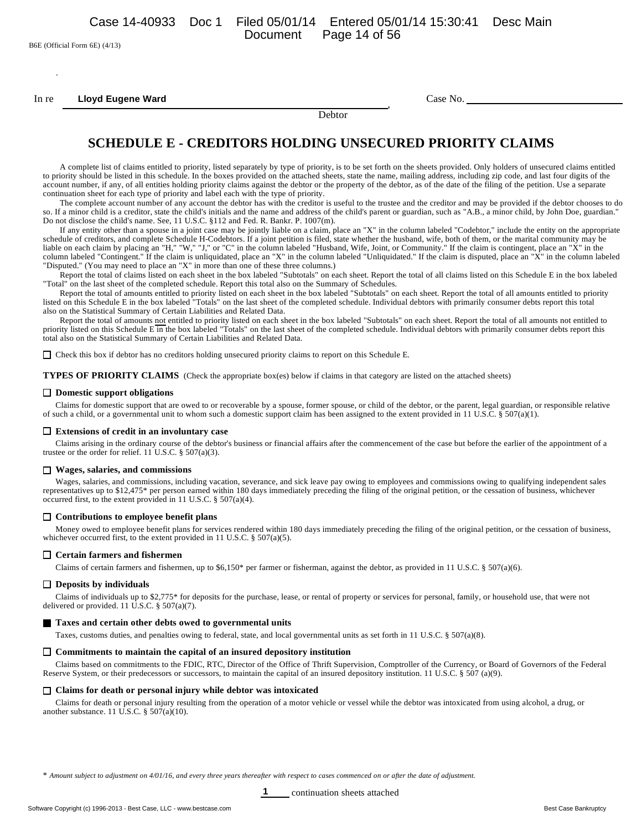B6E (Official Form 6E) (4/13)

In re

**Lloyd Eugene Ward Case No. 2 Case No. 2 Case No. 2 Case No. 2 Case No. 2 Case No. 2** 

,

#### **Debtor**

### **SCHEDULE E - CREDITORS HOLDING UNSECURED PRIORITY CLAIMS**

A complete list of claims entitled to priority, listed separately by type of priority, is to be set forth on the sheets provided. Only holders of unsecured claims entitled to priority should be listed in this schedule. In the boxes provided on the attached sheets, state the name, mailing address, including zip code, and last four digits of the account number, if any, of all entities holding priority claims against the debtor or the property of the debtor, as of the date of the filing of the petition. Use a separate continuation sheet for each type of priority and label each with the type of priority.

The complete account number of any account the debtor has with the creditor is useful to the trustee and the creditor and may be provided if the debtor chooses to do so. If a minor child is a creditor, state the child's initials and the name and address of the child's parent or guardian, such as "A.B., a minor child, by John Doe, guardian." Do not disclose the child's name. See, 11 U.S.C. §112 and Fed. R. Bankr. P. 1007(m).

If any entity other than a spouse in a joint case may be jointly liable on a claim, place an "X" in the column labeled "Codebtor," include the entity on the appropriate schedule of creditors, and complete Schedule H-Codebtors. If a joint petition is filed, state whether the husband, wife, both of them, or the marital community may be liable on each claim by placing an "H," "W," "J," or "C" in the column labeled "Husband, Wife, Joint, or Community." If the claim is contingent, place an "X" in the column labeled "Contingent." If the claim is unliquidated, place an "X" in the column labeled "Unliquidated." If the claim is disputed, place an "X" in the column labeled "Disputed." (You may need to place an "X" in more than one of these three columns.)

Report the total of claims listed on each sheet in the box labeled "Subtotals" on each sheet. Report the total of all claims listed on this Schedule E in the box labeled "Total" on the last sheet of the completed schedule. Report this total also on the Summary of Schedules.

Report the total of amounts entitled to priority listed on each sheet in the box labeled "Subtotals" on each sheet. Report the total of all amounts entitled to priority listed on this Schedule E in the box labeled "Totals" on the last sheet of the completed schedule. Individual debtors with primarily consumer debts report this total also on the Statistical Summary of Certain Liabilities and Related Data.

Report the total of amounts not entitled to priority listed on each sheet in the box labeled "Subtotals" on each sheet. Report the total of all amounts not entitled to priority listed on this Schedule E in the box labeled "Totals" on the last sheet of the completed schedule. Individual debtors with primarily consumer debts report this total also on the Statistical Summary of Certain Liabilities and Related Data.

Check this box if debtor has no creditors holding unsecured priority claims to report on this Schedule E.

**TYPES OF PRIORITY CLAIMS** (Check the appropriate box(es) below if claims in that category are listed on the attached sheets)

#### **Domestic support obligations**

Claims for domestic support that are owed to or recoverable by a spouse, former spouse, or child of the debtor, or the parent, legal guardian, or responsible relative of such a child, or a governmental unit to whom such a domestic support claim has been assigned to the extent provided in 11 U.S.C. § 507(a)(1).

#### **Extensions of credit in an involuntary case**

Claims arising in the ordinary course of the debtor's business or financial affairs after the commencement of the case but before the earlier of the appointment of a trustee or the order for relief. 11 U.S.C.  $\S$  507(a)(3).

#### **Wages, salaries, and commissions**

Wages, salaries, and commissions, including vacation, severance, and sick leave pay owing to employees and commissions owing to qualifying independent sales representatives up to \$12,475\* per person earned within 180 days immediately preceding the filing of the original petition, or the cessation of business, whichever occurred first, to the extent provided in 11 U.S.C. § 507(a)(4).

#### **Contributions to employee benefit plans**

Money owed to employee benefit plans for services rendered within 180 days immediately preceding the filing of the original petition, or the cessation of business, whichever occurred first, to the extent provided in 11 U.S.C. § 507(a)(5).

#### **Certain farmers and fishermen**

Claims of certain farmers and fishermen, up to  $$6,150*$  per farmer or fisherman, against the debtor, as provided in 11 U.S.C. § 507(a)(6).

#### **Deposits by individuals**

Claims of individuals up to \$2,775\* for deposits for the purchase, lease, or rental of property or services for personal, family, or household use, that were not delivered or provided. 11 U.S.C.  $\S$  507(a)(7).

#### **Taxes and certain other debts owed to governmental units**

Taxes, customs duties, and penalties owing to federal, state, and local governmental units as set forth in 11 U.S.C. § 507(a)(8).

#### **Commitments to maintain the capital of an insured depository institution**

Claims based on commitments to the FDIC, RTC, Director of the Office of Thrift Supervision, Comptroller of the Currency, or Board of Governors of the Federal Reserve System, or their predecessors or successors, to maintain the capital of an insured depository institution. 11 U.S.C. § 507 (a)(9).

#### **Claims for death or personal injury while debtor was intoxicated**

Claims for death or personal injury resulting from the operation of a motor vehicle or vessel while the debtor was intoxicated from using alcohol, a drug, or another substance. 11 U.S.C.  $\S$  507(a)(10).

\* *Amount subject to adjustment on 4/01/16, and every three years thereafter with respect to cases commenced on or after the date of adjustment.*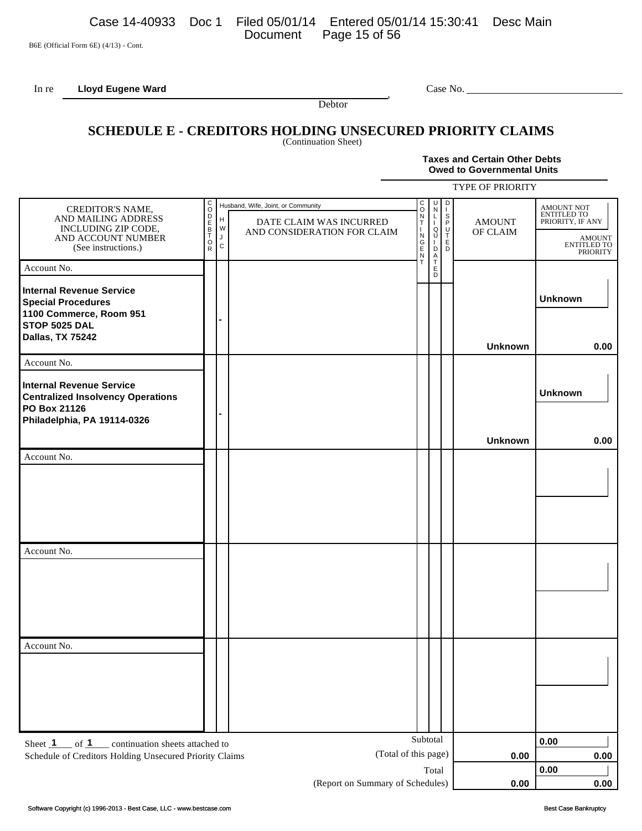B6E (Official Form 6E) (4/13) - Cont.

In re

**Lloyd Eugene Ward** Case No. **Case No. Case No. Case No. Case No. Case No. Case No. Case No. Case No. Case No. Case No. Case No. Case No. Case No. Case No. Case No. Case No. Case No. Case** 

### **SCHEDULE E - CREDITORS HOLDING UNSECURED PRIORITY CLAIMS**

Debtor

(Continuation Sheet)

**Taxes and Certain Other Debts Owed to Governmental Units**

|                                                                                                                                     |                |                                    |                                                                                              |                |                                              |                            | TYPE OF PRIORITY          |                                                                                                                |
|-------------------------------------------------------------------------------------------------------------------------------------|----------------|------------------------------------|----------------------------------------------------------------------------------------------|----------------|----------------------------------------------|----------------------------|---------------------------|----------------------------------------------------------------------------------------------------------------|
| <b>CREDITOR'S NAME,</b><br>AND MAILING ADDRESS<br>INCLUDING ZIP CODE,<br>AND ACCOUNT NUMBER<br>(See instructions.)                  | $\overline{R}$ | H<br>${\sf W}$<br>J<br>$\mathbf C$ | Husband, Wife, Joint, or Community<br>DATE CLAIM WAS INCURRED<br>AND CONSIDERATION FOR CLAIM | $-120$<br>2mQZ | $-\sum_{i=1}^{n}$<br>$_{\rm U}^{\rm Q}$<br>L | D<br>$D \equiv 0 \pmod{1}$ | <b>AMOUNT</b><br>OF CLAIM | <b>AMOUNT NOT</b><br>ENTITLED TO<br>PRIORITY, IF ANY<br><b>AMOUNT</b><br><b>ENTITLED TO</b><br><b>PRIORITY</b> |
| Account No.                                                                                                                         |                |                                    |                                                                                              | T.             | D<br>A<br>T<br>E<br>D                        |                            |                           |                                                                                                                |
| <b>Internal Revenue Service</b><br><b>Special Procedures</b><br>1100 Commerce, Room 951<br>STOP 5025 DAL<br><b>Dallas, TX 75242</b> |                |                                    |                                                                                              |                |                                              |                            | <b>Unknown</b>            | <b>Unknown</b><br>0.00                                                                                         |
| Account No.                                                                                                                         |                |                                    |                                                                                              |                |                                              |                            |                           |                                                                                                                |
| <b>Internal Revenue Service</b><br><b>Centralized Insolvency Operations</b><br>PO Box 21126<br>Philadelphia, PA 19114-0326          |                |                                    |                                                                                              |                |                                              |                            |                           | <b>Unknown</b>                                                                                                 |
|                                                                                                                                     |                |                                    |                                                                                              |                |                                              |                            | <b>Unknown</b>            | 0.00                                                                                                           |
| Account No.                                                                                                                         |                |                                    |                                                                                              |                |                                              |                            |                           |                                                                                                                |
| Account No.                                                                                                                         |                |                                    |                                                                                              |                |                                              |                            |                           |                                                                                                                |
| Account No.                                                                                                                         |                |                                    |                                                                                              |                |                                              |                            |                           |                                                                                                                |
| Sheet 1<br>$-$ of $\overline{1}$<br>continuation sheets attached to                                                                 |                |                                    |                                                                                              | Subtotal       |                                              |                            |                           | 0.00                                                                                                           |
| Schedule of Creditors Holding Unsecured Priority Claims                                                                             |                |                                    | (Total of this page)                                                                         |                |                                              |                            | 0.00                      | 0.00                                                                                                           |
|                                                                                                                                     |                |                                    | (Report on Summary of Schedules)                                                             |                | Total                                        |                            | 0.00                      | $0.00\,$<br>0.00                                                                                               |
|                                                                                                                                     |                |                                    |                                                                                              |                |                                              |                            |                           |                                                                                                                |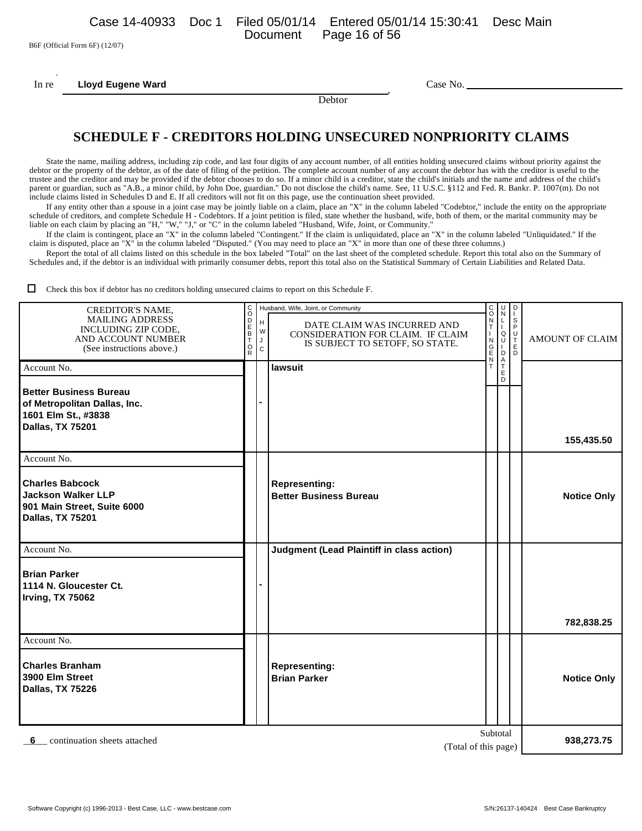Document Page 16 of 56

**Lloyd Eugene Ward** Case No.

,

### **SCHEDULE F - CREDITORS HOLDING UNSECURED NONPRIORITY CLAIMS**

Debtor

State the name, mailing address, including zip code, and last four digits of any account number, of all entities holding unsecured claims without priority against the debtor or the property of the debtor, as of the date of filing of the petition. The complete account number of any account the debtor has with the creditor is useful to the trustee and the creditor and may be provided if the debtor chooses to do so. If a minor child is a creditor, state the child's initials and the name and address of the child's parent or guardian, such as "A.B., a minor child, by John Doe, guardian." Do not disclose the child's name. See, 11 U.S.C. §112 and Fed. R. Bankr. P. 1007(m). Do not include claims listed in Schedules D and E. If all creditors will not fit on this page, use the continuation sheet provided.

If any entity other than a spouse in a joint case may be jointly liable on a claim, place an "X" in the column labeled "Codebtor," include the entity on the appropriate schedule of creditors, and complete Schedule H - Codebtors. If a joint petition is filed, state whether the husband, wife, both of them, or the marital community may be liable on each claim by placing an "H," "W," "J," or "C" in the column labeled "Husband, Wife, Joint, or Community."

If the claim is contingent, place an "X" in the column labeled "Contingent." If the claim is unliquidated, place an "X" in the column labeled "Unliquidated." If the claim is disputed, place an "X" in the column labeled "Disputed." (You may need to place an "X" in more than one of these three columns.)

Report the total of all claims listed on this schedule in the box labeled "Total" on the last sheet of the completed schedule. Report this total also on the Summary of Schedules and, if the debtor is an individual with primarily consumer debts, report this total also on the Statistical Summary of Certain Liabilities and Related Data.

Check this box if debtor has no creditors holding unsecured claims to report on this Schedule F.

| <b>CREDITOR'S NAME,</b><br><b>MAILING ADDRESS</b><br>INCLUDING ZIP CODE,<br>AND ACCOUNT NUMBER<br>(See instructions above.)<br>Account No. | C<br>ODEBTO<br>$\overline{R}$ | H<br>W<br>J<br>$\mathbf C$ | Husband, Wife, Joint, or Community<br>DATE CLAIM WAS INCURRED AND<br>CONSIDERATION FOR CLAIM. IF CLAIM<br>IS SUBJECT TO SETOFF, SO STATE.<br>lawsuit | $\mathbf C$<br>$\circ$<br>$\frac{N}{T}$<br>$\mathbf{L}$<br>N<br>G<br>E<br>N<br>T | $U$ D<br>$\begin{array}{c c}\n-\mathsf{P} & \mathsf{D}\n\end{array}$<br>$\begin{bmatrix} 0 \\ 0 \end{bmatrix}$<br>$\mathbf{L}$<br>$\frac{D}{A}$<br>$_{\rm D}^{\rm E}$ | IЕ<br>l D | <b>AMOUNT OF CLAIM</b> |
|--------------------------------------------------------------------------------------------------------------------------------------------|-------------------------------|----------------------------|------------------------------------------------------------------------------------------------------------------------------------------------------|----------------------------------------------------------------------------------|-----------------------------------------------------------------------------------------------------------------------------------------------------------------------|-----------|------------------------|
| <b>Better Business Bureau</b><br>of Metropolitan Dallas, Inc.<br>1601 Elm St., #3838<br><b>Dallas, TX 75201</b>                            |                               |                            |                                                                                                                                                      |                                                                                  |                                                                                                                                                                       |           | 155,435.50             |
| Account No.<br><b>Charles Babcock</b><br><b>Jackson Walker LLP</b><br>901 Main Street, Suite 6000<br><b>Dallas, TX 75201</b>               |                               |                            | <b>Representing:</b><br><b>Better Business Bureau</b>                                                                                                |                                                                                  |                                                                                                                                                                       |           | <b>Notice Only</b>     |
| Account No.<br><b>Brian Parker</b><br>1114 N. Gloucester Ct.<br>Irving, TX 75062                                                           |                               |                            | <b>Judgment (Lead Plaintiff in class action)</b>                                                                                                     |                                                                                  |                                                                                                                                                                       |           | 782,838.25             |
| Account No.<br><b>Charles Branham</b><br>3900 Elm Street<br><b>Dallas, TX 75226</b>                                                        |                               |                            | <b>Representing:</b><br><b>Brian Parker</b>                                                                                                          |                                                                                  |                                                                                                                                                                       |           | <b>Notice Only</b>     |
| <b>6</b> continuation sheets attached                                                                                                      |                               |                            | (Total of this page)                                                                                                                                 | Subtotal                                                                         |                                                                                                                                                                       |           | 938,273.75             |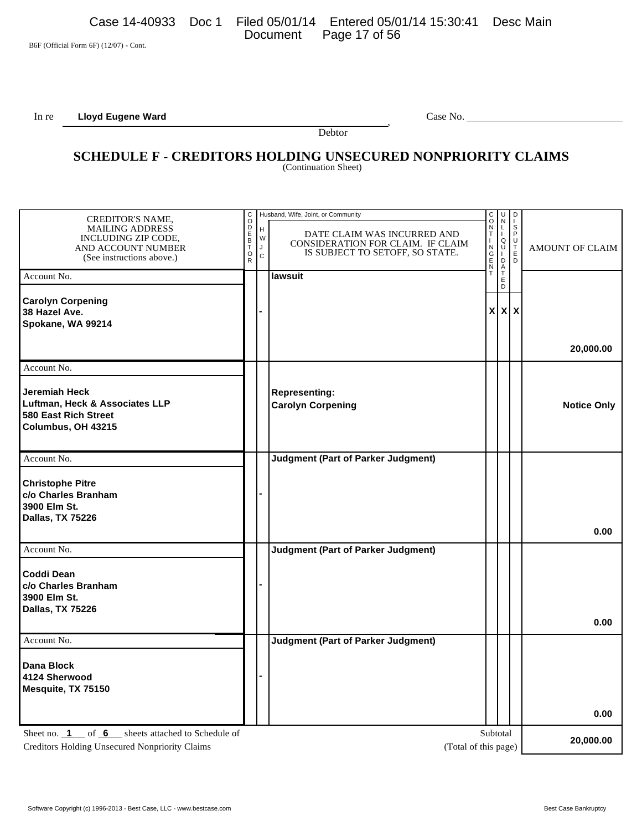B6F (Official Form 6F) (12/07) - Cont.

In re **Lloyd Eugene Ward** Case No. 2008 **Case No. 2008** 

**Debtor** 

#### **SCHEDULE F - CREDITORS HOLDING UNSECURED NONPRIORITY CLAIMS** (Continuation Sheet)

C O D E B T O R CONT INGENT U N L I Q U I D A T E D D I S P U T E D Husband, Wife, Joint, or Community H W J C CREDITOR'S NAME, MAILING ADDRESS INCLUDING ZIP CODE, AND ACCOUNT NUMBER (See instructions above.) Account No. Account No. Account No. Account No. Account No. Sheet no. <u>1 of 6 sheets</u> attached to Schedule of Subtotal Subtotal Subtotal Subtotal Subtotal Subtotal Subtotal Subtotal Subtotal Subtotal Subtotal Subtotal Subtotal Subtotal Subtotal Subtotal Subtotal Subtotal Subtotal S DATE CLAIM WAS INCURRED AND CONSIDERATION FOR CLAIM. IF CLAIM **ISSUBBEATION FOR CLAIM.** IF CLAIM  $\begin{bmatrix} \ddot{a} & \ddot{b} & \ddot{c} \\ \ddot{b} & \ddot{c} & \ddot{c} \end{bmatrix}$  AMOUNT OF CLAIM IS SUBJECT TO SETOFF, SO STATE. **lawsuit Carolyn Corpening 38 Hazel Ave. Spokane, WA 99214**  $\mathbf{x} \times \mathbf{x}$ **20,000.00 Representing: Carolyn Corpening Notice Only Jeremiah Heck Luftman, Heck & Associates LLP 580 East Rich Street Columbus, OH 43215 Judgment (Part of Parker Judgment) Christophe Pitre c/o Charles Branham 3900 Elm St. Dallas, TX 75226 - 0.00 Judgment (Part of Parker Judgment) Coddi Dean c/o Charles Branham 3900 Elm St. Dallas, TX 75226 - 0.00 Judgment (Part of Parker Judgment) Dana Block 4124 Sherwood Mesquite, TX 75150 - 0.00**

Creditors Holding Unsecured Nonpriority Claims (Total of this page)

**20,000.00**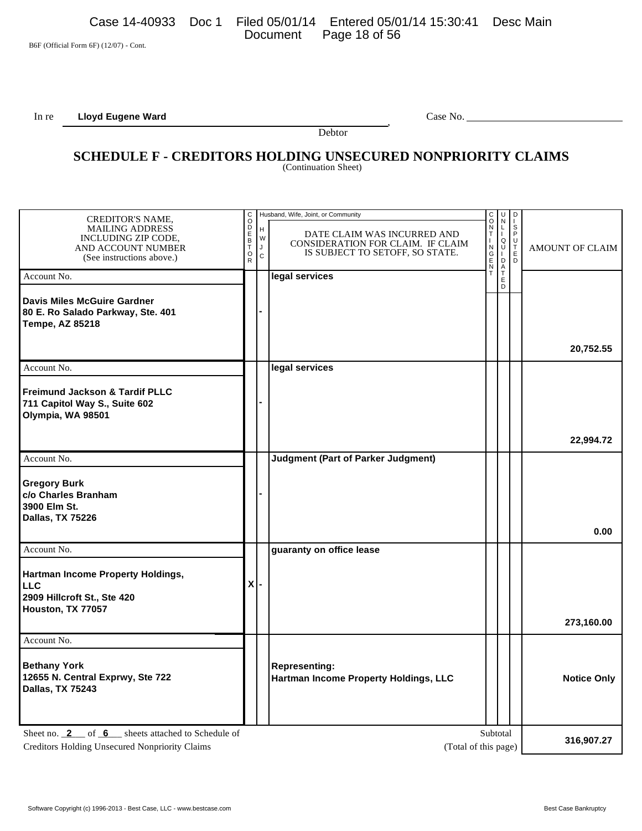B6F (Official Form 6F) (12/07) - Cont.

In re **Lloyd Eugene Ward** Case No. 2008 **Case No. 2008** Case No. 2008 **Case No. 2008** 

**Debtor** 

#### **SCHEDULE F - CREDITORS HOLDING UNSECURED NONPRIORITY CLAIMS** (Continuation Sheet)

C O D E B T O R CONT INGENT U N L I Q U I D A T E D D I S P U T E D Husband, Wife, Joint, or Community H W J C CREDITOR'S NAME, MAILING ADDRESS INCLUDING ZIP CODE, AND ACCOUNT NUMBER (See instructions above.) Account No. Account No. Account No. Account No. Account No. DATE CLAIM WAS INCURRED AND CONSIDERATION FOR CLAIM. IF CLAIM **ISSUBBEATION FOR CLAIM.** IF CLAIM  $\begin{bmatrix} \ddot{a} & \ddot{b} & \ddot{c} \\ \ddot{b} & \ddot{c} & \ddot{c} \end{bmatrix}$  AMOUNT OF CLAIM IS SUBJECT TO SETOFF, SO STATE. **legal services Davis Miles McGuire Gardner 80 E. Ro Salado Parkway, Ste. 401 Tempe, AZ 85218 - 20,752.55 legal services Freimund Jackson & Tardif PLLC 711 Capitol Way S., Suite 602 Olympia, WA 98501 - 22,994.72 Judgment (Part of Parker Judgment) Gregory Burk c/o Charles Branham 3900 Elm St. Dallas, TX 75226 - 0.00 guaranty on office lease Hartman Income Property Holdings, LLC 2909 Hillcroft St., Ste 420 Houston, TX 77057 X - 273,160.00 Representing:** Hartman Income Property Holdings, LLC **Notice Only Bethany York 12655 N. Central Exprwy, Ste 722 Dallas, TX 75243**

Sheet no. <u>2 of 6</u> sheets attached to Schedule of Subtotal

Creditors Holding Unsecured Nonpriority Claims (Total of this page)

**316,907.27**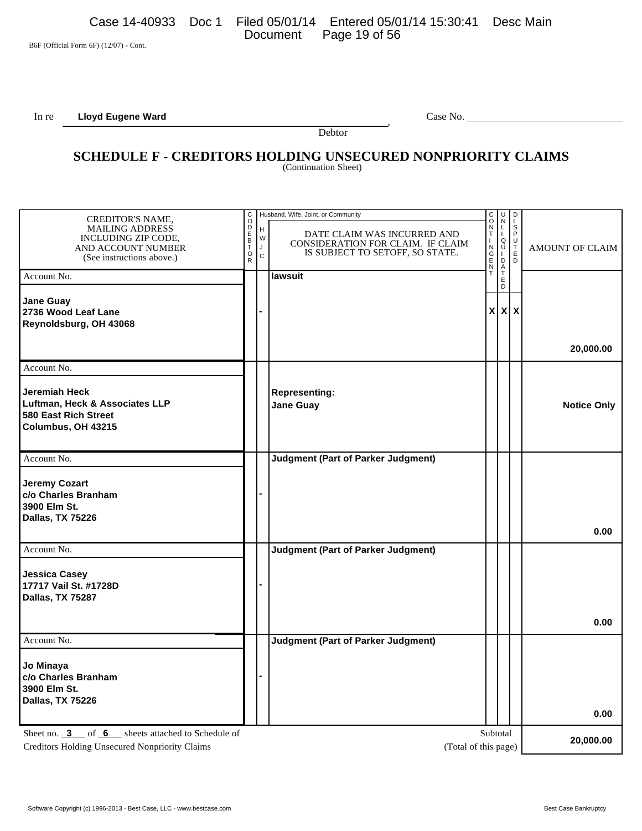B6F (Official Form 6F) (12/07) - Cont.

In re **Lloyd Eugene Ward** Case No. 2008 **Case No. 2008** 

**Debtor** 

#### **SCHEDULE F - CREDITORS HOLDING UNSECURED NONPRIORITY CLAIMS** (Continuation Sheet)

C O D E B T O R CONT INGENT U N L I Q U I D A T E D D I S P U T E D Husband, Wife, Joint, or Community H W J C CREDITOR'S NAME, MAILING ADDRESS INCLUDING ZIP CODE, AND ACCOUNT NUMBER (See instructions above.) Account No. Account No. Account No. Account No. Account No. DATE CLAIM WAS INCURRED AND CONSIDERATION FOR CLAIM. IF CLAIM **ISSUBBEATION FOR CLAIM.** IF CLAIM  $\begin{bmatrix} \ddot{a} & \ddot{b} & \ddot{c} \\ \ddot{b} & \ddot{c} & \ddot{c} \end{bmatrix}$  AMOUNT OF CLAIM IS SUBJECT TO SETOFF, SO STATE. **lawsuit Jane Guay 2736 Wood Leaf Lane Reynoldsburg, OH 43068**  $\mathbf{x} \times \mathbf{x}$ **20,000.00 Representing: Jane Guay Notice Only Notice Only Jeremiah Heck Luftman, Heck & Associates LLP 580 East Rich Street Columbus, OH 43215 Judgment (Part of Parker Judgment) Jeremy Cozart c/o Charles Branham 3900 Elm St. Dallas, TX 75226 - 0.00 Judgment (Part of Parker Judgment) Jessica Casey 17717 Vail St. #1728D Dallas, TX 75287 - 0.00 Judgment (Part of Parker Judgment) Jo Minaya c/o Charles Branham 3900 Elm St. Dallas, TX 75226 - 0.00**

Sheet no. <u>3</u> of 6 sheets attached to Schedule of Subtotal

Creditors Holding Unsecured Nonpriority Claims (Total of this page)

**20,000.00**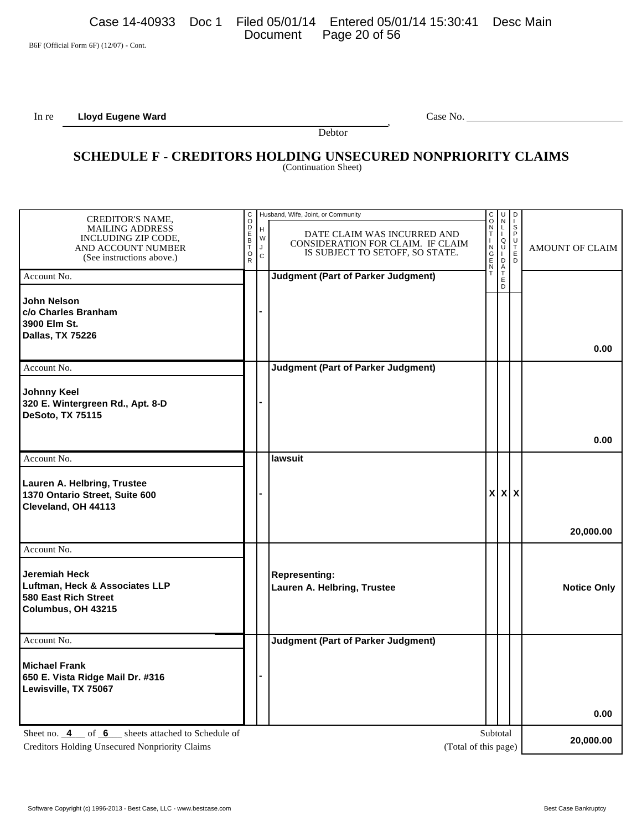B6F (Official Form 6F) (12/07) - Cont.

In re **Lloyd Eugene Ward** Case No. 2008 **Case No. 2008** 

Debtor

#### **SCHEDULE F - CREDITORS HOLDING UNSECURED NONPRIORITY CLAIMS** (Continuation Sheet)

C O D E B T O R CONT INGENT U N L I Q U I D A T E D D I S P U T E D Husband, Wife, Joint, or Community H W J C CREDITOR'S NAME, MAILING ADDRESS INCLUDING ZIP CODE, AND ACCOUNT NUMBER (See instructions above.) Account No. Account No. Account No. Account No. Account No. DATE CLAIM WAS INCURRED AND CONSIDERATION FOR CLAIM. IF CLAIM **ISSUBBEATION FOR CLAIM.** IF CLAIM  $\begin{bmatrix} \ddot{a} & \ddot{b} & \ddot{c} \\ \ddot{b} & \ddot{c} & \ddot{c} \end{bmatrix}$  AMOUNT OF CLAIM IS SUBJECT TO SETOFF, SO STATE. **Judgment (Part of Parker Judgment) John Nelson c/o Charles Branham 3900 Elm St. Dallas, TX 75226 - 0.00 Judgment (Part of Parker Judgment) Johnny Keel 320 E. Wintergreen Rd., Apt. 8-D DeSoto, TX 75115 - 0.00 lawsuit Lauren A. Helbring, Trustee 1370 Ontario Street, Suite 600 Cleveland, OH 44113**  $\mathbf{x} \times \mathbf{x}$ **20,000.00 Representing:** Lauren A. Helbring, Trustee **Notice Communist Reserves Algebra** Notice Only **Jeremiah Heck Luftman, Heck & Associates LLP 580 East Rich Street Columbus, OH 43215 Judgment (Part of Parker Judgment) Michael Frank 650 E. Vista Ridge Mail Dr. #316 Lewisville, TX 75067 - 0.00**

Sheet no. <u>4 of 6 sheets</u> attached to Schedule of Subtotal

Creditors Holding Unsecured Nonpriority Claims (Total of this page)

**20,000.00**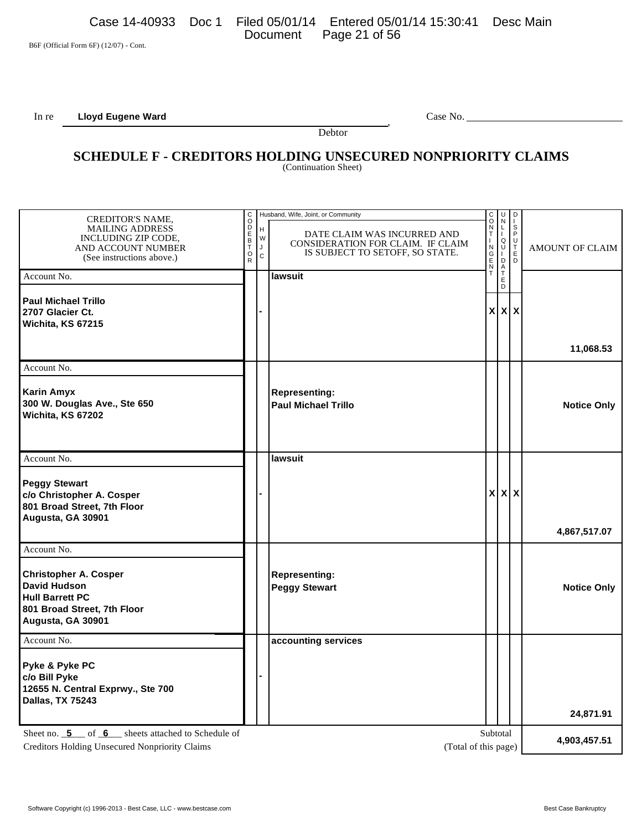B6F (Official Form 6F) (12/07) - Cont.

In re **Lloyd Eugene Ward** Case No.

Debtor

#### **SCHEDULE F - CREDITORS HOLDING UNSECURED NONPRIORITY CLAIMS** (Continuation Sheet)

| <b>CREDITOR'S NAME,</b><br><b>MAILING ADDRESS</b>                                                                                 | CODEBTO   | H                     | Husband, Wife, Joint, or Community<br>DATE CLAIM WAS INCURRED AND    | C<br>O<br>T<br>T     | $CD = 2C$    | D<br>$\frac{1}{p}$ |                    |
|-----------------------------------------------------------------------------------------------------------------------------------|-----------|-----------------------|----------------------------------------------------------------------|----------------------|--------------|--------------------|--------------------|
| <b>INCLUDING ZIP CODE,</b><br>AND ACCOUNT NUMBER<br>(See instructions above.)                                                     | ${\sf R}$ | W<br>J<br>$\mathbf C$ | CONSIDERATION FOR CLAIM. IF CLAIM<br>IS SUBJECT TO SETOFF, SO STATE. | $\mathbf{L}$<br>200Z | $\mathbf{I}$ | $\frac{1}{T}$      | AMOUNT OF CLAIM    |
| Account No.                                                                                                                       |           |                       | lawsuit                                                              | T                    |              |                    |                    |
| l Paul Michael Trillo<br>2707 Glacier Ct.<br>Wichita, KS 67215                                                                    |           |                       |                                                                      |                      | x x          |                    |                    |
|                                                                                                                                   |           |                       |                                                                      |                      |              |                    | 11,068.53          |
| Account No.                                                                                                                       |           |                       |                                                                      |                      |              |                    |                    |
| Karin Amyx<br>300 W. Douglas Ave., Ste 650<br>Wichita, KS 67202                                                                   |           |                       | <b>Representing:</b><br><b>Paul Michael Trillo</b>                   |                      |              |                    | <b>Notice Only</b> |
| Account No.                                                                                                                       |           |                       | lawsuit                                                              |                      |              |                    |                    |
| <b>Peggy Stewart</b><br>c/o Christopher A. Cosper<br>801 Broad Street, 7th Floor<br>Augusta, GA 30901                             |           |                       |                                                                      |                      | x x          |                    |                    |
| Account No.                                                                                                                       |           |                       |                                                                      |                      |              |                    | 4,867,517.07       |
| <b>Christopher A. Cosper</b><br><b>David Hudson</b><br><b>Hull Barrett PC</b><br>801 Broad Street, 7th Floor<br>Augusta, GA 30901 |           |                       | <b>Representing:</b><br><b>Peggy Stewart</b>                         |                      |              |                    | <b>Notice Only</b> |
| Account No.                                                                                                                       |           |                       | accounting services                                                  |                      |              |                    |                    |
| Pyke & Pyke PC<br>c/o Bill Pyke<br>12655 N. Central Exprwy., Ste 700<br>Dallas, TX 75243                                          |           |                       |                                                                      |                      |              |                    |                    |
|                                                                                                                                   |           |                       |                                                                      |                      |              |                    | 24,871.91          |
| Sheet no. 5 of 6 sheets attached to Schedule of<br><b>CONTACT AND STRUCTURES</b><br>$\alpha$ is the set of $\alpha$               |           |                       | $\sim$ $\sim$ $\sim$ $\sim$                                          | Subtotal             |              |                    | 4,903,457.51       |

Creditors Holding Unsecured Nonpriority Claims (Total of this page)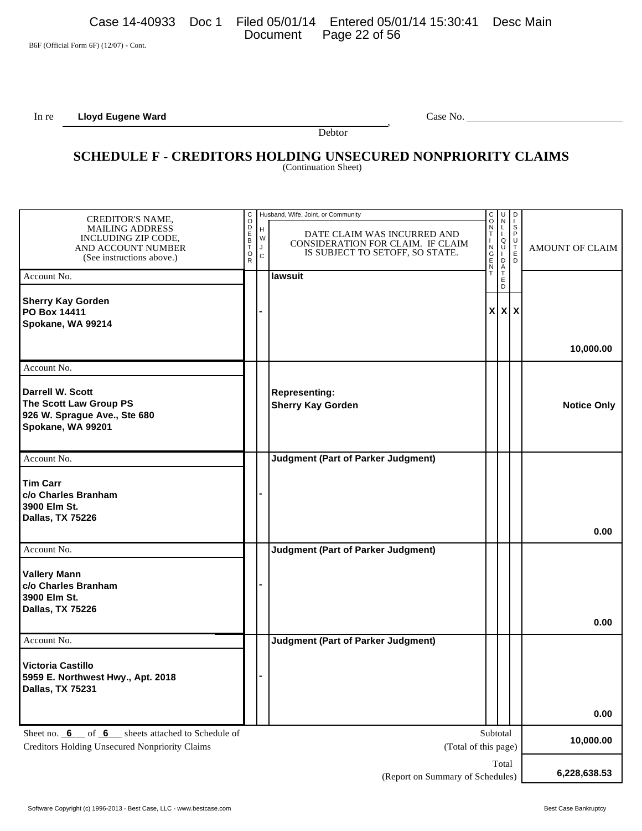B6F (Official Form 6F) (12/07) - Cont.

In re **Lloyd Eugene Ward** Case No.

Debtor

#### **SCHEDULE F - CREDITORS HOLDING UNSECURED NONPRIORITY CLAIMS** (Continuation Sheet)

C O D E B T O R CONT INGENT U N L I Q U I D A T E D D I S P U T E D Husband, Wife, Joint, or Community H W J C CREDITOR'S NAME, MAILING ADDRESS INCLUDING ZIP CODE, AND ACCOUNT NUMBER (See instructions above.) Account No. Account No. Account No. Account No. Account No. Sheet no. <u>6 of 6 sheets</u> attached to Schedule of Subtotal Subtotal Subtotal Subtotal Subtotal Subtotal Subtotal Subtotal Subtotal Subtotal Subtotal Subtotal Subtotal Subtotal Subtotal Subtotal Subtotal Subtotal Subtotal S Creditors Holding Unsecured Nonpriority Claims (Total of this page) DATE CLAIM WAS INCURRED AND CONSIDERATION FOR CLAIM. IF CLAIM **ISSUBBEATION FOR CLAIM.** IF CLAIM  $\begin{bmatrix} \ddot{a} & \ddot{b} & \ddot{c} \\ \ddot{b} & \ddot{c} & \ddot{c} \end{bmatrix}$  AMOUNT OF CLAIM IS SUBJECT TO SETOFF, SO STATE. **lawsuit Sherry Kay Gorden PO Box 14411 Spokane, WA 99214**  $\mathbf{x} \times \mathbf{x}$ **10,000.00 Representing: Sherry Kay Gorden Notice Only Notice Only Darrell W. Scott The Scott Law Group PS 926 W. Sprague Ave., Ste 680 Spokane, WA 99201 Judgment (Part of Parker Judgment) Tim Carr c/o Charles Branham 3900 Elm St. Dallas, TX 75226 - 0.00 Judgment (Part of Parker Judgment) Vallery Mann c/o Charles Branham 3900 Elm St. Dallas, TX 75226 - 0.00 Judgment (Part of Parker Judgment) Victoria Castillo 5959 E. Northwest Hwy., Apt. 2018 Dallas, TX 75231 - 0.00 10,000.00**

### (Report on Summary of Schedules)

Total

**6,228,638.53**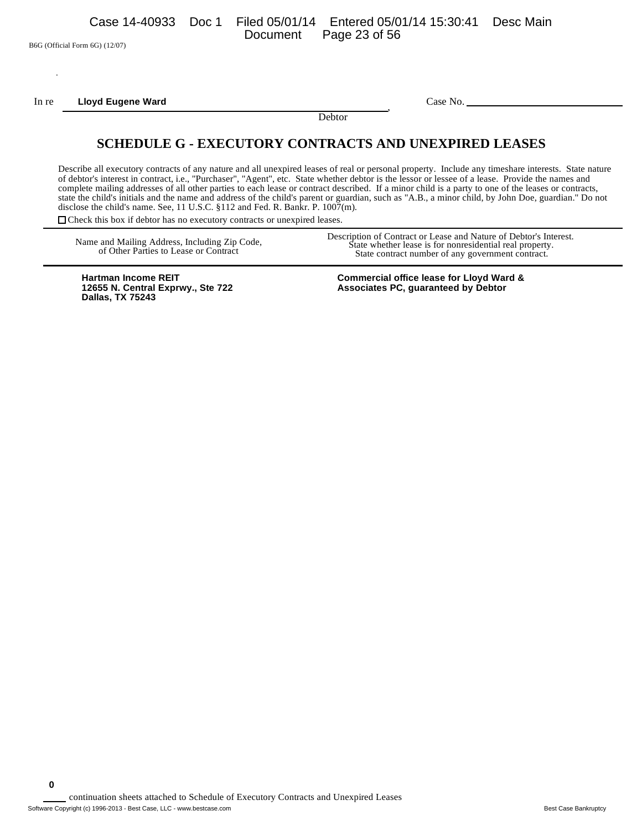Case 14-40933 Doc 1 Filed 05/01/14 Entered 05/01/14 15:30:41 Desc Main Page 23 of 56

,

B6G (Official Form 6G) (12/07)

In re

**0**

**Lloyd Eugene Ward Case No. 2008 Case No. 2008 Case No. 2008 Case No. 2008** 

**Debtor** 

## **SCHEDULE G - EXECUTORY CONTRACTS AND UNEXPIRED LEASES**

Describe all executory contracts of any nature and all unexpired leases of real or personal property. Include any timeshare interests. State nature of debtor's interest in contract, i.e., "Purchaser", "Agent", etc. State whether debtor is the lessor or lessee of a lease. Provide the names and complete mailing addresses of all other parties to each lease or contract described. If a minor child is a party to one of the leases or contracts, state the child's initials and the name and address of the child's parent or guardian, such as "A.B., a minor child, by John Doe, guardian." Do not disclose the child's name. See, 11 U.S.C. §112 and Fed. R. Bankr. P. 1007(m). Check this box if debtor has no executory contracts or unexpired leases.

Name and Mailing Address, Including Zip Code,

of Other Parties to Lease or Contract

Description of Contract or Lease and Nature of Debtor's Interest. State whether lease is for nonresidential real property. State contract number of any government contract.

**Hartman Income REIT 12655 N. Central Exprwy., Ste 722 Dallas, TX 75243**

**Commercial office lease for Lloyd Ward & Associates PC, guaranteed by Debtor**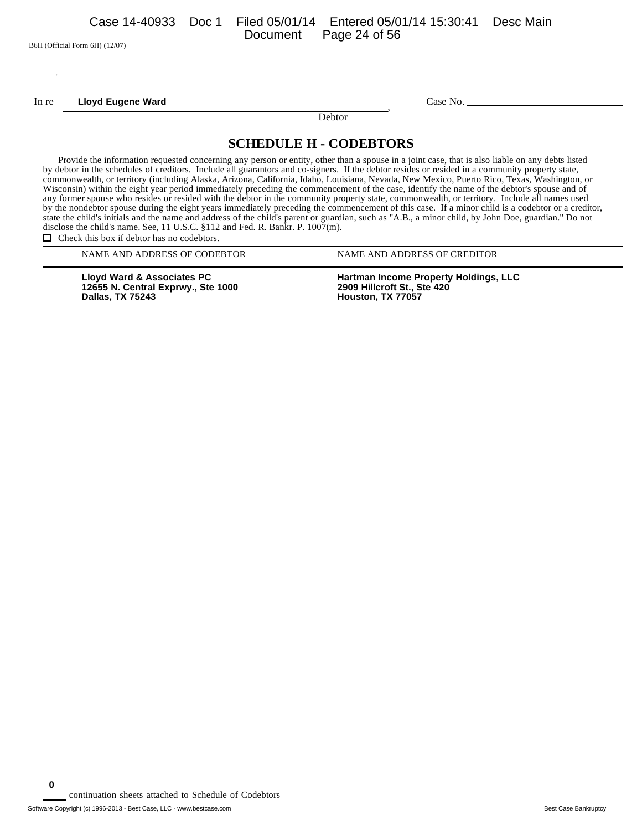Case 14-40933 Doc 1 Filed 05/01/14 Entered 05/01/14 15:30:41 Desc Main Page 24 of 56

,

B6H (Official Form 6H) (12/07)

In re **Lloyd Eugene Ward** Case No. 2008 **Case No. 2008** Case No. 2008 **Case No. 2008** 

Debtor

### **SCHEDULE H - CODEBTORS**

Provide the information requested concerning any person or entity, other than a spouse in a joint case, that is also liable on any debts listed by debtor in the schedules of creditors. Include all guarantors and co-signers. If the debtor resides or resided in a community property state, commonwealth, or territory (including Alaska, Arizona, California, Idaho, Louisiana, Nevada, New Mexico, Puerto Rico, Texas, Washington, or Wisconsin) within the eight year period immediately preceding the commencement of the case, identify the name of the debtor's spouse and of any former spouse who resides or resided with the debtor in the community property state, commonwealth, or territory. Include all names used by the nondebtor spouse during the eight years immediately preceding the commencement of this case. If a minor child is a codebtor or a creditor, state the child's initials and the name and address of the child's parent or guardian, such as "A.B., a minor child, by John Doe, guardian." Do not disclose the child's name. See, 11 U.S.C. §112 and Fed. R. Bankr. P. 1007(m).

 $\Box$  Check this box if debtor has no codebtors.

**Lloyd Ward & Associates PC 12655 N. Central Exprwy., Ste 1000 Dallas, TX 75243**

NAME AND ADDRESS OF CODEBTOR NAME AND ADDRESS OF CREDITOR

**Hartman Income Property Holdings, LLC 2909 Hillcroft St., Ste 420 Houston, TX 77057**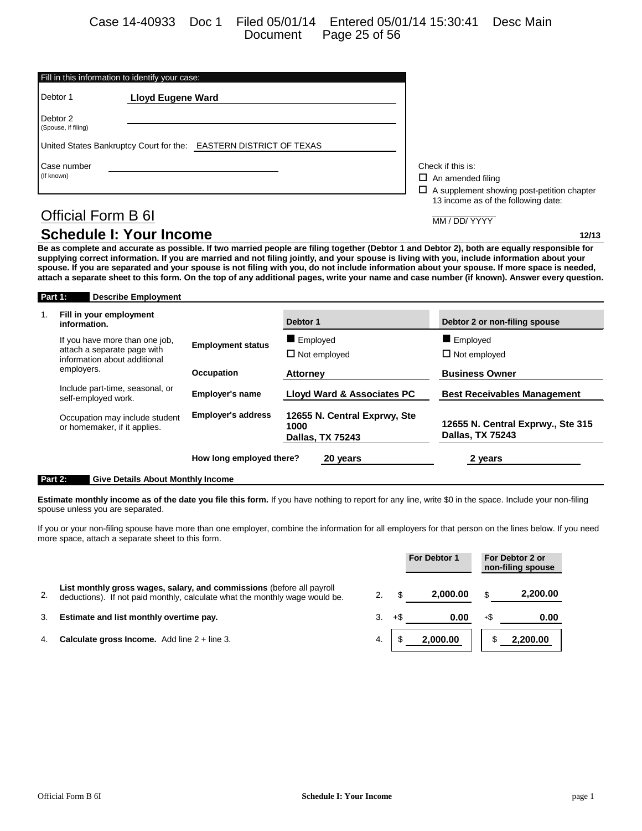Case 14-40933 Doc 1 Filed 05/01/14 Entered 05/01/14 15:30:41 Desc Main Page 25 of 56

|                                 | Fill in this information to identify your case:                   |                                                                                                  |
|---------------------------------|-------------------------------------------------------------------|--------------------------------------------------------------------------------------------------|
| Debtor 1                        | Lloyd Eugene Ward                                                 |                                                                                                  |
| Debtor 2<br>(Spouse, if filing) |                                                                   |                                                                                                  |
|                                 | United States Bankruptcy Court for the: EASTERN DISTRICT OF TEXAS |                                                                                                  |
| Case number<br>(If known)       |                                                                   | Check if this is:<br>$\Box$ An amended filing<br>A supplement showing post-petition chapter<br>□ |
| -------                         | - - -                                                             | 13 income as of the following date:                                                              |

# $\frac{1}{\text{MM/DD/YYYY}}$

## **Schedule I: Your Income 12/13**

**Be as complete and accurate as possible. If two married people are filing together (Debtor 1 and Debtor 2), both are equally responsible for supplying correct information. If you are married and not filing jointly, and your spouse is living with you, include information about your spouse. If you are separated and your spouse is not filing with you, do not include information about your spouse. If more space is needed, attach a separate sheet to this form. On the top of any additional pages, write your name and case number (if known). Answer every question.**

#### **Part 1: Describe Employment**

| 1. | Fill in your employment<br>information.                                                       |                           | Debtor 1                                                        |                                       | Debtor 2 or non-filing spouse                                |  |  |  |  |  |
|----|-----------------------------------------------------------------------------------------------|---------------------------|-----------------------------------------------------------------|---------------------------------------|--------------------------------------------------------------|--|--|--|--|--|
|    | If you have more than one job,<br>attach a separate page with<br>information about additional | <b>Employment status</b>  | $\blacksquare$ Employed                                         | $\Box$ Not employed                   | Employed<br>$\Box$ Not employed                              |  |  |  |  |  |
|    | employers.                                                                                    | <b>Occupation</b>         | <b>Attorney</b>                                                 |                                       | <b>Business Owner</b>                                        |  |  |  |  |  |
|    | Include part-time, seasonal, or<br>self-employed work.                                        | <b>Employer's name</b>    |                                                                 | <b>Lloyd Ward &amp; Associates PC</b> | <b>Best Receivables Management</b>                           |  |  |  |  |  |
|    | Occupation may include student<br>or homemaker, if it applies.                                | <b>Employer's address</b> | 12655 N. Central Exprwy, Ste<br>1000<br><b>Dallas, TX 75243</b> |                                       | 12655 N. Central Exprwy., Ste 315<br><b>Dallas, TX 75243</b> |  |  |  |  |  |
|    |                                                                                               | How long employed there?  |                                                                 | 20 years                              | 2 years                                                      |  |  |  |  |  |
|    | Part 2:<br><b>Give Details About Monthly Income</b>                                           |                           |                                                                 |                                       |                                                              |  |  |  |  |  |

**Estimate monthly income as of the date you file this form.** If you have nothing to report for any line, write \$0 in the space. Include your non-filing spouse unless you are separated.

If you or your non-filing spouse have more than one employer, combine the information for all employers for that person on the lines below. If you need more space, attach a separate sheet to this form.

|    |                                                                                                                                                      |    |     | For Debtor 1 |     | For Debtor 2 or<br>non-filing spouse |  |
|----|------------------------------------------------------------------------------------------------------------------------------------------------------|----|-----|--------------|-----|--------------------------------------|--|
| 2. | List monthly gross wages, salary, and commissions (before all payroll<br>deductions). If not paid monthly, calculate what the monthly wage would be. |    |     | 2.000.00     |     | 2,200.00                             |  |
| 3. | Estimate and list monthly overtime pay.                                                                                                              | 3. | +\$ | 0.00         | +\$ | 0.00                                 |  |
| 4. | <b>Calculate gross Income.</b> Add line $2 +$ line 3.                                                                                                | 4. |     | 2.000.00     |     | 2,200.00                             |  |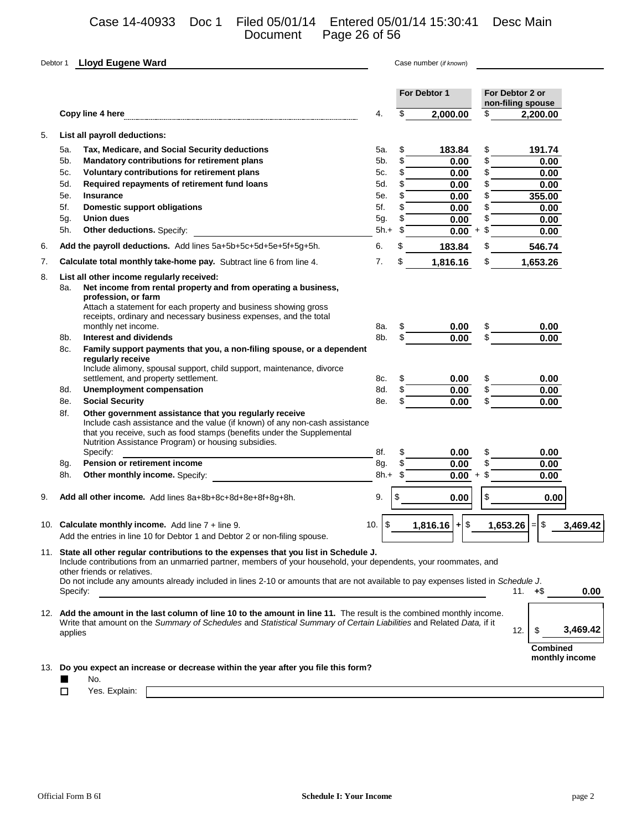Case 14-40933 Doc 1 Filed 05/01/14 Entered 05/01/14 15:30:41 Desc Main Document Page 26 of 56

|     | Debtor 1   | <b>Lloyd Eugene Ward</b>                                                                                                                                                                                                                                                                                                                                                                   |               |          | Case number (if known) |          |                                      |          |
|-----|------------|--------------------------------------------------------------------------------------------------------------------------------------------------------------------------------------------------------------------------------------------------------------------------------------------------------------------------------------------------------------------------------------------|---------------|----------|------------------------|----------|--------------------------------------|----------|
|     |            |                                                                                                                                                                                                                                                                                                                                                                                            |               |          | For Debtor 1           |          | For Debtor 2 or<br>non-filing spouse |          |
|     |            | Copy line 4 here                                                                                                                                                                                                                                                                                                                                                                           | 4.            | \$       | 2,000.00               | \$       | 2,200.00                             |          |
| 5.  |            | List all payroll deductions:                                                                                                                                                                                                                                                                                                                                                               |               |          |                        |          |                                      |          |
|     | 5a.        | Tax, Medicare, and Social Security deductions                                                                                                                                                                                                                                                                                                                                              | 5а.           | \$       | 183.84                 | \$       | 191.74                               |          |
|     | 5b.        | Mandatory contributions for retirement plans                                                                                                                                                                                                                                                                                                                                               | 5b.           | \$       | 0.00                   | \$       | 0.00                                 |          |
|     | 5c.        | Voluntary contributions for retirement plans                                                                                                                                                                                                                                                                                                                                               | 5c.           | \$       | 0.00                   | \$       | 0.00                                 |          |
|     | 5d.        | Required repayments of retirement fund loans                                                                                                                                                                                                                                                                                                                                               | 5d.           | \$       | 0.00                   | \$       | 0.00                                 |          |
|     | 5е.        | <b>Insurance</b>                                                                                                                                                                                                                                                                                                                                                                           | 5e.           | \$       | 0.00                   | \$       | 355.00                               |          |
|     | 5f.<br>5g. | <b>Domestic support obligations</b><br>Union dues                                                                                                                                                                                                                                                                                                                                          | 5f.           | \$<br>\$ | 0.00                   | \$<br>\$ | 0.00                                 |          |
|     | 5h.        | Other deductions. Specify:                                                                                                                                                                                                                                                                                                                                                                 | 5g.<br>$5h.+$ | \$       | 0.00<br>$0.00 +$       | \$       | 0.00<br>0.00                         |          |
| 6.  |            | Add the payroll deductions. Add lines 5a+5b+5c+5d+5e+5f+5g+5h.                                                                                                                                                                                                                                                                                                                             | 6.            | \$       | 183.84                 | \$       | 546.74                               |          |
| 7.  |            | Calculate total monthly take-home pay. Subtract line 6 from line 4.                                                                                                                                                                                                                                                                                                                        | 7.            | \$       | 1,816.16               | \$       | 1,653.26                             |          |
| 8.  |            | List all other income regularly received:                                                                                                                                                                                                                                                                                                                                                  |               |          |                        |          |                                      |          |
|     | 8a.        | Net income from rental property and from operating a business,<br>profession, or farm                                                                                                                                                                                                                                                                                                      |               |          |                        |          |                                      |          |
|     |            | Attach a statement for each property and business showing gross                                                                                                                                                                                                                                                                                                                            |               |          |                        |          |                                      |          |
|     |            | receipts, ordinary and necessary business expenses, and the total<br>monthly net income.                                                                                                                                                                                                                                                                                                   | 8a.           | \$       | 0.00                   | \$       | 0.00                                 |          |
|     | 8b.        | <b>Interest and dividends</b>                                                                                                                                                                                                                                                                                                                                                              | 8b.           | \$       | 0.00                   | \$       | 0.00                                 |          |
|     | 8c.        | Family support payments that you, a non-filing spouse, or a dependent<br>reqularly receive                                                                                                                                                                                                                                                                                                 |               |          |                        |          |                                      |          |
|     |            | Include alimony, spousal support, child support, maintenance, divorce<br>settlement, and property settlement.                                                                                                                                                                                                                                                                              |               | \$       | 0.00                   | \$       | 0.00                                 |          |
|     | 8d.        | <b>Unemployment compensation</b>                                                                                                                                                                                                                                                                                                                                                           | 8c.<br>8d.    | \$       | 0.00                   | \$       | 0.00                                 |          |
|     | 8e.        | <b>Social Security</b>                                                                                                                                                                                                                                                                                                                                                                     | 8e.           | \$       | 0.00                   | \$       | 0.00                                 |          |
|     | 8f.        | Other government assistance that you regularly receive<br>Include cash assistance and the value (if known) of any non-cash assistance<br>that you receive, such as food stamps (benefits under the Supplemental<br>Nutrition Assistance Program) or housing subsidies.<br>Specify:                                                                                                         | 8f.           | \$       | 0.00                   | \$       | 0.00                                 |          |
|     | 8g.        | Pension or retirement income                                                                                                                                                                                                                                                                                                                                                               | 8g.           | \$       | 0.00                   | \$       | 0.00                                 |          |
|     | 8h.        | Other monthly income. Specify:                                                                                                                                                                                                                                                                                                                                                             | 8h.+          | \$       | $0.00 +$               | \$       | 0.00                                 |          |
| 9.  |            | Add all other income. Add lines 8a+8b+8c+8d+8e+8f+8g+8h.                                                                                                                                                                                                                                                                                                                                   | 9.            | \$       | 0.00                   | \$       | 0.00                                 |          |
|     |            | 10. <b>Calculate monthly income.</b> Add line $7 +$ line 9.                                                                                                                                                                                                                                                                                                                                | $10.$ \\$     |          | $1,816.16$ + \$        |          | 1,653.26 $=$ \$                      | 3,469.42 |
|     |            | Add the entries in line 10 for Debtor 1 and Debtor 2 or non-filing spouse.                                                                                                                                                                                                                                                                                                                 |               |          |                        |          |                                      |          |
|     |            | 11. State all other regular contributions to the expenses that you list in Schedule J.<br>Include contributions from an unmarried partner, members of your household, your dependents, your roommates, and<br>other friends or relatives.<br>Do not include any amounts already included in lines 2-10 or amounts that are not available to pay expenses listed in Schedule J.<br>Specify: |               |          |                        |          | 11.<br>-+\$                          | 0.00     |
|     | applies    | 12. Add the amount in the last column of line 10 to the amount in line 11. The result is the combined monthly income.<br>Write that amount on the Summary of Schedules and Statistical Summary of Certain Liabilities and Related Data, if it                                                                                                                                              |               |          |                        |          | 12.<br>S                             | 3,469.42 |
|     |            |                                                                                                                                                                                                                                                                                                                                                                                            |               |          |                        |          | <b>Combined</b><br>monthly income    |          |
| 13. |            | Do you expect an increase or decrease within the year after you file this form?<br>No.                                                                                                                                                                                                                                                                                                     |               |          |                        |          |                                      |          |
|     | П          | Yes. Explain:                                                                                                                                                                                                                                                                                                                                                                              |               |          |                        |          |                                      |          |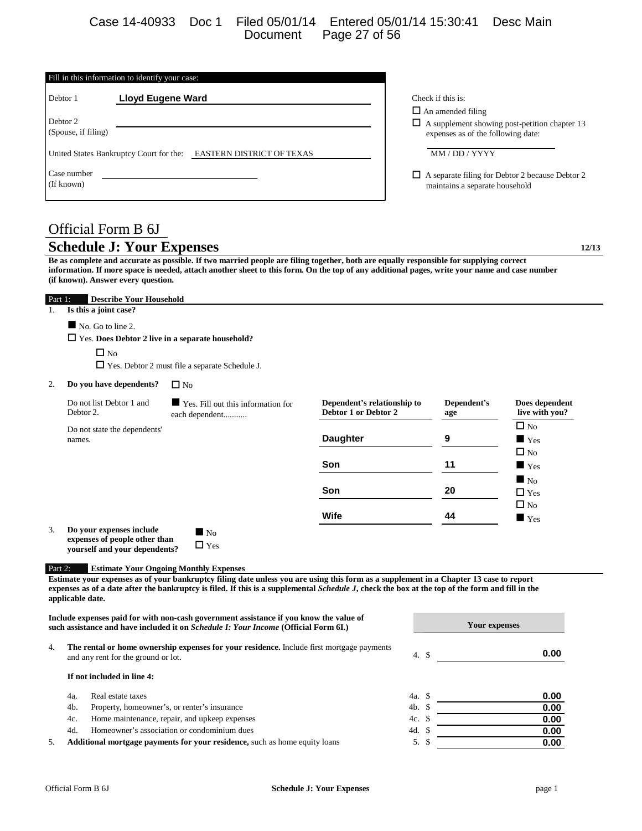### Case 14-40933 Doc 1 Filed 05/01/14 Entered 05/01/14 15:30:41 Desc Main Page 27 of 56

| Fill in this information to identify your case: |                                           |
|-------------------------------------------------|-------------------------------------------|
| Debtor 1<br><b>Lloyd Eugene Ward</b>            | Check if this is:                         |
| Debtor 2                                        | $\Box$ An amended<br>$\Box$ A suppleme    |
| (Spouse, if filing)                             | expenses as                               |
| United States Bankruptcy Court for the:         | <b>EASTERN DISTRICT OF TEXAS</b><br>MM/DD |
| Case number<br>(If known)                       | $\Box$ A separate f<br>maintains a        |

# Official Form B 6J

### **Schedule J: Your Expenses 12/13**

**Be as complete and accurate as possible. If two married people are filing together, both are equally responsible for supplying correct information. If more space is needed, attach another sheet to this form. On the top of any additional pages, write your name and case number (if known). Answer every question.**

### Part 1: **Describe Your Household**

1. **Is this a joint case?**

No. Go to line 2.

#### Yes. **Does Debtor 2 live in a separate household?**

 $\square$  No

Yes. Debtor 2 must file a separate Schedule J.

2. **Do you have dependents?**  $\Box$  No

| Do not list Debtor 1 and<br>Debtor 2.  | $\blacksquare$ Yes. Fill out this information for<br>each dependent | Dependent's relationship to<br>Debtor 1 or Debtor 2 | Dependent's<br>age | Does dependent<br>live with you? |
|----------------------------------------|---------------------------------------------------------------------|-----------------------------------------------------|--------------------|----------------------------------|
| Do not state the dependents'<br>names. |                                                                     | <b>Daughter</b>                                     | 9                  | $\square$ No<br>Yes              |
|                                        |                                                                     | Son                                                 | 11                 | $\Box$ No<br>Yes                 |
|                                        |                                                                     | <b>Son</b>                                          | 20                 | $\blacksquare$ No<br>$\Box$ Yes  |
|                                        |                                                                     | Wife                                                | 44                 | $\Box$ No<br>Yes                 |
| Do your expenses include               | $N_0$                                                               |                                                     |                    |                                  |

3. **Do your expenses include expenses of people other than yourself and your dependents?**

#### Part 2: **Estimate Your Ongoing Monthly Expenses**

Yes

**Estimate your expenses as of your bankruptcy filing date unless you are using this form as a supplement in a Chapter 13 case to report expenses as of a date after the bankruptcy is filed. If this is a supplemental** *Schedule J***, check the box at the top of the form and fill in the applicable date.**

|    | Include expenses paid for with non-cash government assistance if you know the value of<br>such assistance and have included it on <i>Schedule I: Your Income</i> (Official Form 6I.) |                                                                                   |          |           | Your expenses |
|----|--------------------------------------------------------------------------------------------------------------------------------------------------------------------------------------|-----------------------------------------------------------------------------------|----------|-----------|---------------|
| 4. | The rental or home ownership expenses for your residence. Include first mortgage payments<br>and any rent for the ground or lot.                                                     |                                                                                   |          | -\$<br>4. | 0.00          |
|    |                                                                                                                                                                                      | If not included in line 4:                                                        |          |           |               |
|    | 4a.                                                                                                                                                                                  | Real estate taxes                                                                 | 4a. \$   |           | 0.00          |
|    | 4b.                                                                                                                                                                                  | Property, homeowner's, or renter's insurance                                      | 4b.      |           | 0.00          |
|    | 4c.                                                                                                                                                                                  | Home maintenance, repair, and upkeep expenses                                     | $4c. \S$ |           | 0.00          |
|    | 4d.                                                                                                                                                                                  | Homeowner's association or condominium dues                                       | $4d. \S$ |           | 0.00          |
| 5. |                                                                                                                                                                                      | <b>Additional mortgage payments for your residence, such as home equity loans</b> | 5.       | -\$       | 0.00          |
|    |                                                                                                                                                                                      |                                                                                   |          |           |               |

 $\Box$  An amended filing

 $\Box$  A supplement showing post-petition chapter 13 expenses as of the following date:

MM / DD / YYYY

 $\Box$  A separate filing for Debtor 2 because Debtor 2 maintains a separate household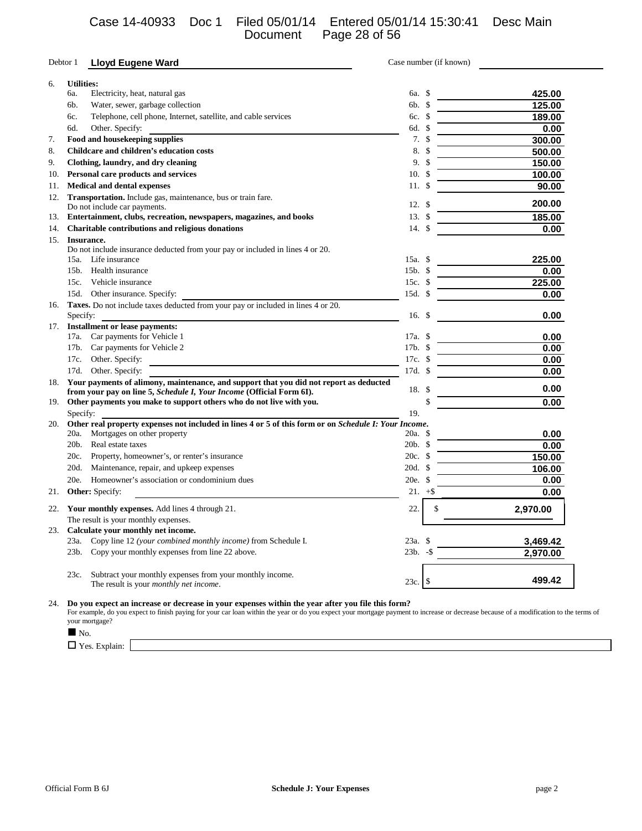### Case 14-40933 Doc 1 Filed 05/01/14 Entered 05/01/14 15:30:41 Desc Main Document Page 28 of 56

| Debtor 1 | Lloyd Eugene Ward                                                                                              |           | Case number (if known) |              |
|----------|----------------------------------------------------------------------------------------------------------------|-----------|------------------------|--------------|
| 6.       | <b>Utilities:</b>                                                                                              |           |                        |              |
|          | Electricity, heat, natural gas<br>6a.                                                                          | 6a.       | -\$                    | 425.00       |
|          | Water, sewer, garbage collection<br>6b.                                                                        | 6b.       | $\mathcal{S}$          | 125.00       |
|          | 6c.<br>Telephone, cell phone, Internet, satellite, and cable services                                          | 6c. \$    |                        | 189.00       |
|          | 6d.<br>Other. Specify:                                                                                         | 6d. \$    |                        | 0.00         |
| 7.       | Food and housekeeping supplies                                                                                 |           | $7. \,$ \$             | 300.00       |
| 8.       | Childcare and children's education costs                                                                       | 8.        | $\mathcal{S}$          | 500.00       |
| 9.       | Clothing, laundry, and dry cleaning                                                                            | 9.        | \$                     | 150.00       |
| 10.      | Personal care products and services                                                                            | 10.       | $\mathcal{S}$          | 100.00       |
| 11.      | <b>Medical and dental expenses</b>                                                                             | $11. \ S$ |                        | 90.00        |
| 12.      | Transportation. Include gas, maintenance, bus or train fare.                                                   |           |                        |              |
|          | Do not include car payments.                                                                                   | $12. \ S$ |                        | 200.00       |
| 13.      | Entertainment, clubs, recreation, newspapers, magazines, and books                                             | 13.       | $\mathcal{S}$          | 185.00       |
| 14.      | Charitable contributions and religious donations                                                               | 14.       | $\mathcal{S}$          | 0.00         |
| 15.      | Insurance.                                                                                                     |           |                        |              |
|          | Do not include insurance deducted from your pay or included in lines 4 or 20.                                  |           |                        |              |
|          | Life insurance<br>15a.                                                                                         | 15a. \$   |                        | 225.00       |
|          | $15b$ .<br>Health insurance                                                                                    | 15b. \$   |                        | 0.00         |
|          | 15c.<br>Vehicle insurance                                                                                      | 15c. \$   |                        | 225.00       |
|          | 15d. Other insurance. Specify:                                                                                 | 15d. \$   |                        | 0.00         |
| 16.      | Taxes. Do not include taxes deducted from your pay or included in lines 4 or 20.                               |           |                        |              |
|          | Specify:                                                                                                       | 16.       | - \$                   | 0.00         |
|          | 17. Installment or lease payments:<br>Car payments for Vehicle 1<br>17a.                                       | 17a. S    |                        |              |
|          | 17b.<br>Car payments for Vehicle 2                                                                             | 17b. \$   |                        | 0.00<br>0.00 |
|          | 17c.<br>Other. Specify:                                                                                        | 17c. \$   |                        | 0.00         |
|          |                                                                                                                | 17d. \$   |                        |              |
| 18.      | 17d. Other. Specify:<br>Your payments of alimony, maintenance, and support that you did not report as deducted |           |                        | 0.00         |
|          | from your pay on line 5, Schedule I, Your Income (Official Form 6I).                                           | 18. \$    |                        | 0.00         |
|          | 19. Other payments you make to support others who do not live with you.                                        |           | \$                     | 0.00         |
|          | Specify:                                                                                                       | 19.       |                        |              |
|          | 20. Other real property expenses not included in lines 4 or 5 of this form or on Schedule I: Your Income.      |           |                        |              |
|          | Mortgages on other property<br>20a.                                                                            | $20a.$ \$ |                        | 0.00         |
|          | $20b$ .<br>Real estate taxes                                                                                   | 20b. S    |                        | 0.00         |
|          | 20c.<br>Property, homeowner's, or renter's insurance                                                           | 20c. \$   |                        | 150.00       |
|          | 20d.<br>Maintenance, repair, and upkeep expenses                                                               | 20d. \$   |                        | 106.00       |
|          | 20e.<br>Homeowner's association or condominium dues                                                            | 20e. \$   |                        | 0.00         |
| 21.      | <b>Other:</b> Specify:                                                                                         | 21.       | $+$ \$                 | 0.00         |
|          | 22. Your monthly expenses. Add lines 4 through 21.                                                             | 22.       | \$                     | 2,970.00     |
|          | The result is your monthly expenses.                                                                           |           |                        |              |
|          | 23. Calculate your monthly net income.                                                                         |           |                        |              |
|          | 23a.<br>Copy line 12 (your combined monthly income) from Schedule I.                                           | 23a. \$   |                        | 3,469.42     |
|          | $23b$ .<br>Copy your monthly expenses from line 22 above.                                                      | $23b$ .   | -\$                    | 2,970.00     |
|          |                                                                                                                |           |                        |              |
|          | 23c.<br>Subtract your monthly expenses from your monthly income.                                               |           |                        |              |
|          | The result is your <i>monthly net income</i> .                                                                 | 23c.      | \$                     | 499.42       |
|          |                                                                                                                |           |                        |              |

24. **Do you expect an increase or decrease in your expenses within the year after you file this form?**<br>For example, do you expect to finish paying for your car loan within the year or do you expect your mortgage payment to your mortgage?

 $\blacksquare$  No.

Yes. Explain: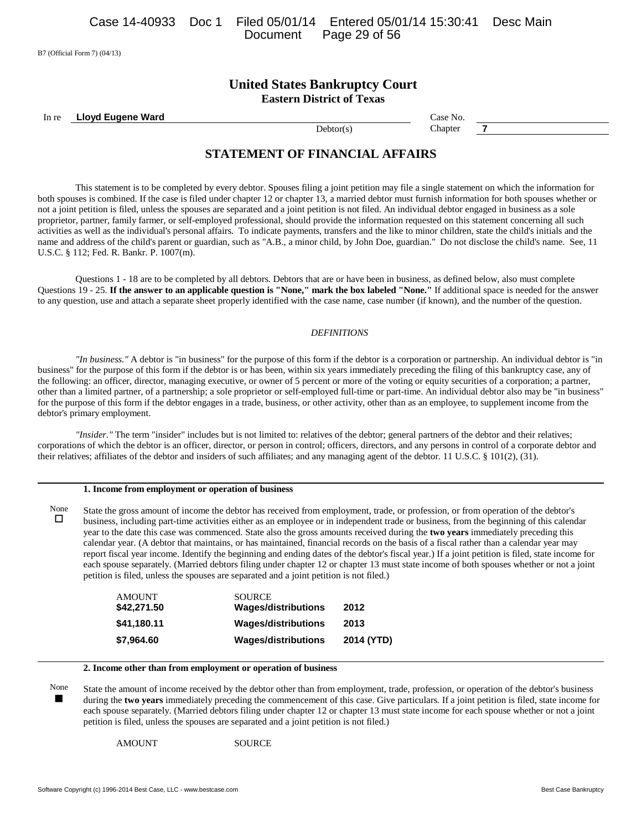Case 14-40933 Doc 1 Filed 05/01/14 Entered 05/01/14 15:30:41 Desc Main Page 29 of 56

B7 (Official Form 7) (04/13)

### **United States Bankruptcy Court Eastern District of Texas**

In re **Lloyd Eugene Ward** Case No.

Debtor(s) Chapter **7**

### **STATEMENT OF FINANCIAL AFFAIRS**

This statement is to be completed by every debtor. Spouses filing a joint petition may file a single statement on which the information for both spouses is combined. If the case is filed under chapter 12 or chapter 13, a married debtor must furnish information for both spouses whether or not a joint petition is filed, unless the spouses are separated and a joint petition is not filed. An individual debtor engaged in business as a sole proprietor, partner, family farmer, or self-employed professional, should provide the information requested on this statement concerning all such activities as well as the individual's personal affairs. To indicate payments, transfers and the like to minor children, state the child's initials and the name and address of the child's parent or guardian, such as "A.B., a minor child, by John Doe, guardian." Do not disclose the child's name. See, 11 U.S.C. § 112; Fed. R. Bankr. P. 1007(m).

Questions 1 - 18 are to be completed by all debtors. Debtors that are or have been in business, as defined below, also must complete Questions 19 - 25. **If the answer to an applicable question is "None," mark the box labeled "None."** If additional space is needed for the answer to any question, use and attach a separate sheet properly identified with the case name, case number (if known), and the number of the question.

#### *DEFINITIONS*

*"In business."* A debtor is "in business" for the purpose of this form if the debtor is a corporation or partnership. An individual debtor is "in business" for the purpose of this form if the debtor is or has been, within six years immediately preceding the filing of this bankruptcy case, any of the following: an officer, director, managing executive, or owner of 5 percent or more of the voting or equity securities of a corporation; a partner, other than a limited partner, of a partnership; a sole proprietor or self-employed full-time or part-time. An individual debtor also may be "in business" for the purpose of this form if the debtor engages in a trade, business, or other activity, other than as an employee, to supplement income from the debtor's primary employment.

*"Insider."* The term "insider" includes but is not limited to: relatives of the debtor; general partners of the debtor and their relatives; corporations of which the debtor is an officer, director, or person in control; officers, directors, and any persons in control of a corporate debtor and their relatives; affiliates of the debtor and insiders of such affiliates; and any managing agent of the debtor. 11 U.S.C. § 101(2), (31).

#### **1. Income from employment or operation of business**

None  $\Box$ State the gross amount of income the debtor has received from employment, trade, or profession, or from operation of the debtor's business, including part-time activities either as an employee or in independent trade or business, from the beginning of this calendar year to the date this case was commenced. State also the gross amounts received during the **two years** immediately preceding this calendar year. (A debtor that maintains, or has maintained, financial records on the basis of a fiscal rather than a calendar year may report fiscal year income. Identify the beginning and ending dates of the debtor's fiscal year.) If a joint petition is filed, state income for each spouse separately. (Married debtors filing under chapter 12 or chapter 13 must state income of both spouses whether or not a joint petition is filed, unless the spouses are separated and a joint petition is not filed.)

| AMOUNT<br>\$42,271.50 | <b>SOURCE</b><br><b>Wages/distributions</b> | 2012       |
|-----------------------|---------------------------------------------|------------|
| \$41,180.11           | <b>Wages/distributions</b>                  | 2013       |
| \$7,964.60            | <b>Wages/distributions</b>                  | 2014 (YTD) |

**2. Income other than from employment or operation of business**

None 

State the amount of income received by the debtor other than from employment, trade, profession, or operation of the debtor's business during the **two years** immediately preceding the commencement of this case. Give particulars. If a joint petition is filed, state income for each spouse separately. (Married debtors filing under chapter 12 or chapter 13 must state income for each spouse whether or not a joint petition is filed, unless the spouses are separated and a joint petition is not filed.)

AMOUNT SOURCE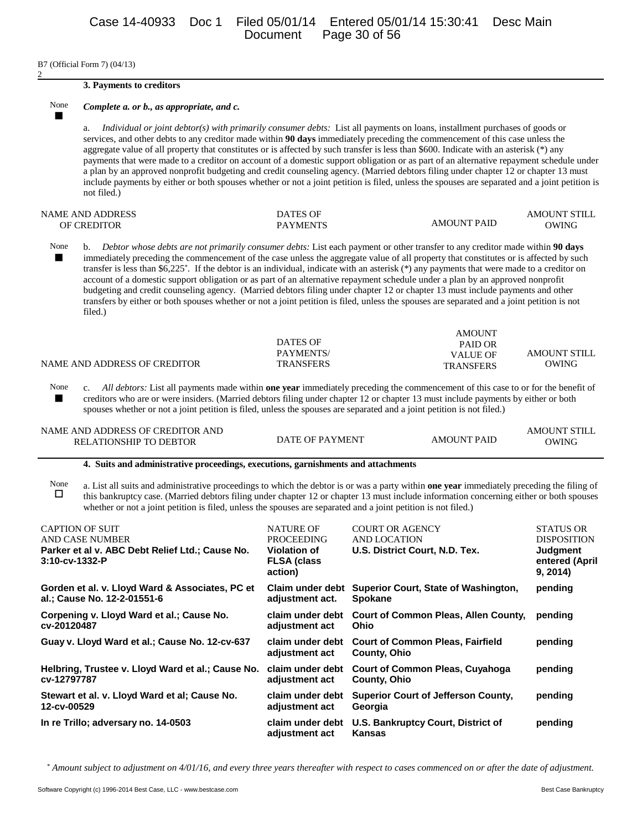| B7 (Official Form 7) (04/13) |  |  |
|------------------------------|--|--|
|------------------------------|--|--|

2

#### **3. Payments to creditors**

#### None *Complete a. or b., as appropriate, and c.*

a. *Individual or joint debtor(s) with primarily consumer debts:* List all payments on loans, installment purchases of goods or services, and other debts to any creditor made within **90 days** immediately preceding the commencement of this case unless the aggregate value of all property that constitutes or is affected by such transfer is less than \$600. Indicate with an asterisk  $(*)$  any payments that were made to a creditor on account of a domestic support obligation or as part of an alternative repayment schedule under a plan by an approved nonprofit budgeting and credit counseling agency. (Married debtors filing under chapter 12 or chapter 13 must include payments by either or both spouses whether or not a joint petition is filed, unless the spouses are separated and a joint petition is not filed.)

| NAME AND<br><b>ADDRESS</b> | <b>)ATES OF</b><br>.)A' |                | <b>AMOUNT STILL</b> |
|----------------------------|-------------------------|----------------|---------------------|
| <b>CREDITOR</b><br>ЭF      | <b>AVMENTS</b><br>ΡΔ    | PAID<br>AMOUNT | OWING<br>____       |

None b. *Debtor whose debts are not primarily consumer debts:* List each payment or other transfer to any creditor made within **90 days** immediately preceding the commencement of the case unless the aggregate value of all property that constitutes or is affected by such transfer is less than \$6,225\* . If the debtor is an individual, indicate with an asterisk (\*) any payments that were made to a creditor on account of a domestic support obligation or as part of an alternative repayment schedule under a plan by an approved nonprofit budgeting and credit counseling agency. (Married debtors filing under chapter 12 or chapter 13 must include payments and other transfers by either or both spouses whether or not a joint petition is filed, unless the spouses are separated and a joint petition is not filed.)

| NAME AND ADDRESS OF CREDITOR | <b>DATES OF</b><br>PAYMENTS/<br><b>TRANSFERS</b> | AMOUNT<br><b>PAID OR</b><br><b>VALUE OF</b><br><b>TRANSFERS</b> | <b>AMOUNT STILL</b><br>OWING |
|------------------------------|--------------------------------------------------|-----------------------------------------------------------------|------------------------------|
|------------------------------|--------------------------------------------------|-----------------------------------------------------------------|------------------------------|

None П c. *All debtors:* List all payments made within **one year** immediately preceding the commencement of this case to or for the benefit of creditors who are or were insiders. (Married debtors filing under chapter 12 or chapter 13 must include payments by either or both spouses whether or not a joint petition is filed, unless the spouses are separated and a joint petition is not filed.)

| NAME AND ADDRESS OF CREDITOR AND |                 |                    | <b>AMOUNT STILL</b> |
|----------------------------------|-----------------|--------------------|---------------------|
| <b>RELATIONSHIP TO DEBTOR</b>    | DATE OF PAYMENT | <b>AMOUNT PAIL</b> | OWING               |
|                                  |                 |                    |                     |

#### **4. Suits and administrative proceedings, executions, garnishments and attachments**

None  $\Box$ a. List all suits and administrative proceedings to which the debtor is or was a party within **one year** immediately preceding the filing of this bankruptcy case. (Married debtors filing under chapter 12 or chapter 13 must include information concerning either or both spouses whether or not a joint petition is filed, unless the spouses are separated and a joint petition is not filed.)

| <b>CAPTION OF SUIT</b><br>AND CASE NUMBER<br>Parker et al v. ABC Debt Relief Ltd.; Cause No.<br>$3:10$ -cv-1332-P | <b>NATURE OF</b><br><b>PROCEEDING</b><br><b>Violation of</b><br><b>FLSA (class)</b><br>action) | COURT OR AGENCY<br>AND LOCATION<br>U.S. District Court, N.D. Tex.       | <b>STATUS OR</b><br><b>DISPOSITION</b><br><b>Judgment</b><br>entered (April<br>9, 2014) |
|-------------------------------------------------------------------------------------------------------------------|------------------------------------------------------------------------------------------------|-------------------------------------------------------------------------|-----------------------------------------------------------------------------------------|
| Gorden et al. v. Lloyd Ward & Associates, PC et<br>al.; Cause No. 12-2-01551-6                                    | adjustment act.                                                                                | Claim under debt Superior Court, State of Washington,<br><b>Spokane</b> | pending                                                                                 |
| Corpening v. Lloyd Ward et al.; Cause No.<br>cv-20120487                                                          | claim under debt<br>adjustment act                                                             | <b>Court of Common Pleas, Allen County,</b><br><b>Ohio</b>              | pending                                                                                 |
| Guay v. Lloyd Ward et al.; Cause No. 12-cv-637                                                                    | claim under debt<br>adjustment act                                                             | <b>Court of Common Pleas, Fairfield</b><br>County, Ohio                 | pending                                                                                 |
| Helbring, Trustee v. Lloyd Ward et al.; Cause No.<br>cv-12797787                                                  | claim under debt<br>adjustment act                                                             | <b>Court of Common Pleas, Cuyahoga</b><br><b>County, Ohio</b>           | pending                                                                                 |
| Stewart et al. v. Lloyd Ward et al; Cause No.<br>12-cv-00529                                                      | claim under debt<br>adjustment act                                                             | <b>Superior Court of Jefferson County.</b><br>Georgia                   | pending                                                                                 |
| In re Trillo; adversary no. 14-0503                                                                               | claim under debt<br>adjustment act                                                             | U.S. Bankruptcy Court, District of<br>Kansas                            | pending                                                                                 |

 *\* Amount subject to adjustment on 4/01/16, and every three years thereafter with respect to cases commenced on or after the date of adjustment.*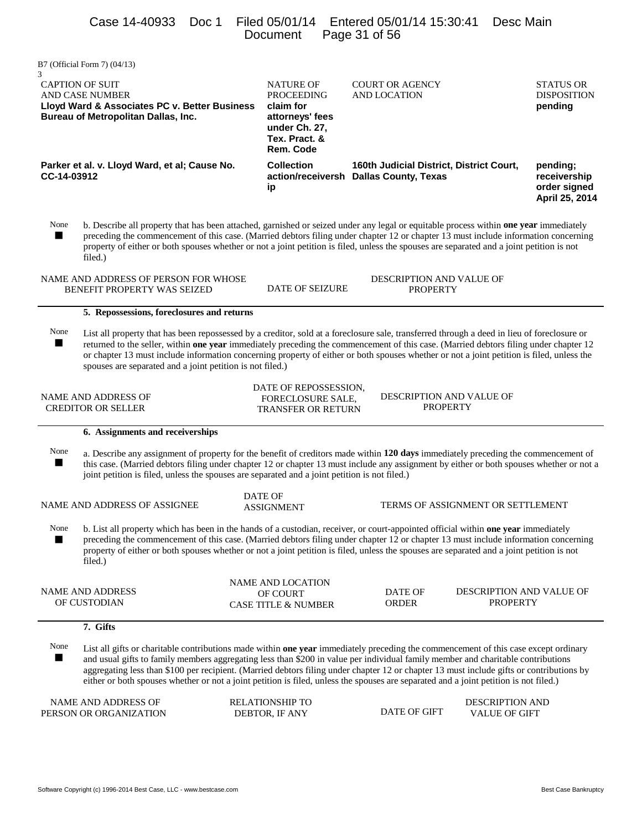|                                                                                                                                                                                                                                                                                                                                                                                                                                           | Case 14-40933                                                                                                                            | Doc 1 | Filed 05/01/14<br>Document                                                                                    | Entered 05/01/14 15:30:41<br>Page 31 of 56                                                                                                                                                                                                                                                                                                                                                                                                                                                                                                                   | Desc Main                                          |                                                            |
|-------------------------------------------------------------------------------------------------------------------------------------------------------------------------------------------------------------------------------------------------------------------------------------------------------------------------------------------------------------------------------------------------------------------------------------------|------------------------------------------------------------------------------------------------------------------------------------------|-------|---------------------------------------------------------------------------------------------------------------|--------------------------------------------------------------------------------------------------------------------------------------------------------------------------------------------------------------------------------------------------------------------------------------------------------------------------------------------------------------------------------------------------------------------------------------------------------------------------------------------------------------------------------------------------------------|----------------------------------------------------|------------------------------------------------------------|
|                                                                                                                                                                                                                                                                                                                                                                                                                                           | B7 (Official Form 7) $(04/13)$                                                                                                           |       |                                                                                                               |                                                                                                                                                                                                                                                                                                                                                                                                                                                                                                                                                              |                                                    |                                                            |
| 3                                                                                                                                                                                                                                                                                                                                                                                                                                         | <b>CAPTION OF SUIT</b><br><b>AND CASE NUMBER</b><br>Lloyd Ward & Associates PC v. Better Business<br>Bureau of Metropolitan Dallas, Inc. |       | NATURE OF<br><b>PROCEEDING</b><br>claim for<br>attorneys' fees<br>under Ch. 27,<br>Tex. Pract. &<br>Rem. Code | <b>COURT OR AGENCY</b><br><b>AND LOCATION</b>                                                                                                                                                                                                                                                                                                                                                                                                                                                                                                                |                                                    | <b>STATUS OR</b><br><b>DISPOSITION</b><br>pending          |
| CC-14-03912                                                                                                                                                                                                                                                                                                                                                                                                                               | Parker et al. v. Lloyd Ward, et al; Cause No.                                                                                            |       | <b>Collection</b><br>ip                                                                                       | 160th Judicial District, District Court,<br>action/receiversh Dallas County, Texas                                                                                                                                                                                                                                                                                                                                                                                                                                                                           |                                                    | pending;<br>receivership<br>order signed<br>April 25, 2014 |
| None<br>■                                                                                                                                                                                                                                                                                                                                                                                                                                 | filed.)                                                                                                                                  |       |                                                                                                               | b. Describe all property that has been attached, garnished or seized under any legal or equitable process within one year immediately<br>preceding the commencement of this case. (Married debtors filing under chapter 12 or chapter 13 must include information concerning<br>property of either or both spouses whether or not a joint petition is filed, unless the spouses are separated and a joint petition is not                                                                                                                                    |                                                    |                                                            |
|                                                                                                                                                                                                                                                                                                                                                                                                                                           | NAME AND ADDRESS OF PERSON FOR WHOSE<br>BENEFIT PROPERTY WAS SEIZED                                                                      |       | <b>DATE OF SEIZURE</b>                                                                                        | DESCRIPTION AND VALUE OF<br><b>PROPERTY</b>                                                                                                                                                                                                                                                                                                                                                                                                                                                                                                                  |                                                    |                                                            |
|                                                                                                                                                                                                                                                                                                                                                                                                                                           | 5. Repossessions, foreclosures and returns                                                                                               |       |                                                                                                               |                                                                                                                                                                                                                                                                                                                                                                                                                                                                                                                                                              |                                                    |                                                            |
| None<br>■                                                                                                                                                                                                                                                                                                                                                                                                                                 | spouses are separated and a joint petition is not filed.)                                                                                |       |                                                                                                               | List all property that has been repossessed by a creditor, sold at a foreclosure sale, transferred through a deed in lieu of foreclosure or<br>returned to the seller, within one year immediately preceding the commencement of this case. (Married debtors filing under chapter 12<br>or chapter 13 must include information concerning property of either or both spouses whether or not a joint petition is filed, unless the                                                                                                                            |                                                    |                                                            |
|                                                                                                                                                                                                                                                                                                                                                                                                                                           | NAME AND ADDRESS OF<br><b>CREDITOR OR SELLER</b>                                                                                         |       | DATE OF REPOSSESSION,<br>FORECLOSURE SALE,<br><b>TRANSFER OR RETURN</b>                                       | DESCRIPTION AND VALUE OF<br><b>PROPERTY</b>                                                                                                                                                                                                                                                                                                                                                                                                                                                                                                                  |                                                    |                                                            |
|                                                                                                                                                                                                                                                                                                                                                                                                                                           | 6. Assignments and receiverships                                                                                                         |       |                                                                                                               |                                                                                                                                                                                                                                                                                                                                                                                                                                                                                                                                                              |                                                    |                                                            |
| None<br>■                                                                                                                                                                                                                                                                                                                                                                                                                                 | joint petition is filed, unless the spouses are separated and a joint petition is not filed.)                                            |       |                                                                                                               | a. Describe any assignment of property for the benefit of creditors made within 120 days immediately preceding the commencement of<br>this case. (Married debtors filing under chapter 12 or chapter 13 must include any assignment by either or both spouses whether or not a                                                                                                                                                                                                                                                                               |                                                    |                                                            |
|                                                                                                                                                                                                                                                                                                                                                                                                                                           | NAME AND ADDRESS OF ASSIGNEE                                                                                                             |       | <b>DATE OF</b><br><b>ASSIGNMENT</b>                                                                           |                                                                                                                                                                                                                                                                                                                                                                                                                                                                                                                                                              | TERMS OF ASSIGNMENT OR SETTLEMENT                  |                                                            |
| None<br>b. List all property which has been in the hands of a custodian, receiver, or court-appointed official within one year immediately<br>preceding the commencement of this case. (Married debtors filing under chapter 12 or chapter 13 must include information concerning<br>property of either or both spouses whether or not a joint petition is filed, unless the spouses are separated and a joint petition is not<br>filed.) |                                                                                                                                          |       |                                                                                                               |                                                                                                                                                                                                                                                                                                                                                                                                                                                                                                                                                              |                                                    |                                                            |
|                                                                                                                                                                                                                                                                                                                                                                                                                                           | <b>NAME AND ADDRESS</b><br>OF CUSTODIAN                                                                                                  |       | <b>NAME AND LOCATION</b><br>OF COURT<br><b>CASE TITLE &amp; NUMBER</b>                                        | <b>DATE OF</b><br><b>ORDER</b>                                                                                                                                                                                                                                                                                                                                                                                                                                                                                                                               | <b>DESCRIPTION AND VALUE OF</b><br><b>PROPERTY</b> |                                                            |
|                                                                                                                                                                                                                                                                                                                                                                                                                                           | 7. Gifts                                                                                                                                 |       |                                                                                                               |                                                                                                                                                                                                                                                                                                                                                                                                                                                                                                                                                              |                                                    |                                                            |
| None<br>■                                                                                                                                                                                                                                                                                                                                                                                                                                 |                                                                                                                                          |       |                                                                                                               | List all gifts or charitable contributions made within one year immediately preceding the commencement of this case except ordinary<br>and usual gifts to family members aggregating less than \$200 in value per individual family member and charitable contributions<br>aggregating less than \$100 per recipient. (Married debtors filing under chapter 12 or chapter 13 must include gifts or contributions by<br>either or both spouses whether or not a joint petition is filed, unless the spouses are separated and a joint petition is not filed.) |                                                    |                                                            |
|                                                                                                                                                                                                                                                                                                                                                                                                                                           | <b>NAME AND ADDRESS OF</b><br>PERSON OR ORGANIZATION                                                                                     |       | <b>RELATIONSHIP TO</b><br>DEBTOR, IF ANY                                                                      | <b>DATE OF GIFT</b>                                                                                                                                                                                                                                                                                                                                                                                                                                                                                                                                          | <b>DESCRIPTION AND</b><br><b>VALUE OF GIFT</b>     |                                                            |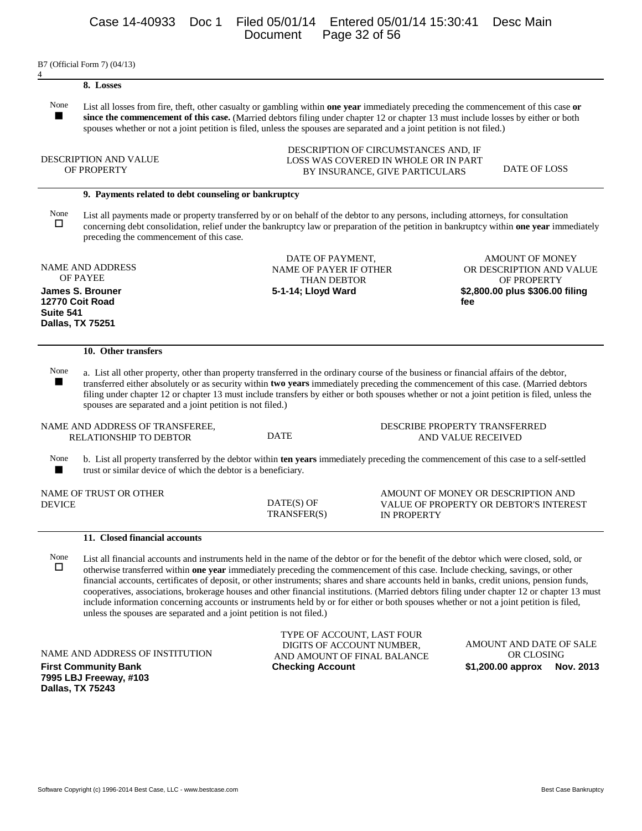### Case 14-40933 Doc 1 Filed 05/01/14 Entered 05/01/14 15:30:41 Desc Main Page 32 of 56

B7 (Official Form 7) (04/13)

#### **8. Losses**

None 

4

List all losses from fire, theft, other casualty or gambling within **one year** immediately preceding the commencement of this case **or since the commencement of this case.** (Married debtors filing under chapter 12 or chapter 13 must include losses by either or both spouses whether or not a joint petition is filed, unless the spouses are separated and a joint petition is not filed.)

DESCRIPTION AND VALUE OF PROPERTY

DESCRIPTION OF CIRCUMSTANCES AND, IF LOSS WAS COVERED IN WHOLE OR IN PART BY INSURANCE, GIVE PARTICULARS DATE OF LOSS

#### **9. Payments related to debt counseling or bankruptcy**

None  $\Box$ List all payments made or property transferred by or on behalf of the debtor to any persons, including attorneys, for consultation concerning debt consolidation, relief under the bankruptcy law or preparation of the petition in bankruptcy within **one year** immediately preceding the commencement of this case.

> DATE OF PAYMENT, NAME OF PAYER IF OTHER THAN DEBTOR

NAME AND ADDRESS OF PAYEE

**James S. Brouner 12770 Coit Road Suite 541 Dallas, TX 75251**

AMOUNT OF MONEY OR DESCRIPTION AND VALUE OF PROPERTY **5-1-14; Lloyd Ward \$2,800.00 plus \$306.00 filing fee**

#### **10. Other transfers**

None a. List all other property, other than property transferred in the ordinary course of the business or financial affairs of the debtor, transferred either absolutely or as security within **two years** immediately preceding the commencement of this case. (Married debtors filing under chapter 12 or chapter 13 must include transfers by either or both spouses whether or not a joint petition is filed, unless the spouses are separated and a joint petition is not filed.)

NAME AND ADDRESS OF TRANSFEREE, RELATIONSHIP TO DEBTOR DATE DESCRIBE PROPERTY TRANSFERRED AND VALUE RECEIVED None b. List all property transferred by the debtor within **ten years** immediately preceding the commencement of this case to a self-settled trust or similar device of which the debtor is a beneficiary.

| NAME OF TRUST OR OTHER |                           | AMOUNT OF MONEY OR DESCRIPTION AND                    |
|------------------------|---------------------------|-------------------------------------------------------|
| <b>DEVICE</b>          | DATE(S) OF<br>TRANSFER(S) | VALUE OF PROPERTY OR DEBTOR'S INTEREST<br>IN PROPERTY |

#### **11. Closed financial accounts**

None □ List all financial accounts and instruments held in the name of the debtor or for the benefit of the debtor which were closed, sold, or otherwise transferred within **one year** immediately preceding the commencement of this case. Include checking, savings, or other financial accounts, certificates of deposit, or other instruments; shares and share accounts held in banks, credit unions, pension funds, cooperatives, associations, brokerage houses and other financial institutions. (Married debtors filing under chapter 12 or chapter 13 must include information concerning accounts or instruments held by or for either or both spouses whether or not a joint petition is filed, unless the spouses are separated and a joint petition is not filed.)

NAME AND ADDRESS OF INSTITUTION

**First Community Bank 7995 LBJ Freeway, #103 Dallas, TX 75243**

TYPE OF ACCOUNT, LAST FOUR DIGITS OF ACCOUNT NUMBER, AND AMOUNT OF FINAL BALANCE **Checking Account \$1,200.00 approx Nov. 2013**

AMOUNT AND DATE OF SALE OR CLOSING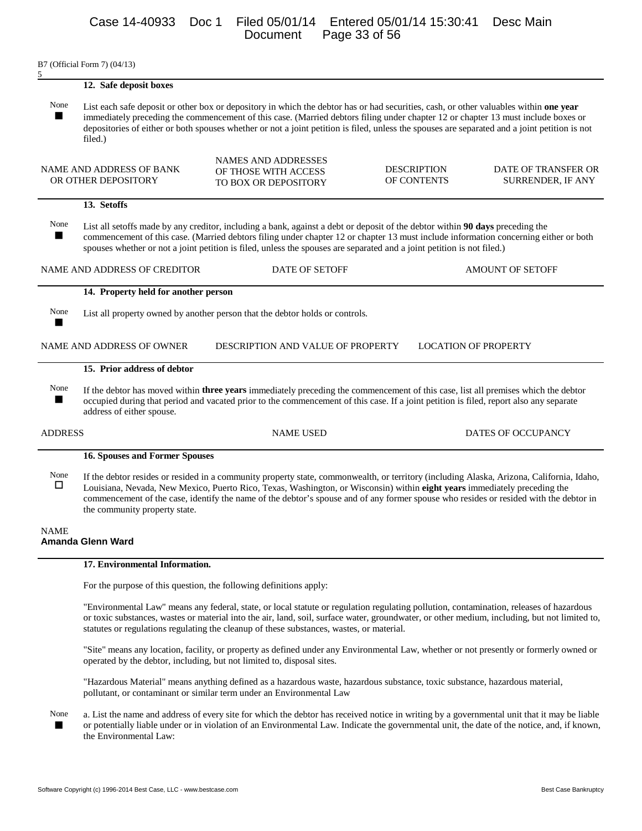#### B7 (Official Form 7) (04/13) 5

|                  | 12. Safe deposit boxes                                                                                                                                                                                                                                                                                                                                                                                                                 |                                                                                                                                                                                                                                                                                                                                                                                                                 |                                   |                                                 |  |  |  |
|------------------|----------------------------------------------------------------------------------------------------------------------------------------------------------------------------------------------------------------------------------------------------------------------------------------------------------------------------------------------------------------------------------------------------------------------------------------|-----------------------------------------------------------------------------------------------------------------------------------------------------------------------------------------------------------------------------------------------------------------------------------------------------------------------------------------------------------------------------------------------------------------|-----------------------------------|-------------------------------------------------|--|--|--|
| None<br>ш        | List each safe deposit or other box or depository in which the debtor has or had securities, cash, or other valuables within one year<br>immediately preceding the commencement of this case. (Married debtors filing under chapter 12 or chapter 13 must include boxes or<br>depositories of either or both spouses whether or not a joint petition is filed, unless the spouses are separated and a joint petition is not<br>filed.) |                                                                                                                                                                                                                                                                                                                                                                                                                 |                                   |                                                 |  |  |  |
|                  | NAME AND ADDRESS OF BANK<br>OR OTHER DEPOSITORY                                                                                                                                                                                                                                                                                                                                                                                        | <b>NAMES AND ADDRESSES</b><br>OF THOSE WITH ACCESS<br>TO BOX OR DEPOSITORY                                                                                                                                                                                                                                                                                                                                      | <b>DESCRIPTION</b><br>OF CONTENTS | DATE OF TRANSFER OR<br><b>SURRENDER, IF ANY</b> |  |  |  |
|                  | 13. Setoffs                                                                                                                                                                                                                                                                                                                                                                                                                            |                                                                                                                                                                                                                                                                                                                                                                                                                 |                                   |                                                 |  |  |  |
| None<br><b>A</b> |                                                                                                                                                                                                                                                                                                                                                                                                                                        | List all setoffs made by any creditor, including a bank, against a debt or deposit of the debtor within 90 days preceding the<br>commencement of this case. (Married debtors filing under chapter 12 or chapter 13 must include information concerning either or both<br>spouses whether or not a joint petition is filed, unless the spouses are separated and a joint petition is not filed.)                 |                                   |                                                 |  |  |  |
|                  | NAME AND ADDRESS OF CREDITOR                                                                                                                                                                                                                                                                                                                                                                                                           | <b>DATE OF SETOFF</b>                                                                                                                                                                                                                                                                                                                                                                                           |                                   | <b>AMOUNT OF SETOFF</b>                         |  |  |  |
|                  | 14. Property held for another person                                                                                                                                                                                                                                                                                                                                                                                                   |                                                                                                                                                                                                                                                                                                                                                                                                                 |                                   |                                                 |  |  |  |
| None             |                                                                                                                                                                                                                                                                                                                                                                                                                                        | List all property owned by another person that the debtor holds or controls.                                                                                                                                                                                                                                                                                                                                    |                                   |                                                 |  |  |  |
|                  | NAME AND ADDRESS OF OWNER                                                                                                                                                                                                                                                                                                                                                                                                              | DESCRIPTION AND VALUE OF PROPERTY                                                                                                                                                                                                                                                                                                                                                                               |                                   | <b>LOCATION OF PROPERTY</b>                     |  |  |  |
|                  | 15. Prior address of debtor                                                                                                                                                                                                                                                                                                                                                                                                            |                                                                                                                                                                                                                                                                                                                                                                                                                 |                                   |                                                 |  |  |  |
| None<br>ш        | If the debtor has moved within three years immediately preceding the commencement of this case, list all premises which the debtor<br>occupied during that period and vacated prior to the commencement of this case. If a joint petition is filed, report also any separate<br>address of either spouse.                                                                                                                              |                                                                                                                                                                                                                                                                                                                                                                                                                 |                                   |                                                 |  |  |  |
| <b>ADDRESS</b>   |                                                                                                                                                                                                                                                                                                                                                                                                                                        | <b>NAME USED</b>                                                                                                                                                                                                                                                                                                                                                                                                |                                   | DATES OF OCCUPANCY                              |  |  |  |
|                  | <b>16. Spouses and Former Spouses</b>                                                                                                                                                                                                                                                                                                                                                                                                  |                                                                                                                                                                                                                                                                                                                                                                                                                 |                                   |                                                 |  |  |  |
| None<br>□        | the community property state.                                                                                                                                                                                                                                                                                                                                                                                                          | If the debtor resides or resided in a community property state, commonwealth, or territory (including Alaska, Arizona, California, Idaho,<br>Louisiana, Nevada, New Mexico, Puerto Rico, Texas, Washington, or Wisconsin) within eight years immediately preceding the<br>commencement of the case, identify the name of the debtor's spouse and of any former spouse who resides or resided with the debtor in |                                   |                                                 |  |  |  |
| <b>NAME</b>      | Amanda Glenn Ward                                                                                                                                                                                                                                                                                                                                                                                                                      |                                                                                                                                                                                                                                                                                                                                                                                                                 |                                   |                                                 |  |  |  |
|                  | 17. Environmental Information.                                                                                                                                                                                                                                                                                                                                                                                                         |                                                                                                                                                                                                                                                                                                                                                                                                                 |                                   |                                                 |  |  |  |
|                  | For the purpose of this question, the following definitions apply:                                                                                                                                                                                                                                                                                                                                                                     |                                                                                                                                                                                                                                                                                                                                                                                                                 |                                   |                                                 |  |  |  |
|                  |                                                                                                                                                                                                                                                                                                                                                                                                                                        | "Environmental Law" means any federal, state, or local statute or regulation regulating pollution, contamination, releases of hazardous<br>or toxic substances, wastes or material into the air, land, soil, surface water, groundwater, or other medium, including, but not limited to,<br>statutes or regulations regulating the cleanup of these substances, wastes, or material.                            |                                   |                                                 |  |  |  |
|                  |                                                                                                                                                                                                                                                                                                                                                                                                                                        | "Site" means any location, facility, or property as defined under any Environmental Law, whether or not presently or formerly owned or<br>operated by the debtor, including, but not limited to, disposal sites.                                                                                                                                                                                                |                                   |                                                 |  |  |  |

"Hazardous Material" means anything defined as a hazardous waste, hazardous substance, toxic substance, hazardous material, pollutant, or contaminant or similar term under an Environmental Law

None a. List the name and address of every site for which the debtor has received notice in writing by a governmental unit that it may be liable or potentially liable under or in violation of an Environmental Law. Indicate the governmental unit, the date of the notice, and, if known, the Environmental Law: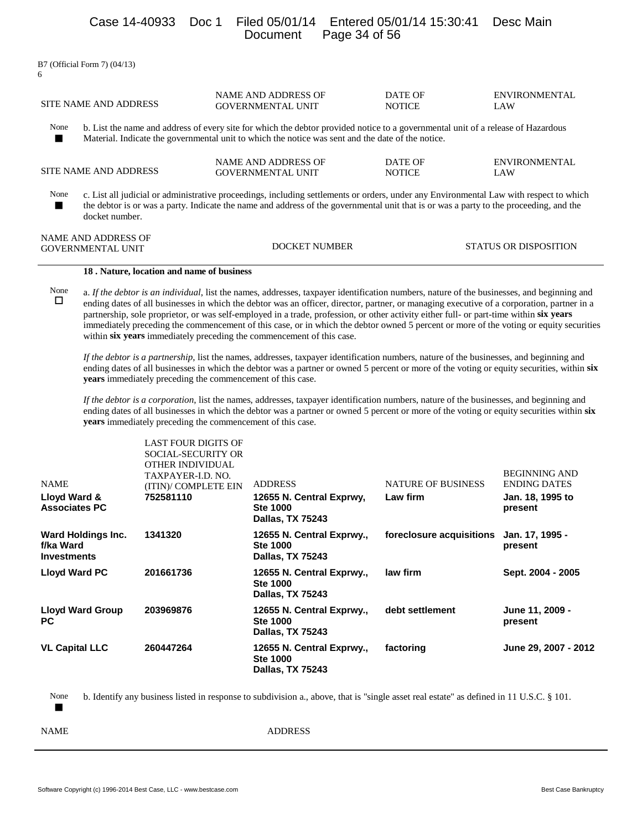|                                                                                                                                                                                                                                                                                                                                                                                                                                                                                                                                                                                                                                                                                                                                                                                                                                                                                                                                                                                                                                                                                                                                                                                                                                                                                                                                                                          | Case 14-40933                                   |           | Doc 1                                                                                                             | Filed 05/01/14<br><b>Document</b>                                                                 | Page 34 of 56 | Entered 05/01/14 15:30:41                                                                                                               | Desc Main                                                                                                                                                                                                                                                                        |
|--------------------------------------------------------------------------------------------------------------------------------------------------------------------------------------------------------------------------------------------------------------------------------------------------------------------------------------------------------------------------------------------------------------------------------------------------------------------------------------------------------------------------------------------------------------------------------------------------------------------------------------------------------------------------------------------------------------------------------------------------------------------------------------------------------------------------------------------------------------------------------------------------------------------------------------------------------------------------------------------------------------------------------------------------------------------------------------------------------------------------------------------------------------------------------------------------------------------------------------------------------------------------------------------------------------------------------------------------------------------------|-------------------------------------------------|-----------|-------------------------------------------------------------------------------------------------------------------|---------------------------------------------------------------------------------------------------|---------------|-----------------------------------------------------------------------------------------------------------------------------------------|----------------------------------------------------------------------------------------------------------------------------------------------------------------------------------------------------------------------------------------------------------------------------------|
| 6                                                                                                                                                                                                                                                                                                                                                                                                                                                                                                                                                                                                                                                                                                                                                                                                                                                                                                                                                                                                                                                                                                                                                                                                                                                                                                                                                                        | B7 (Official Form 7) (04/13)                    |           |                                                                                                                   |                                                                                                   |               |                                                                                                                                         |                                                                                                                                                                                                                                                                                  |
|                                                                                                                                                                                                                                                                                                                                                                                                                                                                                                                                                                                                                                                                                                                                                                                                                                                                                                                                                                                                                                                                                                                                                                                                                                                                                                                                                                          | <b>SITE NAME AND ADDRESS</b>                    |           |                                                                                                                   | NAME AND ADDRESS OF<br><b>GOVERNMENTAL UNIT</b>                                                   |               | DATE OF<br><b>NOTICE</b>                                                                                                                | <b>ENVIRONMENTAL</b><br>LAW                                                                                                                                                                                                                                                      |
| None<br>ш                                                                                                                                                                                                                                                                                                                                                                                                                                                                                                                                                                                                                                                                                                                                                                                                                                                                                                                                                                                                                                                                                                                                                                                                                                                                                                                                                                |                                                 |           |                                                                                                                   | Material. Indicate the governmental unit to which the notice was sent and the date of the notice. |               | b. List the name and address of every site for which the debtor provided notice to a governmental unit of a release of Hazardous        |                                                                                                                                                                                                                                                                                  |
|                                                                                                                                                                                                                                                                                                                                                                                                                                                                                                                                                                                                                                                                                                                                                                                                                                                                                                                                                                                                                                                                                                                                                                                                                                                                                                                                                                          | SITE NAME AND ADDRESS                           |           |                                                                                                                   | NAME AND ADDRESS OF<br><b>GOVERNMENTAL UNIT</b>                                                   |               | DATE OF<br><b>NOTICE</b>                                                                                                                | <b>ENVIRONMENTAL</b><br>LAW                                                                                                                                                                                                                                                      |
| None<br>▅                                                                                                                                                                                                                                                                                                                                                                                                                                                                                                                                                                                                                                                                                                                                                                                                                                                                                                                                                                                                                                                                                                                                                                                                                                                                                                                                                                | docket number.                                  |           |                                                                                                                   |                                                                                                   |               |                                                                                                                                         | c. List all judicial or administrative proceedings, including settlements or orders, under any Environmental Law with respect to which<br>the debtor is or was a party. Indicate the name and address of the governmental unit that is or was a party to the proceeding, and the |
|                                                                                                                                                                                                                                                                                                                                                                                                                                                                                                                                                                                                                                                                                                                                                                                                                                                                                                                                                                                                                                                                                                                                                                                                                                                                                                                                                                          | NAME AND ADDRESS OF<br><b>GOVERNMENTAL UNIT</b> |           |                                                                                                                   | <b>DOCKET NUMBER</b>                                                                              |               |                                                                                                                                         | <b>STATUS OR DISPOSITION</b>                                                                                                                                                                                                                                                     |
|                                                                                                                                                                                                                                                                                                                                                                                                                                                                                                                                                                                                                                                                                                                                                                                                                                                                                                                                                                                                                                                                                                                                                                                                                                                                                                                                                                          | 18. Nature, location and name of business       |           |                                                                                                                   |                                                                                                   |               |                                                                                                                                         |                                                                                                                                                                                                                                                                                  |
| a. If the debtor is an individual, list the names, addresses, taxpayer identification numbers, nature of the businesses, and beginning and<br>□<br>ending dates of all businesses in which the debtor was an officer, director, partner, or managing executive of a corporation, partner in a<br>partnership, sole proprietor, or was self-employed in a trade, profession, or other activity either full- or part-time within six years<br>immediately preceding the commencement of this case, or in which the debtor owned 5 percent or more of the voting or equity securities<br>within six years immediately preceding the commencement of this case.<br>If the debtor is a partnership, list the names, addresses, taxpayer identification numbers, nature of the businesses, and beginning and<br>ending dates of all businesses in which the debtor was a partner or owned 5 percent or more of the voting or equity securities, within six<br>years immediately preceding the commencement of this case.<br>If the debtor is a corporation, list the names, addresses, taxpayer identification numbers, nature of the businesses, and beginning and<br>ending dates of all businesses in which the debtor was a partner or owned 5 percent or more of the voting or equity securities within six<br>years immediately preceding the commencement of this case. |                                                 |           |                                                                                                                   |                                                                                                   |               |                                                                                                                                         |                                                                                                                                                                                                                                                                                  |
| <b>NAME</b><br>Lloyd Ward &<br><b>Associates PC</b>                                                                                                                                                                                                                                                                                                                                                                                                                                                                                                                                                                                                                                                                                                                                                                                                                                                                                                                                                                                                                                                                                                                                                                                                                                                                                                                      |                                                 | 752581110 | <b>LAST FOUR DIGITS OF</b><br>SOCIAL-SECURITY OR<br>OTHER INDIVIDUAL<br>TAXPAYER-I.D. NO.<br>(ITIN)/ COMPLETE EIN | <b>ADDRESS</b><br>12655 N. Central Exprwy,<br><b>Ste 1000</b><br><b>Dallas, TX 75243</b>          |               | NATURE OF BUSINESS<br>Law firm                                                                                                          | <b>BEGINNING AND</b><br><b>ENDING DATES</b><br>Jan. 18, 1995 to<br>present                                                                                                                                                                                                       |
| f/ka Ward<br><b>Investments</b>                                                                                                                                                                                                                                                                                                                                                                                                                                                                                                                                                                                                                                                                                                                                                                                                                                                                                                                                                                                                                                                                                                                                                                                                                                                                                                                                          | <b>Ward Holdings Inc.</b>                       | 1341320   |                                                                                                                   | 12655 N. Central Exprwy.,<br><b>Ste 1000</b><br><b>Dallas, TX 75243</b>                           |               | foreclosure acquisitions                                                                                                                | Jan. 17, 1995 -<br>present                                                                                                                                                                                                                                                       |
| <b>Lloyd Ward PC</b>                                                                                                                                                                                                                                                                                                                                                                                                                                                                                                                                                                                                                                                                                                                                                                                                                                                                                                                                                                                                                                                                                                                                                                                                                                                                                                                                                     |                                                 | 201661736 |                                                                                                                   | 12655 N. Central Exprwy.,<br><b>Ste 1000</b><br><b>Dallas, TX 75243</b>                           |               | law firm                                                                                                                                | Sept. 2004 - 2005                                                                                                                                                                                                                                                                |
| PC.                                                                                                                                                                                                                                                                                                                                                                                                                                                                                                                                                                                                                                                                                                                                                                                                                                                                                                                                                                                                                                                                                                                                                                                                                                                                                                                                                                      | <b>Lloyd Ward Group</b>                         | 203969876 |                                                                                                                   | 12655 N. Central Exprwy.,<br><b>Ste 1000</b><br><b>Dallas, TX 75243</b>                           |               | debt settlement                                                                                                                         | June 11, 2009 -<br>present                                                                                                                                                                                                                                                       |
| <b>VL Capital LLC</b>                                                                                                                                                                                                                                                                                                                                                                                                                                                                                                                                                                                                                                                                                                                                                                                                                                                                                                                                                                                                                                                                                                                                                                                                                                                                                                                                                    |                                                 | 260447264 |                                                                                                                   | 12655 N. Central Exprwy.,<br><b>Ste 1000</b><br><b>Dallas, TX 75243</b>                           |               | factoring                                                                                                                               | June 29, 2007 - 2012                                                                                                                                                                                                                                                             |
| None                                                                                                                                                                                                                                                                                                                                                                                                                                                                                                                                                                                                                                                                                                                                                                                                                                                                                                                                                                                                                                                                                                                                                                                                                                                                                                                                                                     |                                                 |           |                                                                                                                   |                                                                                                   |               | b. Identify any business listed in response to subdivision a., above, that is "single asset real estate" as defined in 11 U.S.C. § 101. |                                                                                                                                                                                                                                                                                  |

 $\blacksquare$ fy any business listed in response to subdivision a., above, that is "single asset real estate" as defined in  $11$  U.S.C. §

NAME ADDRESS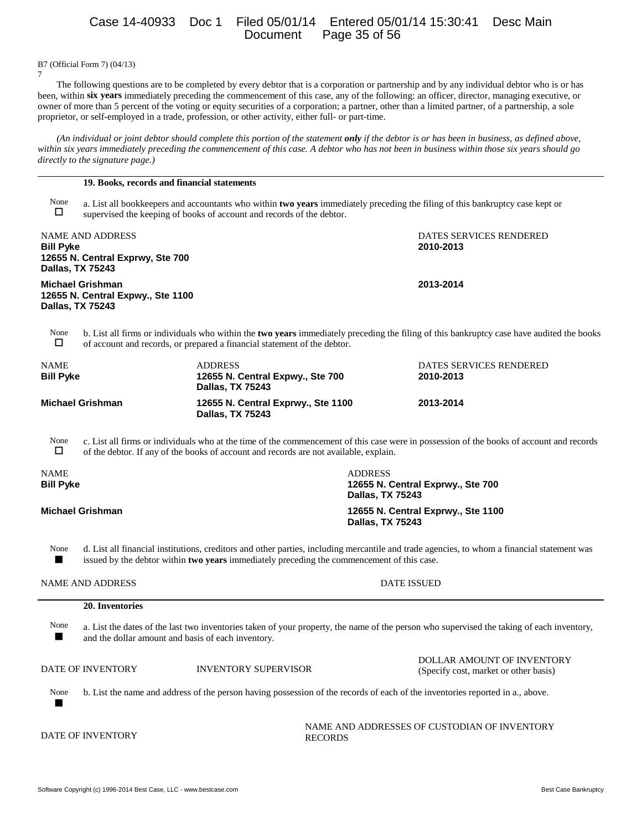### Case 14-40933 Doc 1 Filed 05/01/14 Entered 05/01/14 15:30:41 Desc Main Page 35 of 56

#### B7 (Official Form 7) (04/13)

7

| The following questions are to be completed by every debtor that is a corporation or partnership and by any individual debtor who is or has                                                                                                               |
|-----------------------------------------------------------------------------------------------------------------------------------------------------------------------------------------------------------------------------------------------------------|
| been, within six years immediately preceding the commencement of this case, any of the following: an officer, director, managing executive, or                                                                                                            |
| owner of more than 5 percent of the voting or equity securities of a corporation; a partner, other than a limited partner, of a partnership, a sole<br>proprietor, or self-employed in a trade, profession, or other activity, either full- or part-time. |
| (An individual or joint debtor should complete this portion of the statement <b>only</b> if the debtor is or has been in business, as defined above.                                                                                                      |

(An individual or joint debtor should complete this portion of the statement **only** if the debtor is or has been in business, as defined above, *within six years immediately preceding the commencement of this case. A debtor who has not been in business within those six years should go directly to the signature page.)*

### **19. Books, records and financial statements**

| None<br>□                                                                           | a. List all bookkeepers and accountants who within two years immediately preceding the filing of this bankruptcy case kept or<br>supervised the keeping of books of account and records of the debtor. |                                                                                                                               |                                                               |                                                                                                                                             |  |  |  |
|-------------------------------------------------------------------------------------|--------------------------------------------------------------------------------------------------------------------------------------------------------------------------------------------------------|-------------------------------------------------------------------------------------------------------------------------------|---------------------------------------------------------------|---------------------------------------------------------------------------------------------------------------------------------------------|--|--|--|
| <b>Bill Pyke</b>                                                                    | NAME AND ADDRESS<br>12655 N. Central Exprwy, Ste 700<br><b>Dallas, TX 75243</b>                                                                                                                        |                                                                                                                               |                                                               | DATES SERVICES RENDERED<br>2010-2013                                                                                                        |  |  |  |
|                                                                                     | Michael Grishman<br>12655 N. Central Expwy., Ste 1100<br>Dallas, TX 75243                                                                                                                              |                                                                                                                               |                                                               | 2013-2014                                                                                                                                   |  |  |  |
| None<br>□                                                                           |                                                                                                                                                                                                        | of account and records, or prepared a financial statement of the debtor.                                                      |                                                               | b. List all firms or individuals who within the two years immediately preceding the filing of this bankruptcy case have audited the books   |  |  |  |
| NAME<br><b>Bill Pyke</b>                                                            |                                                                                                                                                                                                        | <b>ADDRESS</b><br>12655 N. Central Expwy., Ste 700<br>Dallas, TX 75243                                                        |                                                               | DATES SERVICES RENDERED<br>2010-2013                                                                                                        |  |  |  |
|                                                                                     | Michael Grishman                                                                                                                                                                                       | 12655 N. Central Exprwy., Ste 1100<br>Dallas, TX 75243                                                                        |                                                               | 2013-2014                                                                                                                                   |  |  |  |
| None<br>$\Box$                                                                      |                                                                                                                                                                                                        | of the debtor. If any of the books of account and records are not available, explain.                                         |                                                               | c. List all firms or individuals who at the time of the commencement of this case were in possession of the books of account and records    |  |  |  |
| NAME<br><b>Bill Pyke</b>                                                            |                                                                                                                                                                                                        |                                                                                                                               | <b>ADDRESS</b><br><b>Dallas, TX 75243</b>                     | 12655 N. Central Exprwy., Ste 700                                                                                                           |  |  |  |
|                                                                                     | Michael Grishman                                                                                                                                                                                       |                                                                                                                               | 12655 N. Central Exprwy., Ste 1100<br><b>Dallas, TX 75243</b> |                                                                                                                                             |  |  |  |
| None<br>■                                                                           |                                                                                                                                                                                                        | issued by the debtor within two years immediately preceding the commencement of this case.                                    |                                                               | d. List all financial institutions, creditors and other parties, including mercantile and trade agencies, to whom a financial statement was |  |  |  |
|                                                                                     | <b>NAME AND ADDRESS</b>                                                                                                                                                                                |                                                                                                                               | <b>DATE ISSUED</b>                                            |                                                                                                                                             |  |  |  |
|                                                                                     | 20. Inventories                                                                                                                                                                                        |                                                                                                                               |                                                               |                                                                                                                                             |  |  |  |
| None<br>■                                                                           | and the dollar amount and basis of each inventory.                                                                                                                                                     |                                                                                                                               |                                                               | a. List the dates of the last two inventories taken of your property, the name of the person who supervised the taking of each inventory,   |  |  |  |
|                                                                                     | DATE OF INVENTORY                                                                                                                                                                                      | <b>INVENTORY SUPERVISOR</b>                                                                                                   |                                                               | DOLLAR AMOUNT OF INVENTORY<br>(Specify cost, market or other basis)                                                                         |  |  |  |
| None                                                                                |                                                                                                                                                                                                        | b. List the name and address of the person having possession of the records of each of the inventories reported in a., above. |                                                               |                                                                                                                                             |  |  |  |
| NAME AND ADDRESSES OF CUSTODIAN OF INVENTORY<br>DATE OF INVENTORY<br><b>RECORDS</b> |                                                                                                                                                                                                        |                                                                                                                               |                                                               |                                                                                                                                             |  |  |  |
|                                                                                     |                                                                                                                                                                                                        |                                                                                                                               |                                                               |                                                                                                                                             |  |  |  |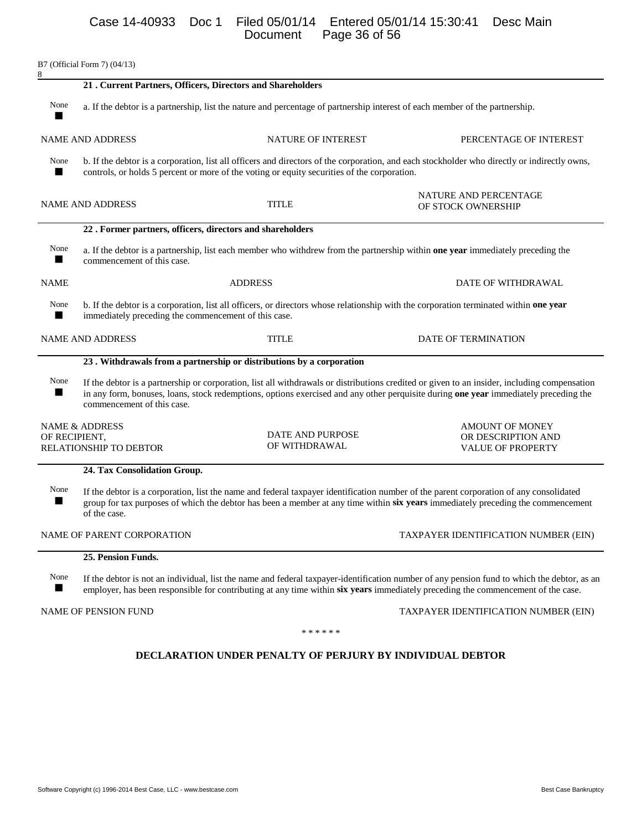Case 14-40933 Doc 1 Filed 05/01/14 Entered 05/01/14 15:30:41 Desc Main Document Page 36 of 56

|             | B7 (Official Form 7) $(04/13)$                                                                                                                                                                                                                                                             |                                                                                                                                      |                                                                                                                                              |  |  |  |  |  |
|-------------|--------------------------------------------------------------------------------------------------------------------------------------------------------------------------------------------------------------------------------------------------------------------------------------------|--------------------------------------------------------------------------------------------------------------------------------------|----------------------------------------------------------------------------------------------------------------------------------------------|--|--|--|--|--|
| 8           |                                                                                                                                                                                                                                                                                            | 21. Current Partners, Officers, Directors and Shareholders                                                                           |                                                                                                                                              |  |  |  |  |  |
| None        | a. If the debtor is a partnership, list the nature and percentage of partnership interest of each member of the partnership.                                                                                                                                                               |                                                                                                                                      |                                                                                                                                              |  |  |  |  |  |
|             | <b>NAME AND ADDRESS</b>                                                                                                                                                                                                                                                                    | NATURE OF INTEREST                                                                                                                   | PERCENTAGE OF INTEREST                                                                                                                       |  |  |  |  |  |
| None<br>٠   | b. If the debtor is a corporation, list all officers and directors of the corporation, and each stockholder who directly or indirectly owns,<br>controls, or holds 5 percent or more of the voting or equity securities of the corporation.                                                |                                                                                                                                      |                                                                                                                                              |  |  |  |  |  |
|             | <b>NAME AND ADDRESS</b>                                                                                                                                                                                                                                                                    | <b>TITLE</b>                                                                                                                         | NATURE AND PERCENTAGE<br>OF STOCK OWNERSHIP                                                                                                  |  |  |  |  |  |
|             | 22. Former partners, officers, directors and shareholders                                                                                                                                                                                                                                  |                                                                                                                                      |                                                                                                                                              |  |  |  |  |  |
| None<br>٠   | commencement of this case.                                                                                                                                                                                                                                                                 | a. If the debtor is a partnership, list each member who withdrew from the partnership within one year immediately preceding the      |                                                                                                                                              |  |  |  |  |  |
| <b>NAME</b> |                                                                                                                                                                                                                                                                                            | <b>ADDRESS</b>                                                                                                                       | <b>DATE OF WITHDRAWAL</b>                                                                                                                    |  |  |  |  |  |
| None<br>m   | b. If the debtor is a corporation, list all officers, or directors whose relationship with the corporation terminated within one year<br>immediately preceding the commencement of this case.                                                                                              |                                                                                                                                      |                                                                                                                                              |  |  |  |  |  |
|             | <b>NAME AND ADDRESS</b>                                                                                                                                                                                                                                                                    | <b>TITLE</b>                                                                                                                         | <b>DATE OF TERMINATION</b>                                                                                                                   |  |  |  |  |  |
|             |                                                                                                                                                                                                                                                                                            | 23. Withdrawals from a partnership or distributions by a corporation                                                                 |                                                                                                                                              |  |  |  |  |  |
| None<br>ш   | commencement of this case.                                                                                                                                                                                                                                                                 | in any form, bonuses, loans, stock redemptions, options exercised and any other perquisite during one year immediately preceding the | If the debtor is a partnership or corporation, list all withdrawals or distributions credited or given to an insider, including compensation |  |  |  |  |  |
|             | <b>NAME &amp; ADDRESS</b>                                                                                                                                                                                                                                                                  |                                                                                                                                      | <b>AMOUNT OF MONEY</b>                                                                                                                       |  |  |  |  |  |
|             | OF RECIPIENT,<br>RELATIONSHIP TO DEBTOR                                                                                                                                                                                                                                                    | DATE AND PURPOSE<br>OF WITHDRAWAL                                                                                                    | OR DESCRIPTION AND<br><b>VALUE OF PROPERTY</b>                                                                                               |  |  |  |  |  |
|             | 24. Tax Consolidation Group.                                                                                                                                                                                                                                                               |                                                                                                                                      |                                                                                                                                              |  |  |  |  |  |
| None<br>٠   | If the debtor is a corporation, list the name and federal taxpayer identification number of the parent corporation of any consolidated<br>group for tax purposes of which the debtor has been a member at any time within six years immediately preceding the commencement<br>of the case. |                                                                                                                                      |                                                                                                                                              |  |  |  |  |  |
|             | NAME OF PARENT CORPORATION                                                                                                                                                                                                                                                                 |                                                                                                                                      | TAXPAYER IDENTIFICATION NUMBER (EIN)                                                                                                         |  |  |  |  |  |
|             | 25. Pension Funds.                                                                                                                                                                                                                                                                         |                                                                                                                                      |                                                                                                                                              |  |  |  |  |  |
| None<br>ш   |                                                                                                                                                                                                                                                                                            | employer, has been responsible for contributing at any time within six years immediately preceding the commencement of the case.     | If the debtor is not an individual, list the name and federal taxpayer-identification number of any pension fund to which the debtor, as an  |  |  |  |  |  |
|             | NAME OF PENSION FUND                                                                                                                                                                                                                                                                       |                                                                                                                                      | TAXPAYER IDENTIFICATION NUMBER (EIN)                                                                                                         |  |  |  |  |  |
|             |                                                                                                                                                                                                                                                                                            | ******                                                                                                                               |                                                                                                                                              |  |  |  |  |  |

### **DECLARATION UNDER PENALTY OF PERJURY BY INDIVIDUAL DEBTOR**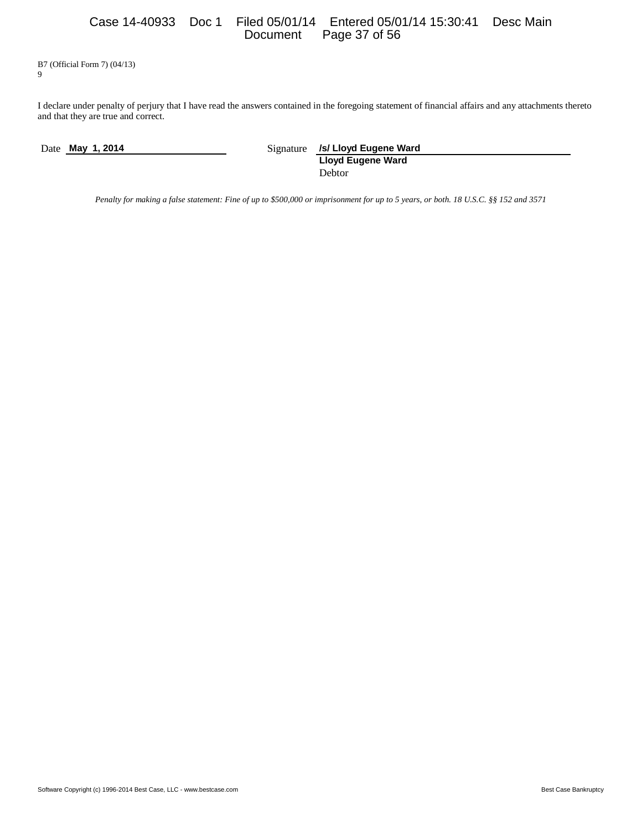### Case 14-40933 Doc 1 Filed 05/01/14 Entered 05/01/14 15:30:41 Desc Main Page 37 of 56

B7 (Official Form 7) (04/13) 9

I declare under penalty of perjury that I have read the answers contained in the foregoing statement of financial affairs and any attachments thereto and that they are true and correct.

Date May 1, 2014 **Signature** *Isl* **Lloyd Eugene Ward** 

**Lloyd Eugene Ward** Debtor

*Penalty for making a false statement: Fine of up to \$500,000 or imprisonment for up to 5 years, or both. 18 U.S.C. §§ 152 and 3571*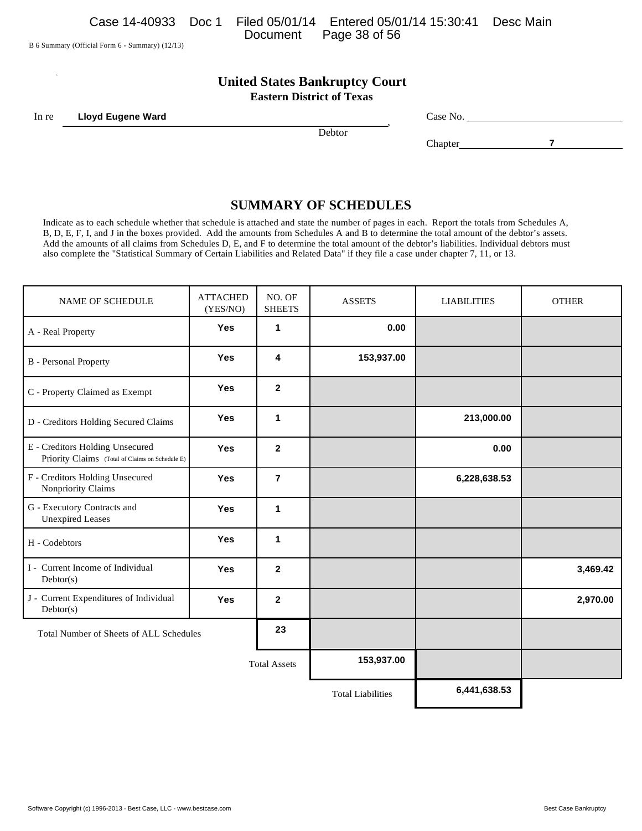Case 14-40933 Doc 1 Filed 05/01/14 Entered 05/01/14 15:30:41 Desc Main Page 38 of 56

,

B 6 Summary (Official Form 6 - Summary) (12/13)

### **United States Bankruptcy Court Eastern District of Texas**

In re

 $\overline{\phantom{a}}$ 

**Lloyd Eugene Ward**

Debtor

| Chanter |  |  |
|---------|--|--|
|         |  |  |

### **SUMMARY OF SCHEDULES**

Indicate as to each schedule whether that schedule is attached and state the number of pages in each. Report the totals from Schedules A, B, D, E, F, I, and J in the boxes provided. Add the amounts from Schedules A and B to determine the total amount of the debtor's assets. Add the amounts of all claims from Schedules D, E, and F to determine the total amount of the debtor's liabilities. Individual debtors must also complete the "Statistical Summary of Certain Liabilities and Related Data" if they file a case under chapter 7, 11, or 13.

| NAME OF SCHEDULE                                                                   | <b>ATTACHED</b><br>(YES/NO) | NO. OF<br><b>SHEETS</b> | <b>ASSETS</b>            | <b>LIABILITIES</b> | <b>OTHER</b> |
|------------------------------------------------------------------------------------|-----------------------------|-------------------------|--------------------------|--------------------|--------------|
| A - Real Property                                                                  | <b>Yes</b>                  | 1                       | 0.00                     |                    |              |
| <b>B</b> - Personal Property                                                       | <b>Yes</b>                  | 4                       | 153,937.00               |                    |              |
| C - Property Claimed as Exempt                                                     | <b>Yes</b>                  | $\mathbf{2}$            |                          |                    |              |
| D - Creditors Holding Secured Claims                                               | <b>Yes</b>                  | 1                       |                          | 213,000.00         |              |
| E - Creditors Holding Unsecured<br>Priority Claims (Total of Claims on Schedule E) | <b>Yes</b>                  | $\mathbf{2}$            |                          | 0.00               |              |
| F - Creditors Holding Unsecured<br>Nonpriority Claims                              | <b>Yes</b>                  | $\overline{7}$          |                          | 6,228,638.53       |              |
| G - Executory Contracts and<br><b>Unexpired Leases</b>                             | <b>Yes</b>                  | 1                       |                          |                    |              |
| H - Codebtors                                                                      | <b>Yes</b>                  | 1                       |                          |                    |              |
| I - Current Income of Individual<br>Debtor(s)                                      | <b>Yes</b>                  | $\mathbf{2}$            |                          |                    | 3,469.42     |
| J - Current Expenditures of Individual<br>Dektor(s)                                | <b>Yes</b>                  | $\mathbf{2}$            |                          |                    | 2,970.00     |
| Total Number of Sheets of ALL Schedules                                            |                             | 23                      |                          |                    |              |
|                                                                                    |                             | <b>Total Assets</b>     | 153,937.00               |                    |              |
|                                                                                    |                             |                         | <b>Total Liabilities</b> | 6,441,638.53       |              |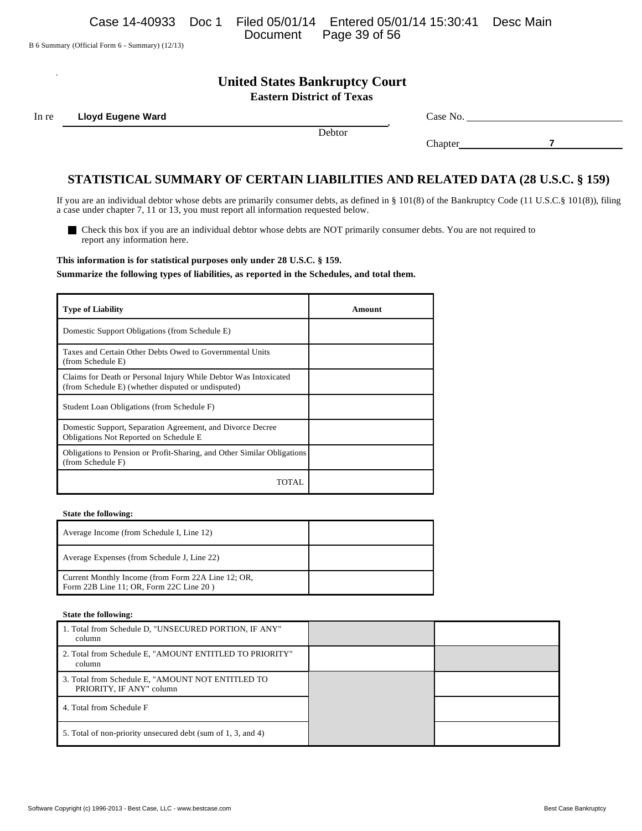B 6 Summary (Official Form 6 - Summary) (12/13)

### **United States Bankruptcy Court Eastern District of Texas**

In re **Lloyd Eugene Ward**

Debtor

| Case No. |  |  |
|----------|--|--|
|          |  |  |

Chapter **7**

### **STATISTICAL SUMMARY OF CERTAIN LIABILITIES AND RELATED DATA (28 U.S.C. § 159)**

If you are an individual debtor whose debts are primarily consumer debts, as defined in § 101(8) of the Bankruptcy Code (11 U.S.C.§ 101(8)), filing a case under chapter 7, 11 or 13, you must report all information requested below.

Check this box if you are an individual debtor whose debts are NOT primarily consumer debts. You are not required to report any information here.

#### **This information is for statistical purposes only under 28 U.S.C. § 159.**

#### **Summarize the following types of liabilities, as reported in the Schedules, and total them.**

| <b>Type of Liability</b>                                                                                               | Amount |
|------------------------------------------------------------------------------------------------------------------------|--------|
| Domestic Support Obligations (from Schedule E)                                                                         |        |
| Taxes and Certain Other Debts Owed to Governmental Units<br>(from Schedule E)                                          |        |
| Claims for Death or Personal Injury While Debtor Was Intoxicated<br>(from Schedule E) (whether disputed or undisputed) |        |
| Student Loan Obligations (from Schedule F)                                                                             |        |
| Domestic Support, Separation Agreement, and Divorce Decree<br>Obligations Not Reported on Schedule E                   |        |
| Obligations to Pension or Profit-Sharing, and Other Similar Obligations<br>(from Schedule F)                           |        |
| TOTAL                                                                                                                  |        |

#### **State the following:**

| Average Income (from Schedule I, Line 12)                                                     |  |
|-----------------------------------------------------------------------------------------------|--|
| Average Expenses (from Schedule J, Line 22)                                                   |  |
| Current Monthly Income (from Form 22A Line 12; OR,<br>Form 22B Line 11; OR, Form 22C Line 20) |  |

#### **State the following:**

| 1. Total from Schedule D, "UNSECURED PORTION, IF ANY"<br>column               |  |
|-------------------------------------------------------------------------------|--|
| 2. Total from Schedule E, "AMOUNT ENTITLED TO PRIORITY"<br>column             |  |
| 3. Total from Schedule E, "AMOUNT NOT ENTITLED TO<br>PRIORITY, IF ANY" column |  |
| 4. Total from Schedule F                                                      |  |
| 5. Total of non-priority unsecured debt (sum of 1, 3, and 4)                  |  |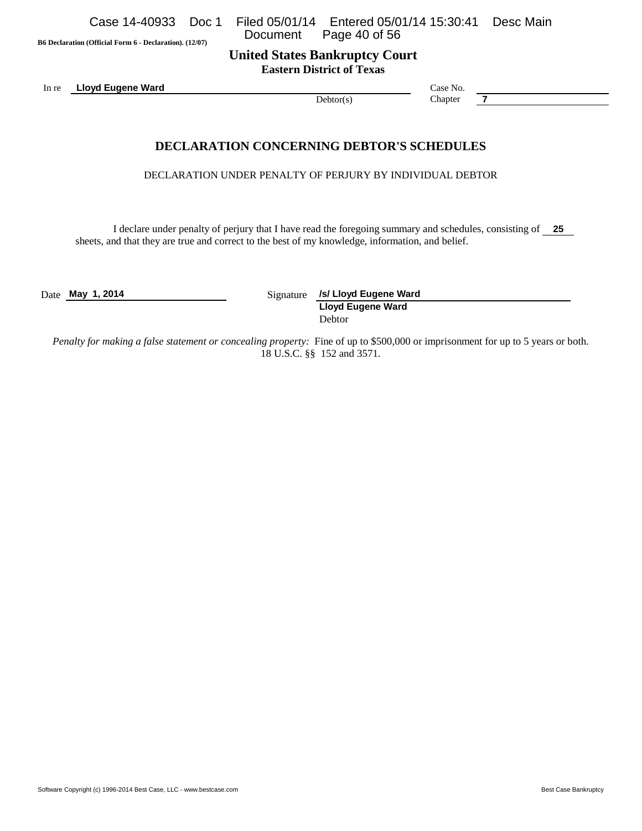Case 14-40933 Doc 1 Filed 05/01/14 Entered 05/01/14 15:30:41 Desc Main Page 40 of 56

**B6 Declaration (Official Form 6 - Declaration). (12/07)**

**United States Bankruptcy Court Eastern District of Texas**

In re **Lloyd Eugene Ward Case No. Case No. Case No. Case No. Case No. Case No.** 

Debtor(s) Chapter **7** 

### **DECLARATION CONCERNING DEBTOR'S SCHEDULES**

DECLARATION UNDER PENALTY OF PERJURY BY INDIVIDUAL DEBTOR

I declare under penalty of perjury that I have read the foregoing summary and schedules, consisting of **25**  sheets, and that they are true and correct to the best of my knowledge, information, and belief.

Date **May 1, 2014** Signature */s/ Lloyd Eugene Ward* **Lloyd Eugene Ward** Debtor

*Penalty for making a false statement or concealing property:* Fine of up to \$500,000 or imprisonment for up to 5 years or both. 18 U.S.C. §§ 152 and 3571.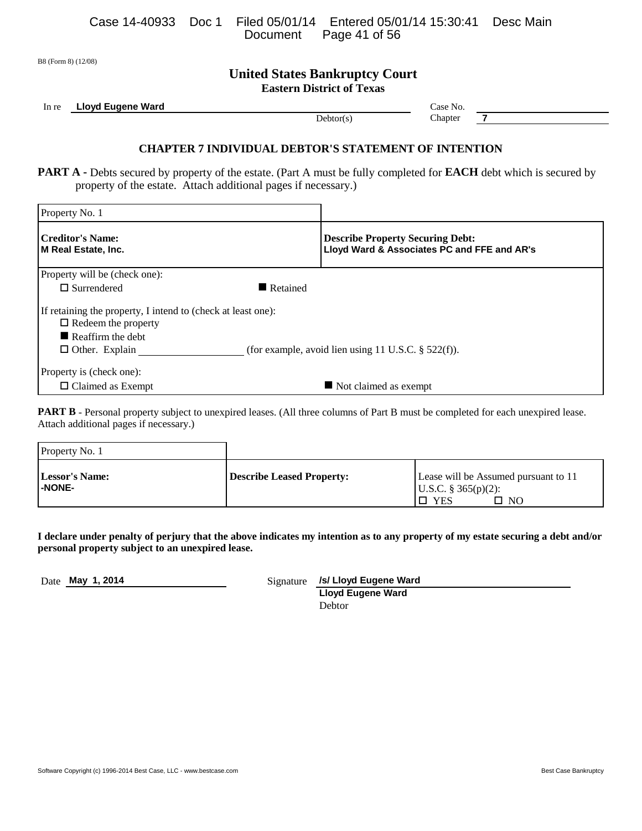Case 14-40933 Doc 1 Filed 05/01/14 Entered 05/01/14 15:30:41 Desc Main Page 41 of 56

B8 (Form 8) (12/08)

### **United States Bankruptcy Court Eastern District of Texas**

| In re | <b>Lloyd Eugene Ward</b> |           |         |  |
|-------|--------------------------|-----------|---------|--|
|       |                          | Dektor(s) | Chapter |  |
|       |                          |           |         |  |

### **CHAPTER 7 INDIVIDUAL DEBTOR'S STATEMENT OF INTENTION**

**PART A** - Debts secured by property of the estate. (Part A must be fully completed for **EACH** debt which is secured by property of the estate. Attach additional pages if necessary.)

| Property No. 1                                                                             |                         |                                                                                        |  |
|--------------------------------------------------------------------------------------------|-------------------------|----------------------------------------------------------------------------------------|--|
| Creditor's Name:<br>M Real Estate, Inc.                                                    |                         | <b>Describe Property Securing Debt:</b><br>Lloyd Ward & Associates PC and FFE and AR's |  |
| Property will be (check one):                                                              |                         |                                                                                        |  |
| $\Box$ Surrendered                                                                         | $\blacksquare$ Retained |                                                                                        |  |
| If retaining the property, I intend to (check at least one):<br>$\Box$ Redeem the property |                         |                                                                                        |  |
| $\blacksquare$ Reaffirm the debt                                                           |                         |                                                                                        |  |
| $\Box$ Other. Explain                                                                      |                         | (for example, avoid lien using 11 U.S.C. $\S$ 522(f)).                                 |  |
| Property is (check one):                                                                   |                         |                                                                                        |  |
| $\Box$ Claimed as Exempt                                                                   |                         | $\blacksquare$ Not claimed as exempt                                                   |  |

**PART B** - Personal property subject to unexpired leases. (All three columns of Part B must be completed for each unexpired lease. Attach additional pages if necessary.)

| Property No. 1                   |                                  |                                                                                 |
|----------------------------------|----------------------------------|---------------------------------------------------------------------------------|
| Lessor's Name:<br><b>I-NONE-</b> | <b>Describe Leased Property:</b> | Lease will be Assumed pursuant to 11<br>  U.S.C. $\S 365(p)(2)$ :<br>YES<br>□ № |

**I declare under penalty of perjury that the above indicates my intention as to any property of my estate securing a debt and/or personal property subject to an unexpired lease.**

Date **May 1, 2014** Signature *Isl* Lloyd Eugene Ward

**Lloyd Eugene Ward** Debtor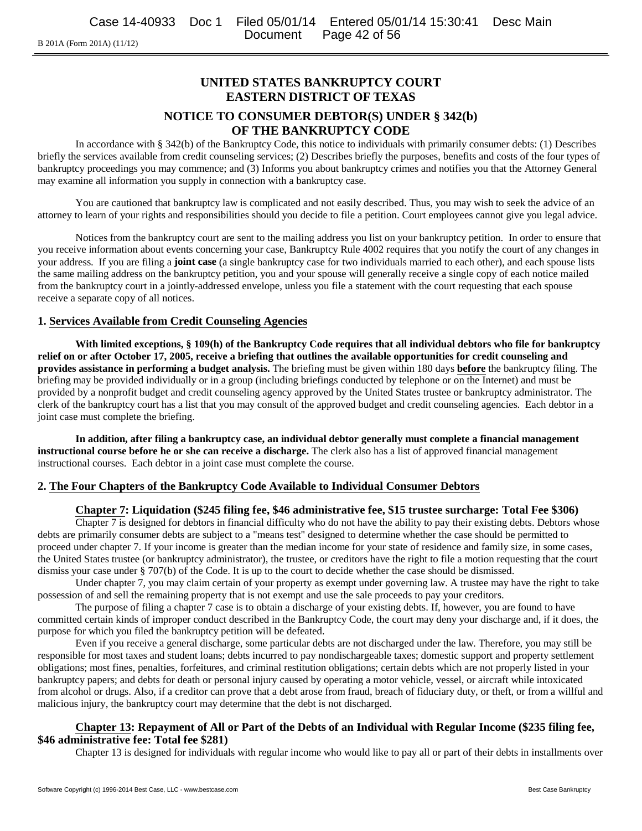B 201A (Form 201A) (11/12)

### **UNITED STATES BANKRUPTCY COURT EASTERN DISTRICT OF TEXAS**

### **NOTICE TO CONSUMER DEBTOR(S) UNDER § 342(b) OF THE BANKRUPTCY CODE**

In accordance with § 342(b) of the Bankruptcy Code, this notice to individuals with primarily consumer debts: (1) Describes briefly the services available from credit counseling services; (2) Describes briefly the purposes, benefits and costs of the four types of bankruptcy proceedings you may commence; and (3) Informs you about bankruptcy crimes and notifies you that the Attorney General may examine all information you supply in connection with a bankruptcy case.

You are cautioned that bankruptcy law is complicated and not easily described. Thus, you may wish to seek the advice of an attorney to learn of your rights and responsibilities should you decide to file a petition. Court employees cannot give you legal advice.

Notices from the bankruptcy court are sent to the mailing address you list on your bankruptcy petition. In order to ensure that you receive information about events concerning your case, Bankruptcy Rule 4002 requires that you notify the court of any changes in your address. If you are filing a **joint case** (a single bankruptcy case for two individuals married to each other), and each spouse lists the same mailing address on the bankruptcy petition, you and your spouse will generally receive a single copy of each notice mailed from the bankruptcy court in a jointly-addressed envelope, unless you file a statement with the court requesting that each spouse receive a separate copy of all notices.

#### **1. Services Available from Credit Counseling Agencies**

**With limited exceptions, § 109(h) of the Bankruptcy Code requires that all individual debtors who file for bankruptcy relief on or after October 17, 2005, receive a briefing that outlines the available opportunities for credit counseling and provides assistance in performing a budget analysis.** The briefing must be given within 180 days **before** the bankruptcy filing. The briefing may be provided individually or in a group (including briefings conducted by telephone or on the Internet) and must be provided by a nonprofit budget and credit counseling agency approved by the United States trustee or bankruptcy administrator. The clerk of the bankruptcy court has a list that you may consult of the approved budget and credit counseling agencies. Each debtor in a joint case must complete the briefing.

**In addition, after filing a bankruptcy case, an individual debtor generally must complete a financial management instructional course before he or she can receive a discharge.** The clerk also has a list of approved financial management instructional courses. Each debtor in a joint case must complete the course.

#### **2. The Four Chapters of the Bankruptcy Code Available to Individual Consumer Debtors**

#### **Chapter 7: Liquidation (\$245 filing fee, \$46 administrative fee, \$15 trustee surcharge: Total Fee \$306)**

Chapter 7 is designed for debtors in financial difficulty who do not have the ability to pay their existing debts. Debtors whose debts are primarily consumer debts are subject to a "means test" designed to determine whether the case should be permitted to proceed under chapter 7. If your income is greater than the median income for your state of residence and family size, in some cases, the United States trustee (or bankruptcy administrator), the trustee, or creditors have the right to file a motion requesting that the court dismiss your case under § 707(b) of the Code. It is up to the court to decide whether the case should be dismissed.

Under chapter 7, you may claim certain of your property as exempt under governing law. A trustee may have the right to take possession of and sell the remaining property that is not exempt and use the sale proceeds to pay your creditors.

The purpose of filing a chapter 7 case is to obtain a discharge of your existing debts. If, however, you are found to have committed certain kinds of improper conduct described in the Bankruptcy Code, the court may deny your discharge and, if it does, the purpose for which you filed the bankruptcy petition will be defeated.

Even if you receive a general discharge, some particular debts are not discharged under the law. Therefore, you may still be responsible for most taxes and student loans; debts incurred to pay nondischargeable taxes; domestic support and property settlement obligations; most fines, penalties, forfeitures, and criminal restitution obligations; certain debts which are not properly listed in your bankruptcy papers; and debts for death or personal injury caused by operating a motor vehicle, vessel, or aircraft while intoxicated from alcohol or drugs. Also, if a creditor can prove that a debt arose from fraud, breach of fiduciary duty, or theft, or from a willful and malicious injury, the bankruptcy court may determine that the debt is not discharged.

### **Chapter 13: Repayment of All or Part of the Debts of an Individual with Regular Income (\$235 filing fee, \$46 administrative fee: Total fee \$281)**

Chapter 13 is designed for individuals with regular income who would like to pay all or part of their debts in installments over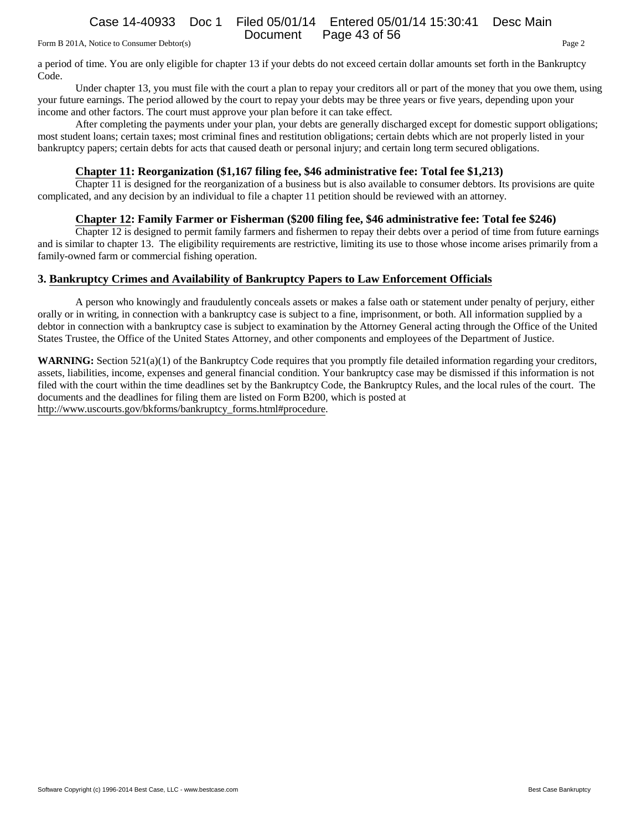Case 14-40933 Doc 1 Filed 05/01/14 Entered 05/01/14 15:30:41 Desc Main Page 43 of 56

Form B 201A, Notice to Consumer Debtor(s) Page 2

a period of time. You are only eligible for chapter 13 if your debts do not exceed certain dollar amounts set forth in the Bankruptcy Code.

Under chapter 13, you must file with the court a plan to repay your creditors all or part of the money that you owe them, using your future earnings. The period allowed by the court to repay your debts may be three years or five years, depending upon your income and other factors. The court must approve your plan before it can take effect.

After completing the payments under your plan, your debts are generally discharged except for domestic support obligations; most student loans; certain taxes; most criminal fines and restitution obligations; certain debts which are not properly listed in your bankruptcy papers; certain debts for acts that caused death or personal injury; and certain long term secured obligations.

### **Chapter 11: Reorganization (\$1,167 filing fee, \$46 administrative fee: Total fee \$1,213)**

Chapter 11 is designed for the reorganization of a business but is also available to consumer debtors. Its provisions are quite complicated, and any decision by an individual to file a chapter 11 petition should be reviewed with an attorney.

#### **Chapter 12: Family Farmer or Fisherman (\$200 filing fee, \$46 administrative fee: Total fee \$246)**

Chapter  $12$  is designed to permit family farmers and fishermen to repay their debts over a period of time from future earnings and is similar to chapter 13. The eligibility requirements are restrictive, limiting its use to those whose income arises primarily from a family-owned farm or commercial fishing operation.

#### **3. Bankruptcy Crimes and Availability of Bankruptcy Papers to Law Enforcement Officials**

A person who knowingly and fraudulently conceals assets or makes a false oath or statement under penalty of perjury, either orally or in writing, in connection with a bankruptcy case is subject to a fine, imprisonment, or both. All information supplied by a debtor in connection with a bankruptcy case is subject to examination by the Attorney General acting through the Office of the United States Trustee, the Office of the United States Attorney, and other components and employees of the Department of Justice.

**WARNING:** Section 521(a)(1) of the Bankruptcy Code requires that you promptly file detailed information regarding your creditors, assets, liabilities, income, expenses and general financial condition. Your bankruptcy case may be dismissed if this information is not filed with the court within the time deadlines set by the Bankruptcy Code, the Bankruptcy Rules, and the local rules of the court. The documents and the deadlines for filing them are listed on Form B200, which is posted at http://www.uscourts.gov/bkforms/bankruptcy\_forms.html#procedure.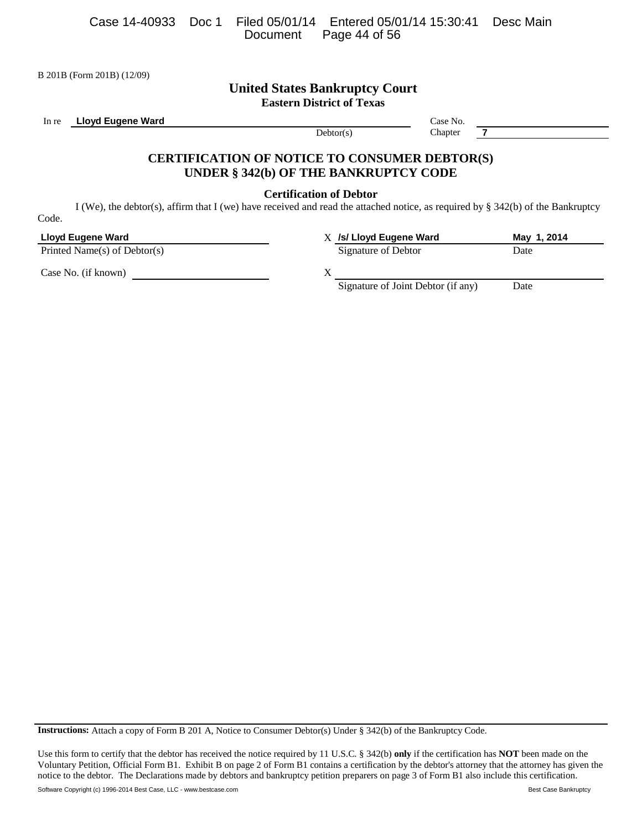Case 14-40933 Doc 1 Filed 05/01/14 Entered 05/01/14 15:30:41 Desc Main Page 44 of 56

B 201B (Form 201B) (12/09)

### **United States Bankruptcy Court Eastern District of Texas**

In re **Lloyd Eugene Ward Case No. Case No. Case No. Case No. Case No. Case No.** 

Debtor(s) Chapter **7**

### **CERTIFICATION OF NOTICE TO CONSUMER DEBTOR(S) UNDER § 342(b) OF THE BANKRUPTCY CODE**

#### **Certification of Debtor**

I (We), the debtor(s), affirm that I (we) have received and read the attached notice, as required by  $\S 342(b)$  of the Bankruptcy Code.

#### **Lloyd Eugene Ward**

Printed Name $(s)$  of Debtor $(s)$ 

Case No. (if known)

| X /s/ Lloyd Eugene Ward            | May 1, 2014 |
|------------------------------------|-------------|
| Signature of Debtor                | Date        |
|                                    |             |
| Signature of Joint Debtor (if any) | Date        |

**Instructions:** Attach a copy of Form B 201 A, Notice to Consumer Debtor(s) Under § 342(b) of the Bankruptcy Code.

Use this form to certify that the debtor has received the notice required by 11 U.S.C. § 342(b) **only** if the certification has **NOT** been made on the Voluntary Petition, Official Form B1. Exhibit B on page 2 of Form B1 contains a certification by the debtor's attorney that the attorney has given the notice to the debtor. The Declarations made by debtors and bankruptcy petition preparers on page 3 of Form B1 also include this certification. Software Copyright (c) 1996-2014 Best Case, LLC - www.bestcase.com **Best Case Bankruptcy** Best Case Bankruptcy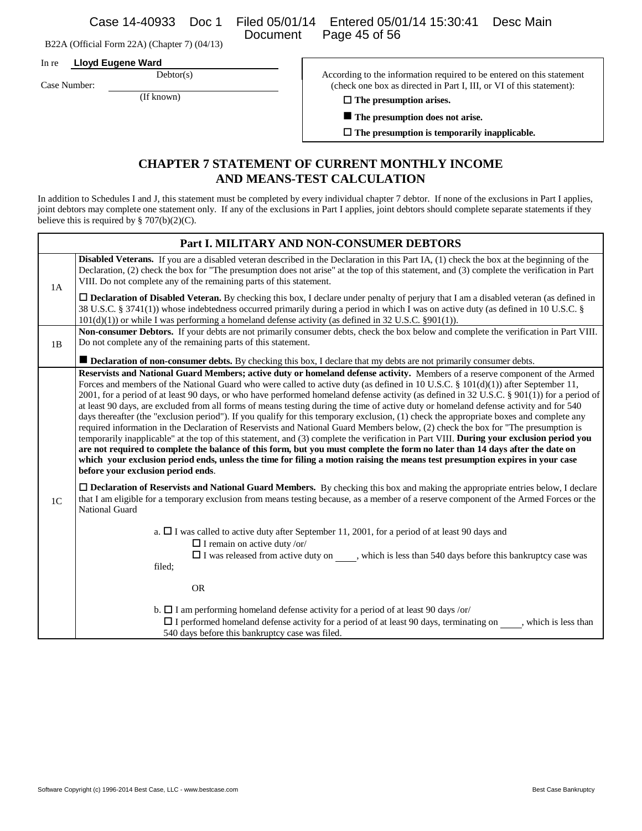B22A (Official Form 22A) (Chapter 7) (04/13)

Case 14-40933 Doc 1 Filed 05/01/14 Entered 05/01/14 15:30:41 Desc Main Page 45 of 56

| In re | <b>Lloyd Eugene Ward</b> |
|-------|--------------------------|
|       | Dektor(s)                |

Case Number:

(If known)

According to the information required to be entered on this statement (check one box as directed in Part I, III, or VI of this statement):

- **The presumption arises.**
- The presumption does not arise.
- **The presumption is temporarily inapplicable.**

### **CHAPTER 7 STATEMENT OF CURRENT MONTHLY INCOME AND MEANS-TEST CALCULATION**

In addition to Schedules I and J, this statement must be completed by every individual chapter 7 debtor. If none of the exclusions in Part I applies, joint debtors may complete one statement only. If any of the exclusions in Part I applies, joint debtors should complete separate statements if they believe this is required by  $\S 707(b)(2)(C)$ .

|                | Part I. MILITARY AND NON-CONSUMER DEBTORS                                                                                                                                                                                                                                                                                                                                                                                                                                                                                                                                                                                                                                                                                                                                                                                                                                                                                                                                                                                                                                                                                                                                                                                                                                                     |
|----------------|-----------------------------------------------------------------------------------------------------------------------------------------------------------------------------------------------------------------------------------------------------------------------------------------------------------------------------------------------------------------------------------------------------------------------------------------------------------------------------------------------------------------------------------------------------------------------------------------------------------------------------------------------------------------------------------------------------------------------------------------------------------------------------------------------------------------------------------------------------------------------------------------------------------------------------------------------------------------------------------------------------------------------------------------------------------------------------------------------------------------------------------------------------------------------------------------------------------------------------------------------------------------------------------------------|
| 1A             | <b>Disabled Veterans.</b> If you are a disabled veteran described in the Declaration in this Part IA, (1) check the box at the beginning of the<br>Declaration, (2) check the box for "The presumption does not arise" at the top of this statement, and (3) complete the verification in Part<br>VIII. Do not complete any of the remaining parts of this statement.                                                                                                                                                                                                                                                                                                                                                                                                                                                                                                                                                                                                                                                                                                                                                                                                                                                                                                                         |
|                | $\Box$ <b>Declaration of Disabled Veteran.</b> By checking this box, I declare under penalty of perjury that I am a disabled veteran (as defined in<br>38 U.S.C. § 3741(1)) whose indebtedness occurred primarily during a period in which I was on active duty (as defined in 10 U.S.C. §<br>$101(d)(1)$ ) or while I was performing a homeland defense activity (as defined in 32 U.S.C. §901(1)).                                                                                                                                                                                                                                                                                                                                                                                                                                                                                                                                                                                                                                                                                                                                                                                                                                                                                          |
| 1B             | Non-consumer Debtors. If your debts are not primarily consumer debts, check the box below and complete the verification in Part VIII.<br>Do not complete any of the remaining parts of this statement.                                                                                                                                                                                                                                                                                                                                                                                                                                                                                                                                                                                                                                                                                                                                                                                                                                                                                                                                                                                                                                                                                        |
|                | Declaration of non-consumer debts. By checking this box, I declare that my debts are not primarily consumer debts.                                                                                                                                                                                                                                                                                                                                                                                                                                                                                                                                                                                                                                                                                                                                                                                                                                                                                                                                                                                                                                                                                                                                                                            |
|                | Reservists and National Guard Members; active duty or homeland defense activity. Members of a reserve component of the Armed<br>Forces and members of the National Guard who were called to active duty (as defined in 10 U.S.C. § 101(d)(1)) after September 11,<br>2001, for a period of at least 90 days, or who have performed homeland defense activity (as defined in 32 U.S.C. § 901(1)) for a period of<br>at least 90 days, are excluded from all forms of means testing during the time of active duty or homeland defense activity and for 540<br>days thereafter (the "exclusion period"). If you qualify for this temporary exclusion, (1) check the appropriate boxes and complete any<br>required information in the Declaration of Reservists and National Guard Members below, (2) check the box for "The presumption is<br>temporarily inapplicable" at the top of this statement, and (3) complete the verification in Part VIII. During your exclusion period you<br>are not required to complete the balance of this form, but you must complete the form no later than 14 days after the date on<br>which your exclusion period ends, unless the time for filing a motion raising the means test presumption expires in your case<br>before your exclusion period ends. |
| 1 <sup>C</sup> | $\Box$ <b>Declaration of Reservists and National Guard Members.</b> By checking this box and making the appropriate entries below, I declare<br>that I am eligible for a temporary exclusion from means testing because, as a member of a reserve component of the Armed Forces or the<br><b>National Guard</b>                                                                                                                                                                                                                                                                                                                                                                                                                                                                                                                                                                                                                                                                                                                                                                                                                                                                                                                                                                               |
|                | a. $\Box$ I was called to active duty after September 11, 2001, for a period of at least 90 days and<br>$\Box$ I remain on active duty /or/<br>$\Box$ I was released from active duty on , which is less than 540 days before this bankruptcy case was<br>filed:                                                                                                                                                                                                                                                                                                                                                                                                                                                                                                                                                                                                                                                                                                                                                                                                                                                                                                                                                                                                                              |
|                | <b>OR</b>                                                                                                                                                                                                                                                                                                                                                                                                                                                                                                                                                                                                                                                                                                                                                                                                                                                                                                                                                                                                                                                                                                                                                                                                                                                                                     |
|                | b. $\Box$ I am performing homeland defense activity for a period of at least 90 days /or/<br>$\Box$ I performed homeland defense activity for a period of at least 90 days, terminating on , which is less than<br>540 days before this bankruptcy case was filed.                                                                                                                                                                                                                                                                                                                                                                                                                                                                                                                                                                                                                                                                                                                                                                                                                                                                                                                                                                                                                            |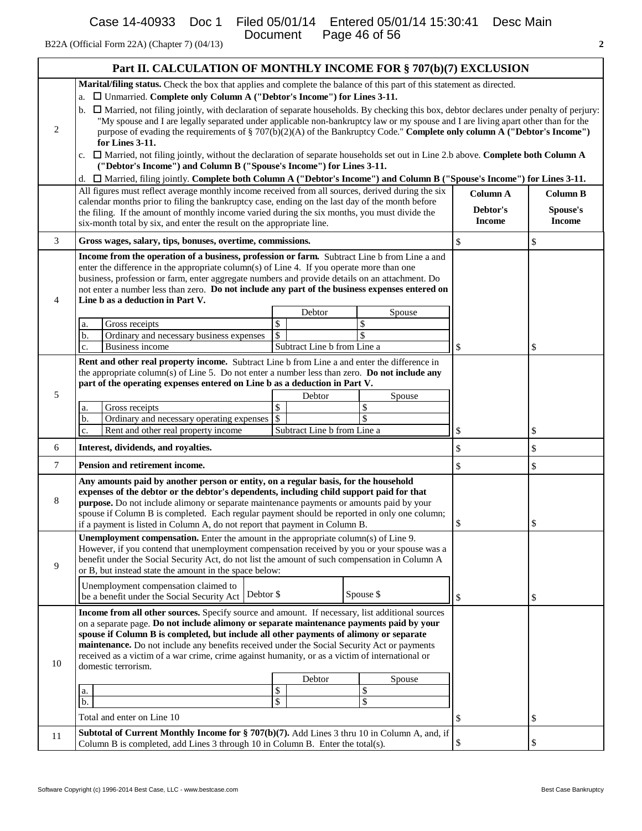B22A (Official Form 22A) (Chapter 7) (04/13) **2** Case 14-40933 Doc 1 Filed 05/01/14 Entered 05/01/14 15:30:41 Desc Main Page 46 of 56

|                | Part II. CALCULATION OF MONTHLY INCOME FOR § 707(b)(7) EXCLUSION                                                                                                                                 |          |                             |  |           |    |               |                 |
|----------------|--------------------------------------------------------------------------------------------------------------------------------------------------------------------------------------------------|----------|-----------------------------|--|-----------|----|---------------|-----------------|
|                | Marital/filing status. Check the box that applies and complete the balance of this part of this statement as directed.                                                                           |          |                             |  |           |    |               |                 |
|                | a. $\Box$ Unmarried. Complete only Column A ("Debtor's Income") for Lines 3-11.                                                                                                                  |          |                             |  |           |    |               |                 |
|                | b. $\Box$ Married, not filing jointly, with declaration of separate households. By checking this box, debtor declares under penalty of perjury:                                                  |          |                             |  |           |    |               |                 |
| 2              | "My spouse and I are legally separated under applicable non-bankruptcy law or my spouse and I are living apart other than for the                                                                |          |                             |  |           |    |               |                 |
|                | purpose of evading the requirements of § 707(b)(2)(A) of the Bankruptcy Code." Complete only column A ("Debtor's Income")<br>for Lines 3-11.                                                     |          |                             |  |           |    |               |                 |
|                | $\Box$ Married, not filing jointly, without the declaration of separate households set out in Line 2.b above. Complete both Column A<br>c.                                                       |          |                             |  |           |    |               |                 |
|                | ("Debtor's Income") and Column B ("Spouse's Income") for Lines 3-11.                                                                                                                             |          |                             |  |           |    |               |                 |
|                | d. I Married, filing jointly. Complete both Column A ("Debtor's Income") and Column B ("Spouse's Income") for Lines 3-11.                                                                        |          |                             |  |           |    |               |                 |
|                | All figures must reflect average monthly income received from all sources, derived during the six                                                                                                |          |                             |  |           |    | Column A      | <b>Column B</b> |
|                | calendar months prior to filing the bankruptcy case, ending on the last day of the month before<br>the filing. If the amount of monthly income varied during the six months, you must divide the |          |                             |  |           |    | Debtor's      | Spouse's        |
|                | six-month total by six, and enter the result on the appropriate line.                                                                                                                            |          |                             |  |           |    | <b>Income</b> | <b>Income</b>   |
| 3              | Gross wages, salary, tips, bonuses, overtime, commissions.                                                                                                                                       |          |                             |  |           | \$ |               | \$              |
|                | Income from the operation of a business, profession or farm. Subtract Line b from Line a and                                                                                                     |          |                             |  |           |    |               |                 |
|                | enter the difference in the appropriate column(s) of Line 4. If you operate more than one                                                                                                        |          |                             |  |           |    |               |                 |
|                | business, profession or farm, enter aggregate numbers and provide details on an attachment. Do                                                                                                   |          |                             |  |           |    |               |                 |
| $\overline{4}$ | not enter a number less than zero. Do not include any part of the business expenses entered on<br>Line b as a deduction in Part V.                                                               |          |                             |  |           |    |               |                 |
|                |                                                                                                                                                                                                  |          | Debtor                      |  | Spouse    |    |               |                 |
|                | Gross receipts<br>a.                                                                                                                                                                             | \$       |                             |  | \$        |    |               |                 |
|                | b.<br>Ordinary and necessary business expenses                                                                                                                                                   | \$       |                             |  |           |    |               |                 |
|                | Business income<br>c.                                                                                                                                                                            |          | Subtract Line b from Line a |  |           | \$ |               | \$              |
|                | Rent and other real property income. Subtract Line b from Line a and enter the difference in                                                                                                     |          |                             |  |           |    |               |                 |
|                | the appropriate column(s) of Line 5. Do not enter a number less than zero. Do not include any<br>part of the operating expenses entered on Line b as a deduction in Part V.                      |          |                             |  |           |    |               |                 |
| 5              |                                                                                                                                                                                                  |          | Debtor                      |  | Spouse    |    |               |                 |
|                | Gross receipts<br>a.                                                                                                                                                                             | \$       |                             |  | \$        |    |               |                 |
|                | Ordinary and necessary operating expenses<br>b.                                                                                                                                                  | \$       |                             |  | \$        |    |               |                 |
|                | Rent and other real property income<br>c.                                                                                                                                                        |          | Subtract Line b from Line a |  |           | \$ |               | \$              |
| 6              | Interest, dividends, and royalties.                                                                                                                                                              |          |                             |  |           | \$ |               | \$              |
| $\tau$         | Pension and retirement income.                                                                                                                                                                   |          |                             |  |           | \$ |               | \$              |
|                | Any amounts paid by another person or entity, on a regular basis, for the household                                                                                                              |          |                             |  |           |    |               |                 |
| 8              | expenses of the debtor or the debtor's dependents, including child support paid for that<br>purpose. Do not include alimony or separate maintenance payments or amounts paid by your             |          |                             |  |           |    |               |                 |
|                | spouse if Column B is completed. Each regular payment should be reported in only one column;                                                                                                     |          |                             |  |           |    |               |                 |
|                | if a payment is listed in Column A, do not report that payment in Column B.                                                                                                                      |          |                             |  |           | \$ |               | \$              |
|                | <b>Unemployment compensation.</b> Enter the amount in the appropriate column(s) of Line 9.                                                                                                       |          |                             |  |           |    |               |                 |
|                | However, if you contend that unemployment compensation received by you or your spouse was a                                                                                                      |          |                             |  |           |    |               |                 |
| 9              | benefit under the Social Security Act, do not list the amount of such compensation in Column A<br>or B, but instead state the amount in the space below:                                         |          |                             |  |           |    |               |                 |
|                | Unemployment compensation claimed to                                                                                                                                                             |          |                             |  |           |    |               |                 |
|                | Debtor \$<br>be a benefit under the Social Security Act                                                                                                                                          |          |                             |  | Spouse \$ | \$ |               | \$              |
|                | Income from all other sources. Specify source and amount. If necessary, list additional sources                                                                                                  |          |                             |  |           |    |               |                 |
|                | on a separate page. Do not include alimony or separate maintenance payments paid by your                                                                                                         |          |                             |  |           |    |               |                 |
|                | spouse if Column B is completed, but include all other payments of alimony or separate<br>maintenance. Do not include any benefits received under the Social Security Act or payments            |          |                             |  |           |    |               |                 |
|                | received as a victim of a war crime, crime against humanity, or as a victim of international or                                                                                                  |          |                             |  |           |    |               |                 |
| 10             | domestic terrorism.                                                                                                                                                                              |          |                             |  |           |    |               |                 |
|                |                                                                                                                                                                                                  |          | Debtor                      |  | Spouse    |    |               |                 |
|                | a.<br>$b$ .                                                                                                                                                                                      | \$<br>\$ |                             |  | \$<br>\$  |    |               |                 |
|                |                                                                                                                                                                                                  |          |                             |  |           |    |               |                 |
|                | Total and enter on Line 10                                                                                                                                                                       |          |                             |  |           | \$ |               | \$              |
| 11             | <b>Subtotal of Current Monthly Income for § 707(b)(7).</b> Add Lines 3 thru 10 in Column A, and, if<br>Column B is completed, add Lines 3 through 10 in Column B. Enter the total(s).            |          |                             |  |           | \$ |               | \$              |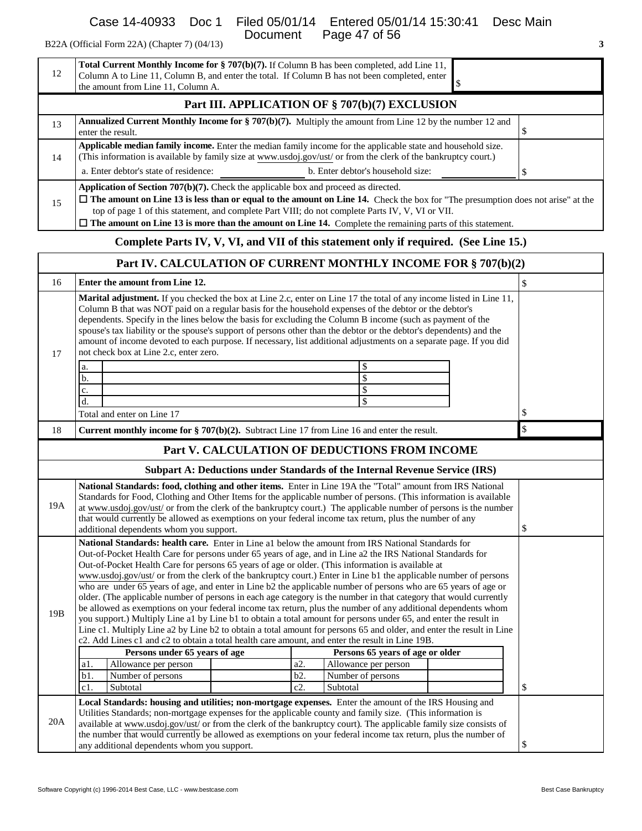Case 14-40933 Doc 1 Filed 05/01/14 Entered 05/01/14 15:30:41 Desc Main Document Page 47 of 56

|     | 1<br>B22A (Official Form 22A) (Chapter 7) (04/13)                                                                                                                                                                                                                                                                                                                                                                                                                                                                                                                                                                                                                                                                                                                                                                                                                                                                                                                                                                                              | 3  |
|-----|------------------------------------------------------------------------------------------------------------------------------------------------------------------------------------------------------------------------------------------------------------------------------------------------------------------------------------------------------------------------------------------------------------------------------------------------------------------------------------------------------------------------------------------------------------------------------------------------------------------------------------------------------------------------------------------------------------------------------------------------------------------------------------------------------------------------------------------------------------------------------------------------------------------------------------------------------------------------------------------------------------------------------------------------|----|
| 12  | Total Current Monthly Income for § 707(b)(7). If Column B has been completed, add Line 11,<br>Column A to Line 11, Column B, and enter the total. If Column B has not been completed, enter<br>\$<br>the amount from Line 11, Column A.                                                                                                                                                                                                                                                                                                                                                                                                                                                                                                                                                                                                                                                                                                                                                                                                        |    |
|     | Part III. APPLICATION OF § 707(b)(7) EXCLUSION                                                                                                                                                                                                                                                                                                                                                                                                                                                                                                                                                                                                                                                                                                                                                                                                                                                                                                                                                                                                 |    |
| 13  | Annualized Current Monthly Income for $\S 707(b)(7)$ . Multiply the amount from Line 12 by the number 12 and<br>enter the result.                                                                                                                                                                                                                                                                                                                                                                                                                                                                                                                                                                                                                                                                                                                                                                                                                                                                                                              | \$ |
| 14  | Applicable median family income. Enter the median family income for the applicable state and household size.<br>(This information is available by family size at www.usdoj.gov/ust/ or from the clerk of the bankruptcy court.)                                                                                                                                                                                                                                                                                                                                                                                                                                                                                                                                                                                                                                                                                                                                                                                                                |    |
|     | a. Enter debtor's state of residence:<br>b. Enter debtor's household size:                                                                                                                                                                                                                                                                                                                                                                                                                                                                                                                                                                                                                                                                                                                                                                                                                                                                                                                                                                     | \$ |
| 15  | Application of Section 707(b)(7). Check the applicable box and proceed as directed.<br>$\Box$ The amount on Line 13 is less than or equal to the amount on Line 14. Check the box for "The presumption does not arise" at the<br>top of page 1 of this statement, and complete Part VIII; do not complete Parts IV, V, VI or VII.<br>$\Box$ The amount on Line 13 is more than the amount on Line 14. Complete the remaining parts of this statement.                                                                                                                                                                                                                                                                                                                                                                                                                                                                                                                                                                                          |    |
|     | Complete Parts IV, V, VI, and VII of this statement only if required. (See Line 15.)                                                                                                                                                                                                                                                                                                                                                                                                                                                                                                                                                                                                                                                                                                                                                                                                                                                                                                                                                           |    |
|     | Part IV. CALCULATION OF CURRENT MONTHLY INCOME FOR § 707(b)(2)                                                                                                                                                                                                                                                                                                                                                                                                                                                                                                                                                                                                                                                                                                                                                                                                                                                                                                                                                                                 |    |
| 16  | Enter the amount from Line 12.                                                                                                                                                                                                                                                                                                                                                                                                                                                                                                                                                                                                                                                                                                                                                                                                                                                                                                                                                                                                                 | \$ |
| 17  | Marital adjustment. If you checked the box at Line 2.c, enter on Line 17 the total of any income listed in Line 11,<br>Column B that was NOT paid on a regular basis for the household expenses of the debtor or the debtor's<br>dependents. Specify in the lines below the basis for excluding the Column B income (such as payment of the<br>spouse's tax liability or the spouse's support of persons other than the debtor or the debtor's dependents) and the<br>amount of income devoted to each purpose. If necessary, list additional adjustments on a separate page. If you did<br>not check box at Line 2.c, enter zero.<br>\$<br>a.<br>\$<br>b.<br>\$<br>c.<br>$d$ .<br>Total and enter on Line 17                                                                                                                                                                                                                                                                                                                                  | \$ |
| 18  | Current monthly income for $\S 707(b)(2)$ . Subtract Line 17 from Line 16 and enter the result.                                                                                                                                                                                                                                                                                                                                                                                                                                                                                                                                                                                                                                                                                                                                                                                                                                                                                                                                                | \$ |
|     | Part V. CALCULATION OF DEDUCTIONS FROM INCOME                                                                                                                                                                                                                                                                                                                                                                                                                                                                                                                                                                                                                                                                                                                                                                                                                                                                                                                                                                                                  |    |
|     | Subpart A: Deductions under Standards of the Internal Revenue Service (IRS)                                                                                                                                                                                                                                                                                                                                                                                                                                                                                                                                                                                                                                                                                                                                                                                                                                                                                                                                                                    |    |
| 19A | National Standards: food, clothing and other items. Enter in Line 19A the "Total" amount from IRS National<br>Standards for Food, Clothing and Other Items for the applicable number of persons. (This information is available<br>at www.usdoj.gov/ust/ or from the clerk of the bankruptcy court.) The applicable number of persons is the number<br>that would currently be allowed as exemptions on your federal income tax return, plus the number of any<br>additional dependents whom you support.                                                                                                                                                                                                                                                                                                                                                                                                                                                                                                                                      | \$ |
| 19B | National Standards: health care. Enter in Line al below the amount from IRS National Standards for<br>Out-of-Pocket Health Care for persons under 65 years of age, and in Line a2 the IRS National Standards for<br>Out-of-Pocket Health Care for persons 65 years of age or older. (This information is available at<br>www.usdoj.gov/ust/ or from the clerk of the bankruptcy court.) Enter in Line b1 the applicable number of persons<br>who are under 65 years of age, and enter in Line b2 the applicable number of persons who are 65 years of age or<br>older. (The applicable number of persons in each age category is the number in that category that would currently<br>be allowed as exemptions on your federal income tax return, plus the number of any additional dependents whom<br>you support.) Multiply Line al by Line b1 to obtain a total amount for persons under 65, and enter the result in<br>Line c1. Multiply Line a2 by Line b2 to obtain a total amount for persons 65 and older, and enter the result in Line |    |

|     |                                                                   | Eme et. manipiy Eme as by Eme os to obtain a total amount for persons os and onter, and enter the result in Eme<br>c2. Add Lines c1 and c2 to obtain a total health care amount, and enter the result in Line 19B.                                                                                                                                                                                                                                                                                          |  |     |                      |  |
|-----|-------------------------------------------------------------------|-------------------------------------------------------------------------------------------------------------------------------------------------------------------------------------------------------------------------------------------------------------------------------------------------------------------------------------------------------------------------------------------------------------------------------------------------------------------------------------------------------------|--|-----|----------------------|--|
|     | Persons under 65 years of age<br>Persons 65 years of age or older |                                                                                                                                                                                                                                                                                                                                                                                                                                                                                                             |  |     |                      |  |
|     | $ a1$ .                                                           | Allowance per person                                                                                                                                                                                                                                                                                                                                                                                                                                                                                        |  | a2. | Allowance per person |  |
|     | $b1$ .                                                            | Number of persons                                                                                                                                                                                                                                                                                                                                                                                                                                                                                           |  | b2. | Number of persons    |  |
|     | $ c1$ .                                                           | Subtotal                                                                                                                                                                                                                                                                                                                                                                                                                                                                                                    |  | c2. | Subtotal             |  |
| 20A |                                                                   | Local Standards: housing and utilities; non-mortgage expenses. Enter the amount of the IRS Housing and<br>Utilities Standards; non-mortgage expenses for the applicable county and family size. (This information is<br>available at www.usdoj.gov/ust/ or from the clerk of the bankruptcy court). The applicable family size consists of<br>the number that would currently be allowed as exemptions on your federal income tax return, plus the number of<br>any additional dependents whom you support. |  |     |                      |  |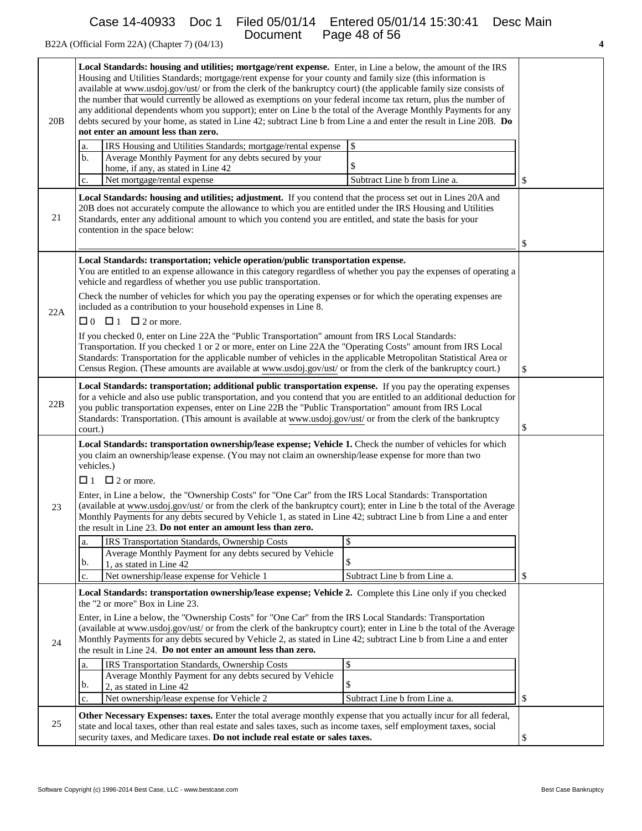Case 14-40933 Doc 1 Filed 05/01/14 Entered 05/01/14 15:30:41 Desc Main Document Page 48 of 56

B22A (Official Form 22A) (Chapter 7) (04/13) **4**

| 20B | Local Standards: housing and utilities; mortgage/rent expense. Enter, in Line a below, the amount of the IRS<br>Housing and Utilities Standards; mortgage/rent expense for your county and family size (this information is<br>available at www.usdoj.gov/ust/ or from the clerk of the bankruptcy court) (the applicable family size consists of<br>the number that would currently be allowed as exemptions on your federal income tax return, plus the number of<br>any additional dependents whom you support); enter on Line b the total of the Average Monthly Payments for any<br>debts secured by your home, as stated in Line 42; subtract Line b from Line a and enter the result in Line 20B. Do<br>not enter an amount less than zero.<br>\$<br>IRS Housing and Utilities Standards; mortgage/rental expense<br>a.<br>Average Monthly Payment for any debts secured by your<br>b.<br>\$<br>home, if any, as stated in Line 42<br>Subtract Line b from Line a.<br>Net mortgage/rental expense |                                                                                                                                                                                                                                                                                                                                                                                                                                                                                                                                                                                                                                                                                                                                                              |                                          |    |  |
|-----|----------------------------------------------------------------------------------------------------------------------------------------------------------------------------------------------------------------------------------------------------------------------------------------------------------------------------------------------------------------------------------------------------------------------------------------------------------------------------------------------------------------------------------------------------------------------------------------------------------------------------------------------------------------------------------------------------------------------------------------------------------------------------------------------------------------------------------------------------------------------------------------------------------------------------------------------------------------------------------------------------------|--------------------------------------------------------------------------------------------------------------------------------------------------------------------------------------------------------------------------------------------------------------------------------------------------------------------------------------------------------------------------------------------------------------------------------------------------------------------------------------------------------------------------------------------------------------------------------------------------------------------------------------------------------------------------------------------------------------------------------------------------------------|------------------------------------------|----|--|
|     | c.                                                                                                                                                                                                                                                                                                                                                                                                                                                                                                                                                                                                                                                                                                                                                                                                                                                                                                                                                                                                       |                                                                                                                                                                                                                                                                                                                                                                                                                                                                                                                                                                                                                                                                                                                                                              |                                          | \$ |  |
| 21  |                                                                                                                                                                                                                                                                                                                                                                                                                                                                                                                                                                                                                                                                                                                                                                                                                                                                                                                                                                                                          | Local Standards: housing and utilities; adjustment. If you contend that the process set out in Lines 20A and<br>20B does not accurately compute the allowance to which you are entitled under the IRS Housing and Utilities<br>Standards, enter any additional amount to which you contend you are entitled, and state the basis for your<br>contention in the space below:                                                                                                                                                                                                                                                                                                                                                                                  |                                          | \$ |  |
| 22A | Local Standards: transportation; vehicle operation/public transportation expense.<br>You are entitled to an expense allowance in this category regardless of whether you pay the expenses of operating a<br>vehicle and regardless of whether you use public transportation.<br>Check the number of vehicles for which you pay the operating expenses or for which the operating expenses are<br>included as a contribution to your household expenses in Line 8.<br>$\Box$ 0 $\Box$ 1 $\Box$ 2 or more.<br>If you checked 0, enter on Line 22A the "Public Transportation" amount from IRS Local Standards:<br>Transportation. If you checked 1 or 2 or more, enter on Line 22A the "Operating Costs" amount from IRS Local<br>Standards: Transportation for the applicable number of vehicles in the applicable Metropolitan Statistical Area or<br>Census Region. (These amounts are available at www.usdoj.gov/ust/ or from the clerk of the bankruptcy court.)                                      |                                                                                                                                                                                                                                                                                                                                                                                                                                                                                                                                                                                                                                                                                                                                                              |                                          |    |  |
| 22B | Local Standards: transportation; additional public transportation expense. If you pay the operating expenses<br>for a vehicle and also use public transportation, and you contend that you are entitled to an additional deduction for<br>you public transportation expenses, enter on Line 22B the "Public Transportation" amount from IRS Local<br>Standards: Transportation. (This amount is available at www.usdoj.gov/ust/ or from the clerk of the bankruptcy<br>court.)                                                                                                                                                                                                                                                                                                                                                                                                                                                                                                                           |                                                                                                                                                                                                                                                                                                                                                                                                                                                                                                                                                                                                                                                                                                                                                              |                                          |    |  |
| 23  | \$<br>Local Standards: transportation ownership/lease expense; Vehicle 1. Check the number of vehicles for which<br>you claim an ownership/lease expense. (You may not claim an ownership/lease expense for more than two<br>vehicles.)<br>$\Box$ 1 $\Box$ 2 or more.<br>Enter, in Line a below, the "Ownership Costs" for "One Car" from the IRS Local Standards: Transportation<br>(available at www.usdoj.gov/ust/ or from the clerk of the bankruptcy court); enter in Line b the total of the Average<br>Monthly Payments for any debts secured by Vehicle 1, as stated in Line 42; subtract Line b from Line a and enter<br>the result in Line 23. Do not enter an amount less than zero.<br>\$<br>IRS Transportation Standards, Ownership Costs<br>a.<br>Average Monthly Payment for any debts secured by Vehicle<br>\$<br>b.<br>1, as stated in Line 42<br>Net ownership/lease expense for Vehicle 1<br>Subtract Line b from Line a.<br>\$<br>c.                                                 |                                                                                                                                                                                                                                                                                                                                                                                                                                                                                                                                                                                                                                                                                                                                                              |                                          |    |  |
| 24  | a.<br>b.<br>c.                                                                                                                                                                                                                                                                                                                                                                                                                                                                                                                                                                                                                                                                                                                                                                                                                                                                                                                                                                                           | Local Standards: transportation ownership/lease expense; Vehicle 2. Complete this Line only if you checked<br>the "2 or more" Box in Line 23.<br>Enter, in Line a below, the "Ownership Costs" for "One Car" from the IRS Local Standards: Transportation<br>(available at www.usdoj.gov/ust/ or from the clerk of the bankruptcy court); enter in Line b the total of the Average<br>Monthly Payments for any debts secured by Vehicle 2, as stated in Line 42; subtract Line b from Line a and enter<br>the result in Line 24. Do not enter an amount less than zero.<br>IRS Transportation Standards, Ownership Costs<br>Average Monthly Payment for any debts secured by Vehicle<br>2, as stated in Line 42<br>Net ownership/lease expense for Vehicle 2 | \$<br>\$<br>Subtract Line b from Line a. | \$ |  |
| 25  | Other Necessary Expenses: taxes. Enter the total average monthly expense that you actually incur for all federal,<br>state and local taxes, other than real estate and sales taxes, such as income taxes, self employment taxes, social<br>security taxes, and Medicare taxes. Do not include real estate or sales taxes.                                                                                                                                                                                                                                                                                                                                                                                                                                                                                                                                                                                                                                                                                |                                                                                                                                                                                                                                                                                                                                                                                                                                                                                                                                                                                                                                                                                                                                                              |                                          |    |  |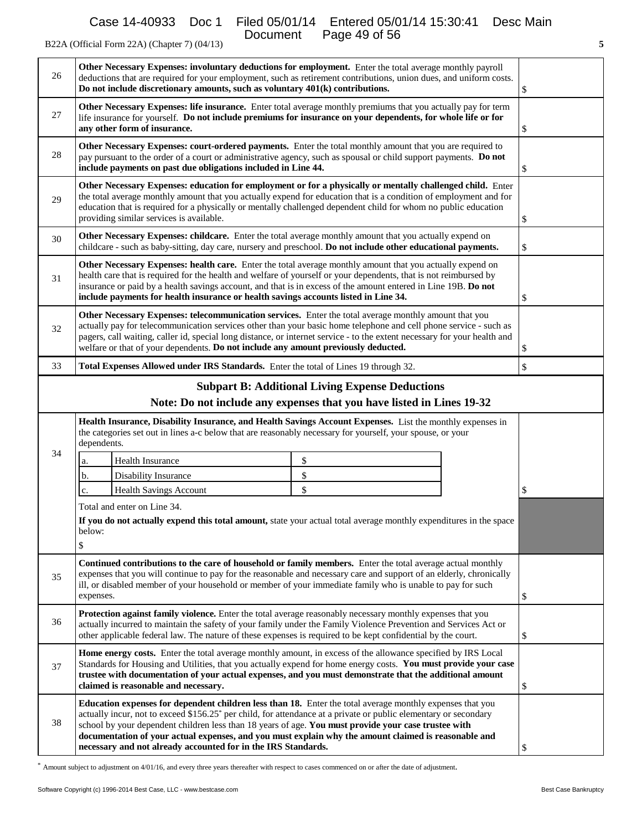### Case 14-40933 Doc 1 Filed 05/01/14 Entered 05/01/14 15:30:41 Desc Main

B22A (Official Form 22A) (Chapter 7) (04/13) **5**

Document Page 49 of 56

|    | $D221$ CHR and T only $221$ Y (Chapter 1) (0.11 To                                                                                                                                                                                                                                                                                                                                                                                                                                                                         |                                                                                                                                                                                                                                                                                                                                                    |    |  |  |
|----|----------------------------------------------------------------------------------------------------------------------------------------------------------------------------------------------------------------------------------------------------------------------------------------------------------------------------------------------------------------------------------------------------------------------------------------------------------------------------------------------------------------------------|----------------------------------------------------------------------------------------------------------------------------------------------------------------------------------------------------------------------------------------------------------------------------------------------------------------------------------------------------|----|--|--|
| 26 | Do not include discretionary amounts, such as voluntary 401(k) contributions.                                                                                                                                                                                                                                                                                                                                                                                                                                              | Other Necessary Expenses: involuntary deductions for employment. Enter the total average monthly payroll<br>deductions that are required for your employment, such as retirement contributions, union dues, and uniform costs.                                                                                                                     | \$ |  |  |
| 27 | Other Necessary Expenses: life insurance. Enter total average monthly premiums that you actually pay for term<br>life insurance for yourself. Do not include premiums for insurance on your dependents, for whole life or for<br>any other form of insurance.                                                                                                                                                                                                                                                              |                                                                                                                                                                                                                                                                                                                                                    |    |  |  |
| 28 | include payments on past due obligations included in Line 44.                                                                                                                                                                                                                                                                                                                                                                                                                                                              | Other Necessary Expenses: court-ordered payments. Enter the total monthly amount that you are required to<br>pay pursuant to the order of a court or administrative agency, such as spousal or child support payments. Do not                                                                                                                      | \$ |  |  |
| 29 | providing similar services is available.                                                                                                                                                                                                                                                                                                                                                                                                                                                                                   | Other Necessary Expenses: education for employment or for a physically or mentally challenged child. Enter<br>the total average monthly amount that you actually expend for education that is a condition of employment and for<br>education that is required for a physically or mentally challenged dependent child for whom no public education | \$ |  |  |
| 30 | Other Necessary Expenses: childcare. Enter the total average monthly amount that you actually expend on                                                                                                                                                                                                                                                                                                                                                                                                                    | childcare - such as baby-sitting, day care, nursery and preschool. Do not include other educational payments.                                                                                                                                                                                                                                      | \$ |  |  |
| 31 | health care that is required for the health and welfare of yourself or your dependents, that is not reimbursed by<br>insurance or paid by a health savings account, and that is in excess of the amount entered in Line 19B. Do not<br>include payments for health insurance or health savings accounts listed in Line 34.                                                                                                                                                                                                 | Other Necessary Expenses: health care. Enter the total average monthly amount that you actually expend on                                                                                                                                                                                                                                          | \$ |  |  |
| 32 | Other Necessary Expenses: telecommunication services. Enter the total average monthly amount that you<br>actually pay for telecommunication services other than your basic home telephone and cell phone service - such as<br>pagers, call waiting, caller id, special long distance, or internet service - to the extent necessary for your health and<br>welfare or that of your dependents. Do not include any amount previously deducted.                                                                              |                                                                                                                                                                                                                                                                                                                                                    |    |  |  |
| 33 | Total Expenses Allowed under IRS Standards. Enter the total of Lines 19 through 32.                                                                                                                                                                                                                                                                                                                                                                                                                                        |                                                                                                                                                                                                                                                                                                                                                    | \$ |  |  |
|    |                                                                                                                                                                                                                                                                                                                                                                                                                                                                                                                            | <b>Subpart B: Additional Living Expense Deductions</b><br>Note: Do not include any expenses that you have listed in Lines 19-32                                                                                                                                                                                                                    |    |  |  |
|    | the categories set out in lines a-c below that are reasonably necessary for yourself, your spouse, or your<br>dependents.                                                                                                                                                                                                                                                                                                                                                                                                  | Health Insurance, Disability Insurance, and Health Savings Account Expenses. List the monthly expenses in                                                                                                                                                                                                                                          |    |  |  |
| 34 | <b>Health Insurance</b><br>a.                                                                                                                                                                                                                                                                                                                                                                                                                                                                                              | \$                                                                                                                                                                                                                                                                                                                                                 |    |  |  |
|    | <b>Disability Insurance</b><br>b.                                                                                                                                                                                                                                                                                                                                                                                                                                                                                          | \$                                                                                                                                                                                                                                                                                                                                                 |    |  |  |
|    | <b>Health Savings Account</b><br>c.                                                                                                                                                                                                                                                                                                                                                                                                                                                                                        | \$                                                                                                                                                                                                                                                                                                                                                 | \$ |  |  |
|    | Total and enter on Line 34.                                                                                                                                                                                                                                                                                                                                                                                                                                                                                                |                                                                                                                                                                                                                                                                                                                                                    |    |  |  |
|    | below:<br>\$                                                                                                                                                                                                                                                                                                                                                                                                                                                                                                               | If you do not actually expend this total amount, state your actual total average monthly expenditures in the space                                                                                                                                                                                                                                 |    |  |  |
| 35 | Continued contributions to the care of household or family members. Enter the total average actual monthly<br>expenses that you will continue to pay for the reasonable and necessary care and support of an elderly, chronically<br>ill, or disabled member of your household or member of your immediate family who is unable to pay for such<br>expenses.                                                                                                                                                               |                                                                                                                                                                                                                                                                                                                                                    |    |  |  |
| 36 | Protection against family violence. Enter the total average reasonably necessary monthly expenses that you<br>actually incurred to maintain the safety of your family under the Family Violence Prevention and Services Act or<br>other applicable federal law. The nature of these expenses is required to be kept confidential by the court.                                                                                                                                                                             |                                                                                                                                                                                                                                                                                                                                                    |    |  |  |
| 37 | claimed is reasonable and necessary.                                                                                                                                                                                                                                                                                                                                                                                                                                                                                       | <b>Home energy costs.</b> Enter the total average monthly amount, in excess of the allowance specified by IRS Local<br>Standards for Housing and Utilities, that you actually expend for home energy costs. You must provide your case<br>trustee with documentation of your actual expenses, and you must demonstrate that the additional amount  | \$ |  |  |
| 38 | Education expenses for dependent children less than 18. Enter the total average monthly expenses that you<br>actually incur, not to exceed \$156.25 <sup>*</sup> per child, for attendance at a private or public elementary or secondary<br>school by your dependent children less than 18 years of age. You must provide your case trustee with<br>documentation of your actual expenses, and you must explain why the amount claimed is reasonable and<br>necessary and not already accounted for in the IRS Standards. |                                                                                                                                                                                                                                                                                                                                                    | \$ |  |  |

\* Amount subject to adjustment on 4/01/16, and every three years thereafter with respect to cases commenced on or after the date of adjustment.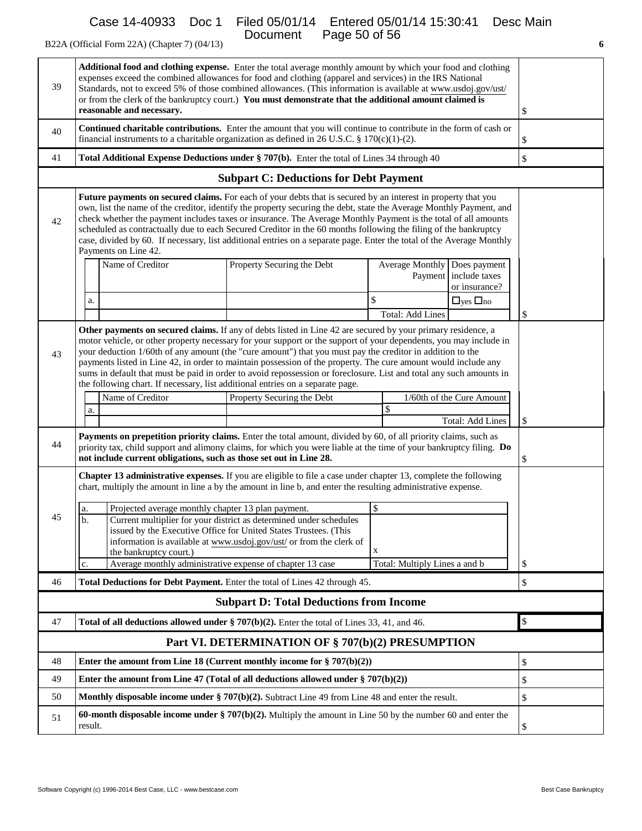# Case 14-40933 Doc 1 Filed 05/01/14 Entered 05/01/14 15:30:41 Desc Main

B22A (Official Form 22A) (Chapter 7) (04/13) **6**

|          | FIIBU US/U1/14 EFIIIBIBU US/U1/14 15.30.41 | – Desc Main |
|----------|--------------------------------------------|-------------|
| Document | Page 50 of 56                              |             |

| 39 | Additional food and clothing expense. Enter the total average monthly amount by which your food and clothing<br>expenses exceed the combined allowances for food and clothing (apparel and services) in the IRS National<br>Standards, not to exceed 5% of those combined allowances. (This information is available at www.usdoj.gov/ust/<br>or from the clerk of the bankruptcy court.) You must demonstrate that the additional amount claimed is<br>reasonable and necessary.                                                                                                                                                                                                                                                                                                               | \$                                                                                                                                                                                                            |                                          |                                                        |          |  |  |
|----|-------------------------------------------------------------------------------------------------------------------------------------------------------------------------------------------------------------------------------------------------------------------------------------------------------------------------------------------------------------------------------------------------------------------------------------------------------------------------------------------------------------------------------------------------------------------------------------------------------------------------------------------------------------------------------------------------------------------------------------------------------------------------------------------------|---------------------------------------------------------------------------------------------------------------------------------------------------------------------------------------------------------------|------------------------------------------|--------------------------------------------------------|----------|--|--|
| 40 | Continued charitable contributions. Enter the amount that you will continue to contribute in the form of cash or<br>financial instruments to a charitable organization as defined in 26 U.S.C. § 170(c)(1)-(2).                                                                                                                                                                                                                                                                                                                                                                                                                                                                                                                                                                                 |                                                                                                                                                                                                               | \$                                       |                                                        |          |  |  |
| 41 | Total Additional Expense Deductions under § 707(b). Enter the total of Lines 34 through 40                                                                                                                                                                                                                                                                                                                                                                                                                                                                                                                                                                                                                                                                                                      |                                                                                                                                                                                                               |                                          |                                                        | \$       |  |  |
|    |                                                                                                                                                                                                                                                                                                                                                                                                                                                                                                                                                                                                                                                                                                                                                                                                 | <b>Subpart C: Deductions for Debt Payment</b>                                                                                                                                                                 |                                          |                                                        |          |  |  |
| 42 | Future payments on secured claims. For each of your debts that is secured by an interest in property that you<br>own, list the name of the creditor, identify the property securing the debt, state the Average Monthly Payment, and<br>check whether the payment includes taxes or insurance. The Average Monthly Payment is the total of all amounts<br>scheduled as contractually due to each Secured Creditor in the 60 months following the filing of the bankruptcy<br>case, divided by 60. If necessary, list additional entries on a separate page. Enter the total of the Average Monthly<br>Payments on Line 42.                                                                                                                                                                      |                                                                                                                                                                                                               |                                          |                                                        |          |  |  |
|    | Name of Creditor                                                                                                                                                                                                                                                                                                                                                                                                                                                                                                                                                                                                                                                                                                                                                                                | Property Securing the Debt                                                                                                                                                                                    | <b>Average Monthly</b>                   | Does payment<br>Payment include taxes<br>or insurance? |          |  |  |
|    | a.                                                                                                                                                                                                                                                                                                                                                                                                                                                                                                                                                                                                                                                                                                                                                                                              |                                                                                                                                                                                                               | \$                                       | $\Box$ yes $\Box$ no                                   |          |  |  |
|    |                                                                                                                                                                                                                                                                                                                                                                                                                                                                                                                                                                                                                                                                                                                                                                                                 |                                                                                                                                                                                                               | Total: Add Lines                         |                                                        | \$       |  |  |
| 43 | Other payments on secured claims. If any of debts listed in Line 42 are secured by your primary residence, a<br>motor vehicle, or other property necessary for your support or the support of your dependents, you may include in<br>your deduction 1/60th of any amount (the "cure amount") that you must pay the creditor in addition to the<br>payments listed in Line 42, in order to maintain possession of the property. The cure amount would include any<br>sums in default that must be paid in order to avoid repossession or foreclosure. List and total any such amounts in<br>the following chart. If necessary, list additional entries on a separate page.<br>Name of Creditor<br>Property Securing the Debt<br>1/60th of the Cure Amount<br>\$<br>a.<br><b>Total: Add Lines</b> |                                                                                                                                                                                                               |                                          |                                                        |          |  |  |
| 44 | Payments on prepetition priority claims. Enter the total amount, divided by 60, of all priority claims, such as<br>priority tax, child support and alimony claims, for which you were liable at the time of your bankruptcy filing. Do<br>not include current obligations, such as those set out in Line 28.                                                                                                                                                                                                                                                                                                                                                                                                                                                                                    |                                                                                                                                                                                                               |                                          |                                                        | \$<br>\$ |  |  |
|    | Chapter 13 administrative expenses. If you are eligible to file a case under chapter 13, complete the following<br>chart, multiply the amount in line a by the amount in line b, and enter the resulting administrative expense.                                                                                                                                                                                                                                                                                                                                                                                                                                                                                                                                                                |                                                                                                                                                                                                               |                                          |                                                        |          |  |  |
| 45 | Projected average monthly chapter 13 plan payment.<br>a.<br>$\overline{b}$ .<br>the bankruptcy court.)<br>Average monthly administrative expense of chapter 13 case<br>c.                                                                                                                                                                                                                                                                                                                                                                                                                                                                                                                                                                                                                       | Current multiplier for your district as determined under schedules<br>issued by the Executive Office for United States Trustees. (This<br>information is available at www.usdoj.gov/ust/ or from the clerk of | \$<br>X<br>Total: Multiply Lines a and b |                                                        | \$       |  |  |
| 46 | Total Deductions for Debt Payment. Enter the total of Lines 42 through 45.                                                                                                                                                                                                                                                                                                                                                                                                                                                                                                                                                                                                                                                                                                                      |                                                                                                                                                                                                               |                                          |                                                        | \$       |  |  |
|    |                                                                                                                                                                                                                                                                                                                                                                                                                                                                                                                                                                                                                                                                                                                                                                                                 | <b>Subpart D: Total Deductions from Income</b>                                                                                                                                                                |                                          |                                                        |          |  |  |
|    |                                                                                                                                                                                                                                                                                                                                                                                                                                                                                                                                                                                                                                                                                                                                                                                                 |                                                                                                                                                                                                               |                                          |                                                        | \$       |  |  |
| 47 | Total of all deductions allowed under $\S 707(b)(2)$ . Enter the total of Lines 33, 41, and 46.                                                                                                                                                                                                                                                                                                                                                                                                                                                                                                                                                                                                                                                                                                 | Part VI. DETERMINATION OF § 707(b)(2) PRESUMPTION                                                                                                                                                             |                                          |                                                        |          |  |  |
| 48 | Enter the amount from Line 18 (Current monthly income for $\S 707(b)(2)$ )                                                                                                                                                                                                                                                                                                                                                                                                                                                                                                                                                                                                                                                                                                                      |                                                                                                                                                                                                               |                                          |                                                        |          |  |  |
| 49 |                                                                                                                                                                                                                                                                                                                                                                                                                                                                                                                                                                                                                                                                                                                                                                                                 |                                                                                                                                                                                                               |                                          |                                                        | \$       |  |  |
| 50 | Enter the amount from Line 47 (Total of all deductions allowed under $\S 707(b)(2)$ )<br>Monthly disposable income under § 707(b)(2). Subtract Line 49 from Line 48 and enter the result.                                                                                                                                                                                                                                                                                                                                                                                                                                                                                                                                                                                                       |                                                                                                                                                                                                               |                                          |                                                        | \$       |  |  |
|    |                                                                                                                                                                                                                                                                                                                                                                                                                                                                                                                                                                                                                                                                                                                                                                                                 |                                                                                                                                                                                                               |                                          |                                                        | $\$$     |  |  |
| 51 | 60-month disposable income under $\S 707(b)(2)$ . Multiply the amount in Line 50 by the number 60 and enter the<br>result.                                                                                                                                                                                                                                                                                                                                                                                                                                                                                                                                                                                                                                                                      |                                                                                                                                                                                                               |                                          |                                                        | \$       |  |  |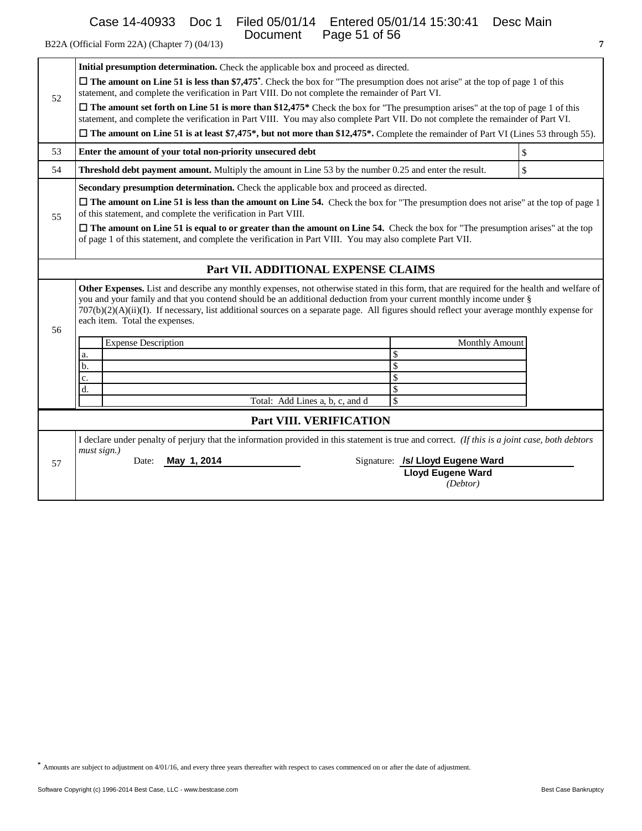Case 14-40933 Doc 1 Filed 05/01/14 Entered 05/01/14 15:30:41 Desc Main Page 51 of 56

B22A (Official Form 22A) (Chapter 7) (04/13) **7**

|                                                                                                                                                | Initial presumption determination. Check the applicable box and proceed as directed.                                                                                                                                                                                                                                                                                                                                                                 |                                                                                                                                     |  |
|------------------------------------------------------------------------------------------------------------------------------------------------|------------------------------------------------------------------------------------------------------------------------------------------------------------------------------------------------------------------------------------------------------------------------------------------------------------------------------------------------------------------------------------------------------------------------------------------------------|-------------------------------------------------------------------------------------------------------------------------------------|--|
| 52                                                                                                                                             | $\Box$ The amount on Line 51 is less than \$7,475 <sup>*</sup> . Check the box for "The presumption does not arise" at the top of page 1 of this<br>statement, and complete the verification in Part VIII. Do not complete the remainder of Part VI.                                                                                                                                                                                                 |                                                                                                                                     |  |
|                                                                                                                                                | $\Box$ The amount set forth on Line 51 is more than \$12,475* Check the box for "The presumption arises" at the top of page 1 of this<br>statement, and complete the verification in Part VIII. You may also complete Part VII. Do not complete the remainder of Part VI.                                                                                                                                                                            |                                                                                                                                     |  |
|                                                                                                                                                |                                                                                                                                                                                                                                                                                                                                                                                                                                                      | □ The amount on Line 51 is at least \$7,475*, but not more than \$12,475*. Complete the remainder of Part VI (Lines 53 through 55). |  |
| 53                                                                                                                                             | Enter the amount of your total non-priority unsecured debt                                                                                                                                                                                                                                                                                                                                                                                           | \$                                                                                                                                  |  |
| 54                                                                                                                                             | Threshold debt payment amount. Multiply the amount in Line 53 by the number 0.25 and enter the result.                                                                                                                                                                                                                                                                                                                                               | \$                                                                                                                                  |  |
|                                                                                                                                                | Secondary presumption determination. Check the applicable box and proceed as directed.                                                                                                                                                                                                                                                                                                                                                               |                                                                                                                                     |  |
| 55                                                                                                                                             | $\Box$ The amount on Line 51 is less than the amount on Line 54. Check the box for "The presumption does not arise" at the top of page 1<br>of this statement, and complete the verification in Part VIII.                                                                                                                                                                                                                                           |                                                                                                                                     |  |
|                                                                                                                                                | $\Box$ The amount on Line 51 is equal to or greater than the amount on Line 54. Check the box for "The presumption arises" at the top<br>of page 1 of this statement, and complete the verification in Part VIII. You may also complete Part VII.                                                                                                                                                                                                    |                                                                                                                                     |  |
| Part VII. ADDITIONAL EXPENSE CLAIMS                                                                                                            |                                                                                                                                                                                                                                                                                                                                                                                                                                                      |                                                                                                                                     |  |
| 56                                                                                                                                             | Other Expenses. List and describe any monthly expenses, not otherwise stated in this form, that are required for the health and welfare of<br>you and your family and that you contend should be an additional deduction from your current monthly income under §<br>$707(b)(2)(A)(ii)(I)$ . If necessary, list additional sources on a separate page. All figures should reflect your average monthly expense for<br>each item. Total the expenses. |                                                                                                                                     |  |
|                                                                                                                                                | <b>Monthly Amount</b><br><b>Expense Description</b>                                                                                                                                                                                                                                                                                                                                                                                                  |                                                                                                                                     |  |
|                                                                                                                                                | \$<br>a.                                                                                                                                                                                                                                                                                                                                                                                                                                             |                                                                                                                                     |  |
|                                                                                                                                                | \$<br>b.                                                                                                                                                                                                                                                                                                                                                                                                                                             |                                                                                                                                     |  |
|                                                                                                                                                | \$<br>c.<br>\$<br>d.                                                                                                                                                                                                                                                                                                                                                                                                                                 |                                                                                                                                     |  |
|                                                                                                                                                | \$<br>Total: Add Lines a, b, c, and d                                                                                                                                                                                                                                                                                                                                                                                                                |                                                                                                                                     |  |
| Part VIII. VERIFICATION                                                                                                                        |                                                                                                                                                                                                                                                                                                                                                                                                                                                      |                                                                                                                                     |  |
| I declare under penalty of perjury that the information provided in this statement is true and correct. (If this is a joint case, both debtors |                                                                                                                                                                                                                                                                                                                                                                                                                                                      |                                                                                                                                     |  |
|                                                                                                                                                | must sign.)                                                                                                                                                                                                                                                                                                                                                                                                                                          |                                                                                                                                     |  |
| 57                                                                                                                                             | Signature: /s/ Lloyd Eugene Ward<br>Date:<br>May 1, 2014                                                                                                                                                                                                                                                                                                                                                                                             |                                                                                                                                     |  |
|                                                                                                                                                | <b>Lloyd Eugene Ward</b><br>(Dektor)                                                                                                                                                                                                                                                                                                                                                                                                                 |                                                                                                                                     |  |
|                                                                                                                                                |                                                                                                                                                                                                                                                                                                                                                                                                                                                      |                                                                                                                                     |  |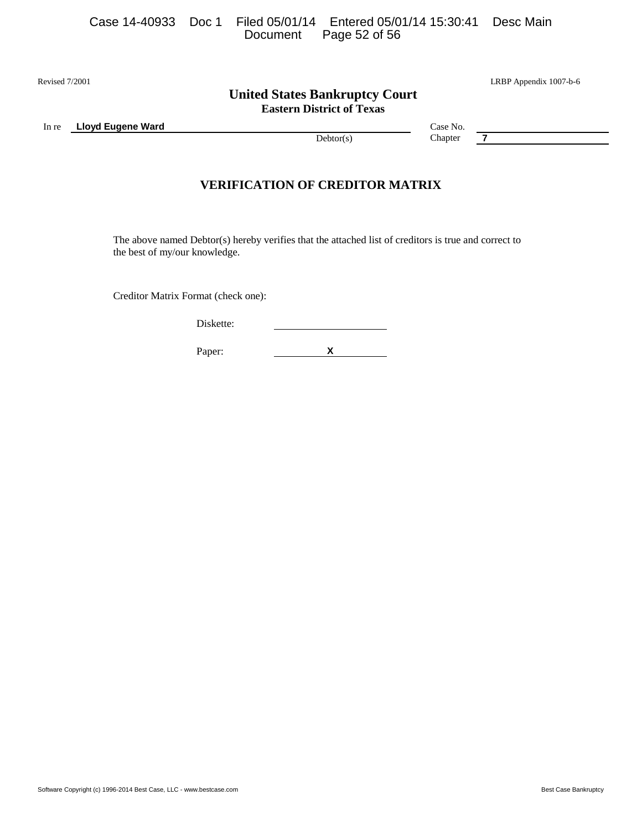Case 14-40933 Doc 1 Filed 05/01/14 Entered 05/01/14 15:30:41 Desc Main Page 52 of 56

Revised 7/2001 LRBP Appendix 1007-b-6

### **United States Bankruptcy Court Eastern District of Texas**

In re **Lloyd Eugene Ward Case No. Case No. Case No. Case No. Case No. Case No.** 

### **VERIFICATION OF CREDITOR MATRIX**

The above named Debtor(s) hereby verifies that the attached list of creditors is true and correct to the best of my/our knowledge.

Creditor Matrix Format (check one):

Diskette:

Paper: **X** 

Debtor(s) Chapter **7**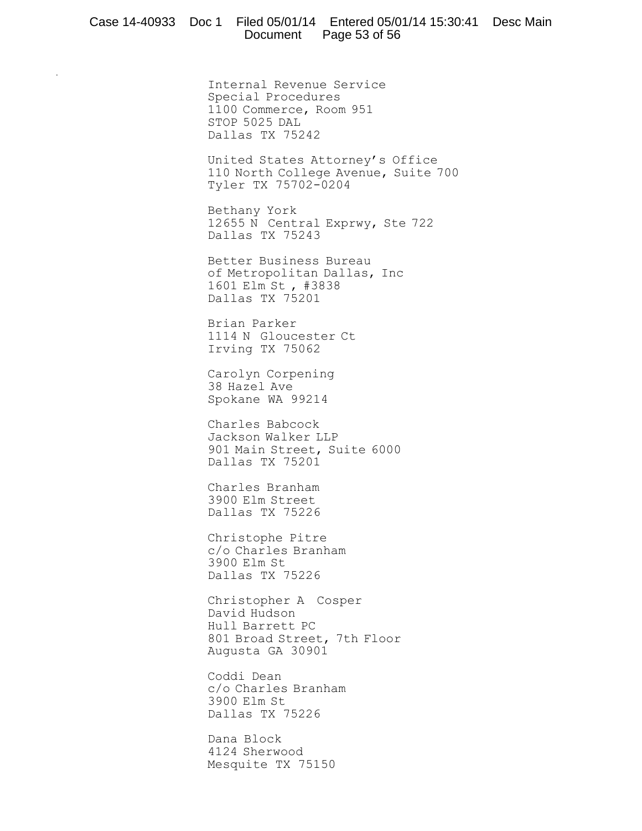### Case 14-40933 Doc 1 Filed 05/01/14 Entered 05/01/14 15:30:41 Desc Main Document Page 53 of 56

Internal Revenue Service Special Procedures 1100 Commerce, Room 951 STOP 5025 DAL Dallas TX 75242

United States Attorney's Office 110 North College Avenue, Suite 700 Tyler TX 75702-0204

Bethany York 12655 N Central Exprwy, Ste 722 Dallas TX 75243

Better Business Bureau of Metropolitan Dallas, Inc 1601 Elm St , #3838 Dallas TX 75201

Brian Parker 1114 N Gloucester Ct Irving TX 75062

Carolyn Corpening 38 Hazel Ave Spokane WA 99214

Charles Babcock Jackson Walker LLP 901 Main Street, Suite 6000 Dallas TX 75201

Charles Branham 3900 Elm Street Dallas TX 75226

Christophe Pitre c/o Charles Branham 3900 Elm St Dallas TX 75226

Christopher A Cosper David Hudson Hull Barrett PC 801 Broad Street, 7th Floor Augusta GA 30901

Coddi Dean c/o Charles Branham 3900 Elm St Dallas TX 75226

Dana Block 4124 Sherwood Mesquite TX 75150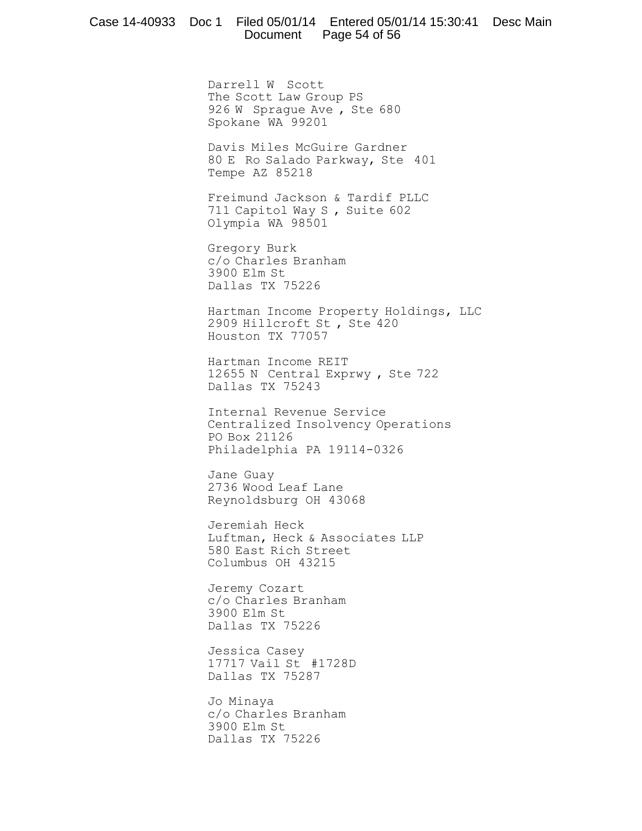### Case 14-40933 Doc 1 Filed 05/01/14 Entered 05/01/14 15:30:41 Desc Main Document Page 54 of 56

Darrell W Scott The Scott Law Group PS 926 W Sprague Ave , Ste 680 Spokane WA 99201

Davis Miles McGuire Gardner 80 E Ro Salado Parkway, Ste 401 Tempe AZ 85218

Freimund Jackson & Tardif PLLC 711 Capitol Way S , Suite 602 Olympia WA 98501

Gregory Burk c/o Charles Branham 3900 Elm St Dallas TX 75226

Hartman Income Property Holdings, LLC 2909 Hillcroft St , Ste 420 Houston TX 77057

Hartman Income REIT 12655 N Central Exprwy , Ste 722 Dallas TX 75243

Internal Revenue Service Centralized Insolvency Operations PO Box 21126 Philadelphia PA 19114-0326

Jane Guay 2736 Wood Leaf Lane Reynoldsburg OH 43068

Jeremiah Heck Luftman, Heck & Associates LLP 580 East Rich Street Columbus OH 43215

Jeremy Cozart c/o Charles Branham 3900 Elm St Dallas TX 75226

Jessica Casey 17717 Vail St #1728D Dallas TX 75287

Jo Minaya c/o Charles Branham 3900 Elm St Dallas TX 75226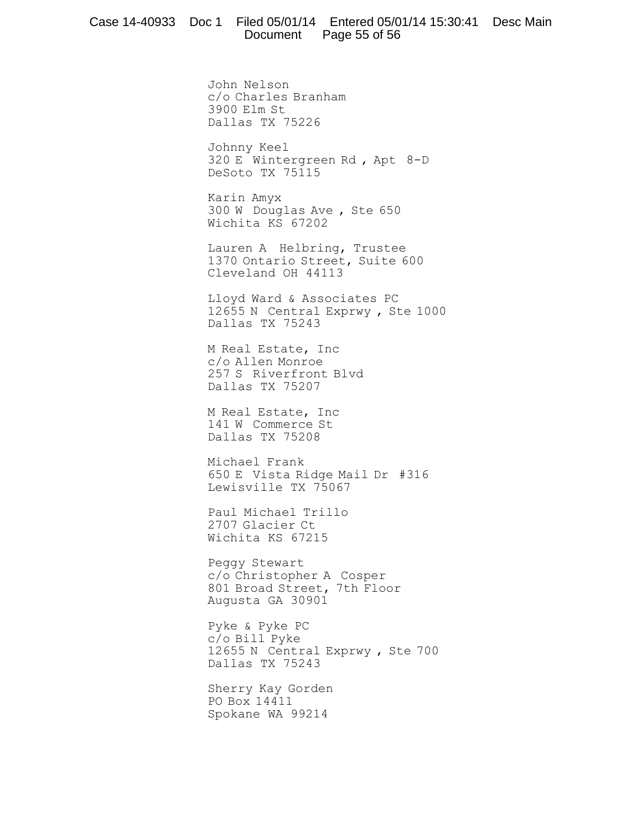### Case 14-40933 Doc 1 Filed 05/01/14 Entered 05/01/14 15:30:41 Desc Main Document Page 55 of 56

John Nelson c/o Charles Branham 3900 Elm St Dallas TX 75226

Johnny Keel 320 E Wintergreen Rd , Apt 8-D DeSoto TX 75115

Karin Amyx 300 W Douglas Ave , Ste 650 Wichita KS 67202

Lauren A Helbring, Trustee 1370 Ontario Street, Suite 600 Cleveland OH 44113

Lloyd Ward & Associates PC 12655 N Central Exprwy , Ste 1000 Dallas TX 75243

M Real Estate, Inc c/o Allen Monroe 257 S Riverfront Blvd Dallas TX 75207

M Real Estate, Inc 141 W Commerce St Dallas TX 75208

Michael Frank 650 E Vista Ridge Mail Dr #316 Lewisville TX 75067

Paul Michael Trillo 2707 Glacier Ct Wichita KS 67215

Peggy Stewart c/o Christopher A Cosper 801 Broad Street, 7th Floor Augusta GA 30901

Pyke & Pyke PC c/o Bill Pyke 12655 N Central Exprwy , Ste 700 Dallas TX 75243

Sherry Kay Gorden PO Box 14411 Spokane WA 99214